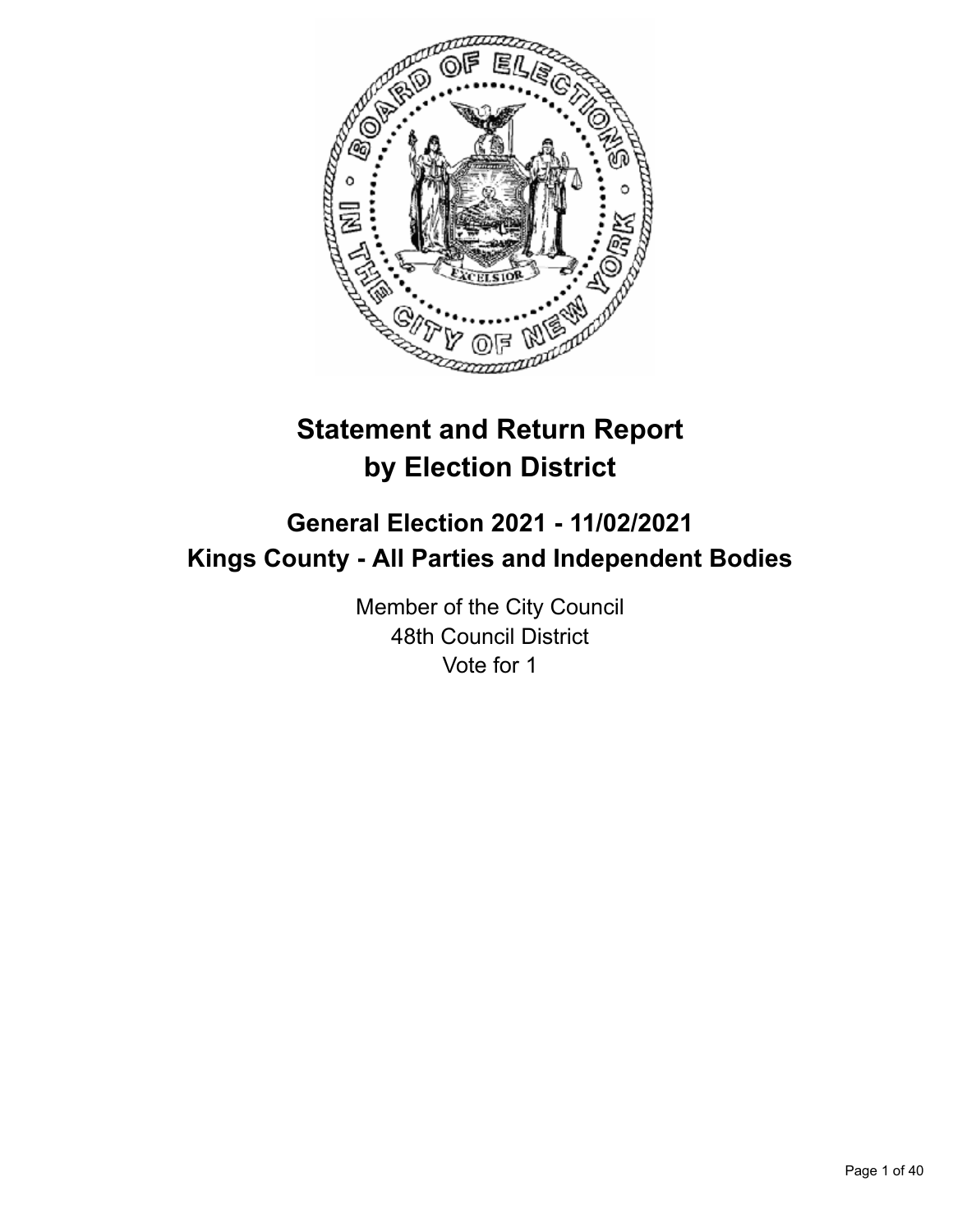

# **Statement and Return Report by Election District**

# **General Election 2021 - 11/02/2021 Kings County - All Parties and Independent Bodies**

Member of the City Council 48th Council District Vote for 1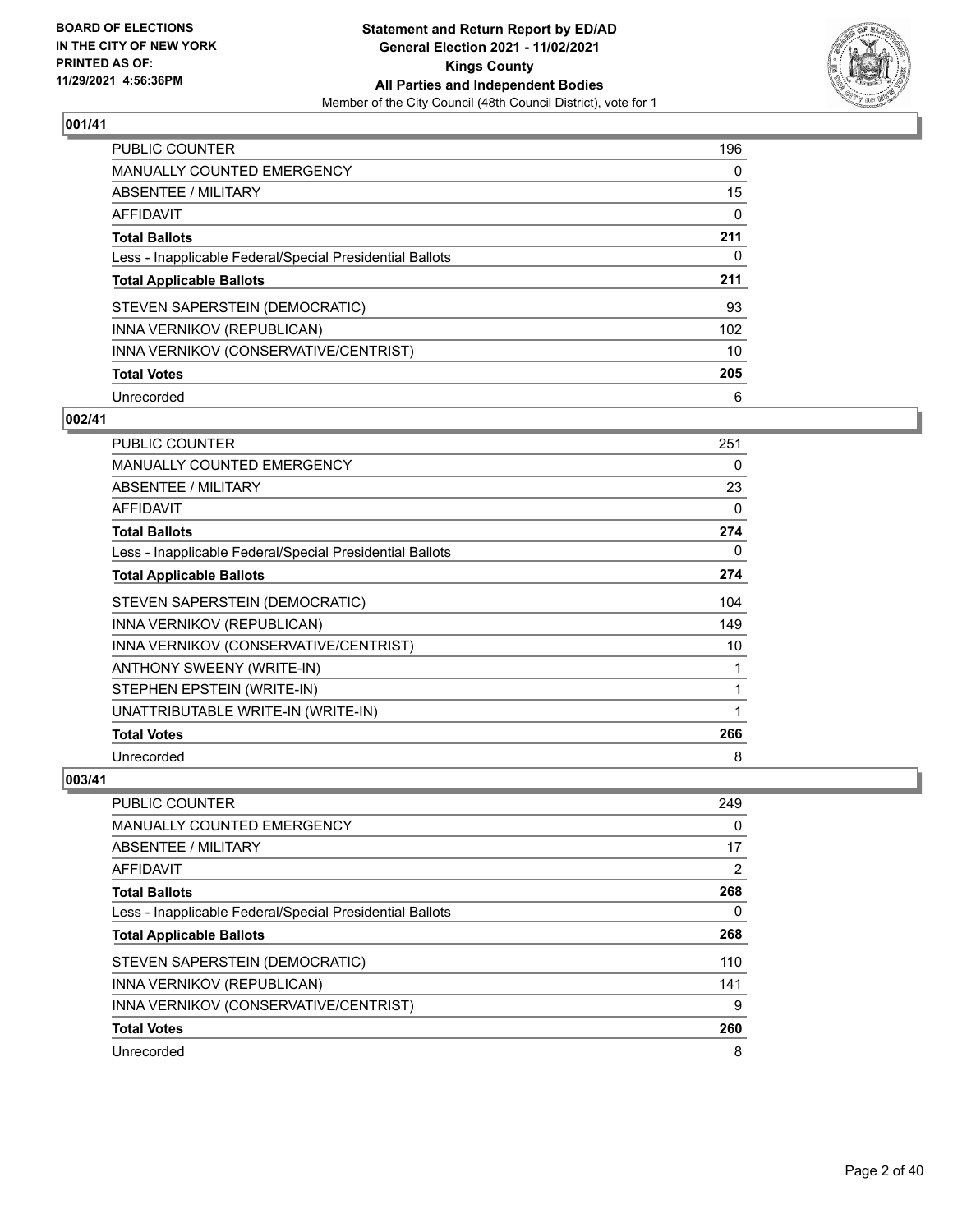

| <b>PUBLIC COUNTER</b>                                    | 196 |
|----------------------------------------------------------|-----|
| <b>MANUALLY COUNTED EMERGENCY</b>                        | 0   |
| ABSENTEE / MILITARY                                      | 15  |
| AFFIDAVIT                                                | 0   |
| <b>Total Ballots</b>                                     | 211 |
| Less - Inapplicable Federal/Special Presidential Ballots | 0   |
| <b>Total Applicable Ballots</b>                          | 211 |
| STEVEN SAPERSTEIN (DEMOCRATIC)                           | 93  |
| INNA VERNIKOV (REPUBLICAN)                               | 102 |
| INNA VERNIKOV (CONSERVATIVE/CENTRIST)                    | 10  |
| <b>Total Votes</b>                                       | 205 |
| Unrecorded                                               | 6   |

#### **002/41**

| <b>PUBLIC COUNTER</b>                                    | 251 |
|----------------------------------------------------------|-----|
| <b>MANUALLY COUNTED EMERGENCY</b>                        | 0   |
| ABSENTEE / MILITARY                                      | 23  |
| AFFIDAVIT                                                | 0   |
| <b>Total Ballots</b>                                     | 274 |
| Less - Inapplicable Federal/Special Presidential Ballots | 0   |
| <b>Total Applicable Ballots</b>                          | 274 |
| STEVEN SAPERSTEIN (DEMOCRATIC)                           | 104 |
| INNA VERNIKOV (REPUBLICAN)                               | 149 |
| INNA VERNIKOV (CONSERVATIVE/CENTRIST)                    | 10  |
| ANTHONY SWEENY (WRITE-IN)                                | 1   |
| STEPHEN EPSTEIN (WRITE-IN)                               | 1   |
| UNATTRIBUTABLE WRITE-IN (WRITE-IN)                       | 1   |
| <b>Total Votes</b>                                       | 266 |
| Unrecorded                                               | 8   |

| PUBLIC COUNTER                                           | 249 |
|----------------------------------------------------------|-----|
| MANUALLY COUNTED EMERGENCY                               | 0   |
| ABSENTEE / MILITARY                                      | 17  |
| AFFIDAVIT                                                | 2   |
| <b>Total Ballots</b>                                     | 268 |
| Less - Inapplicable Federal/Special Presidential Ballots | 0   |
| <b>Total Applicable Ballots</b>                          | 268 |
| STEVEN SAPERSTEIN (DEMOCRATIC)                           | 110 |
| INNA VERNIKOV (REPUBLICAN)                               | 141 |
| INNA VERNIKOV (CONSERVATIVE/CENTRIST)                    | 9   |
| <b>Total Votes</b>                                       | 260 |
| Unrecorded                                               | 8   |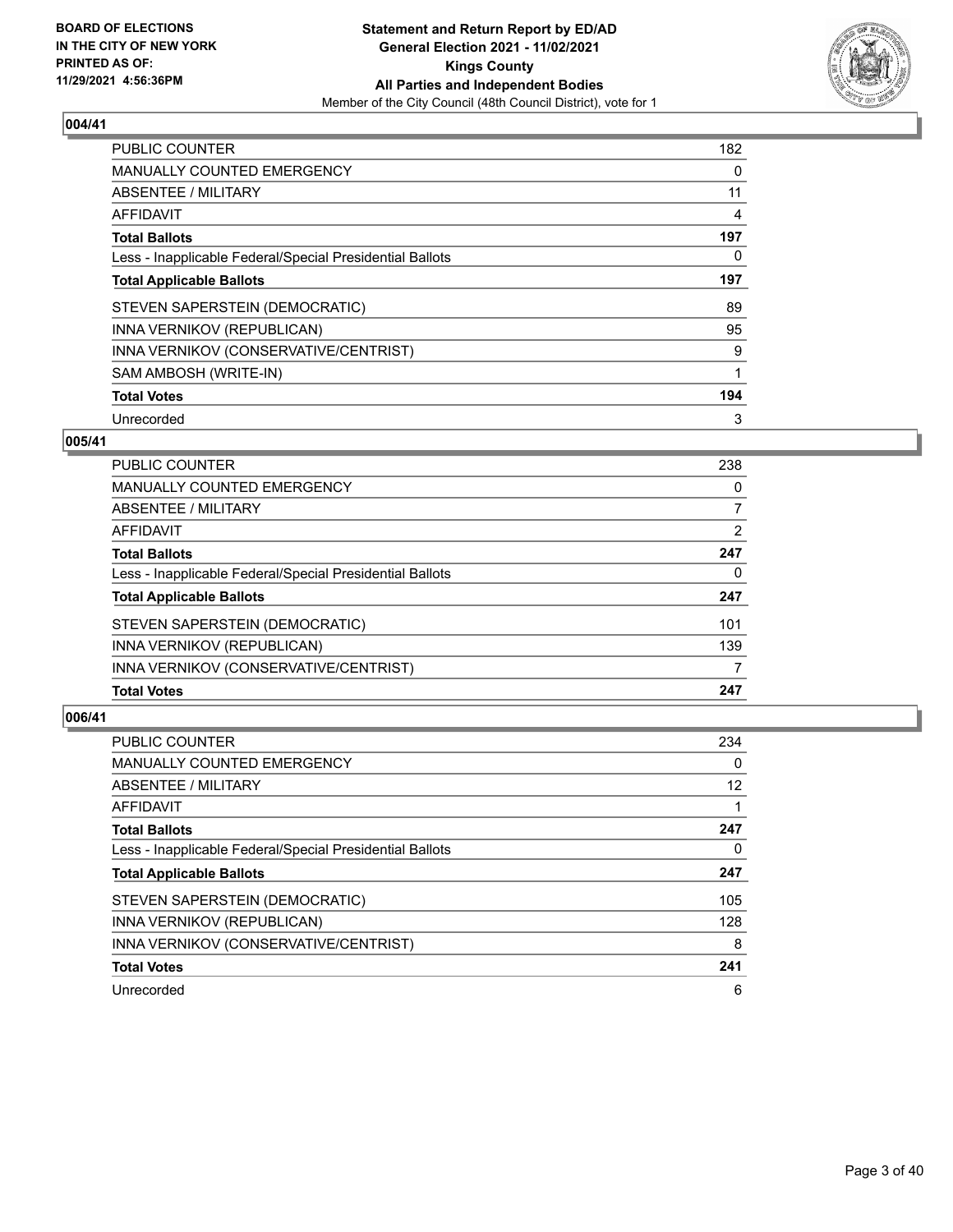

| <b>PUBLIC COUNTER</b>                                    | 182 |
|----------------------------------------------------------|-----|
| MANUALLY COUNTED EMERGENCY                               | 0   |
| ABSENTEE / MILITARY                                      | 11  |
| <b>AFFIDAVIT</b>                                         | 4   |
| <b>Total Ballots</b>                                     | 197 |
| Less - Inapplicable Federal/Special Presidential Ballots | 0   |
| <b>Total Applicable Ballots</b>                          | 197 |
| STEVEN SAPERSTEIN (DEMOCRATIC)                           | 89  |
| INNA VERNIKOV (REPUBLICAN)                               | 95  |
| INNA VERNIKOV (CONSERVATIVE/CENTRIST)                    | 9   |
| SAM AMBOSH (WRITE-IN)                                    | 1   |
| <b>Total Votes</b>                                       | 194 |
| Unrecorded                                               | 3   |

## **005/41**

| PUBLIC COUNTER                                           | 238 |
|----------------------------------------------------------|-----|
| <b>MANUALLY COUNTED EMERGENCY</b>                        | 0   |
| ABSENTEE / MILITARY                                      |     |
| <b>AFFIDAVIT</b>                                         | 2   |
| <b>Total Ballots</b>                                     | 247 |
| Less - Inapplicable Federal/Special Presidential Ballots | 0   |
| <b>Total Applicable Ballots</b>                          | 247 |
| STEVEN SAPERSTEIN (DEMOCRATIC)                           | 101 |
| INNA VERNIKOV (REPUBLICAN)                               | 139 |
| INNA VERNIKOV (CONSERVATIVE/CENTRIST)                    |     |
| <b>Total Votes</b>                                       | 247 |

| <b>PUBLIC COUNTER</b>                                    | 234      |
|----------------------------------------------------------|----------|
| MANUALLY COUNTED EMERGENCY                               | $\Omega$ |
| ABSENTEE / MILITARY                                      | 12       |
| AFFIDAVIT                                                |          |
| <b>Total Ballots</b>                                     | 247      |
| Less - Inapplicable Federal/Special Presidential Ballots | 0        |
| <b>Total Applicable Ballots</b>                          | 247      |
| STEVEN SAPERSTEIN (DEMOCRATIC)                           | 105      |
| <b>INNA VERNIKOV (REPUBLICAN)</b>                        | 128      |
| INNA VERNIKOV (CONSERVATIVE/CENTRIST)                    | 8        |
| <b>Total Votes</b>                                       | 241      |
| Unrecorded                                               | 6        |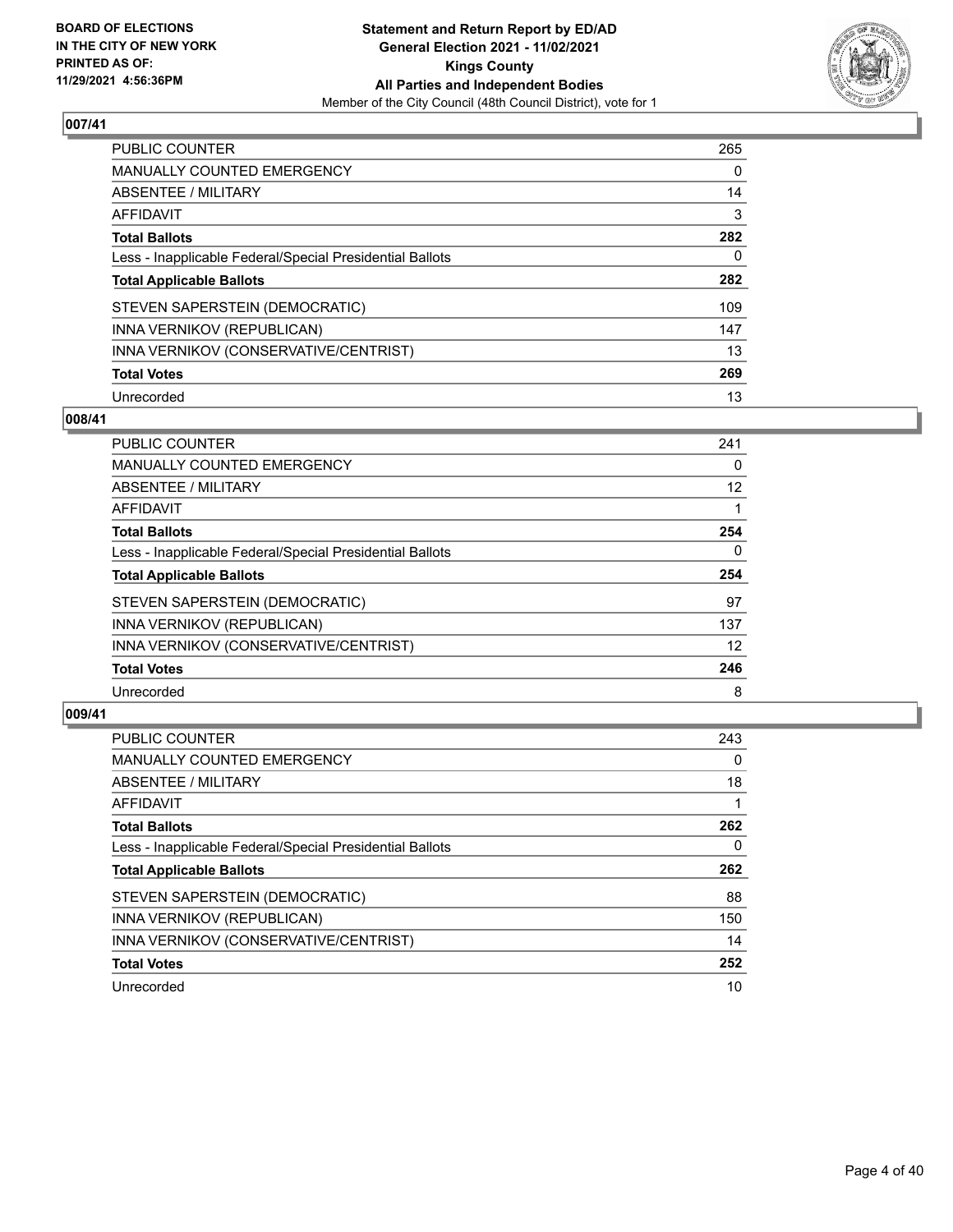

| PUBLIC COUNTER                                           | 265      |
|----------------------------------------------------------|----------|
| <b>MANUALLY COUNTED EMERGENCY</b>                        | $\Omega$ |
| <b>ABSENTEE / MILITARY</b>                               | 14       |
| AFFIDAVIT                                                | 3        |
| <b>Total Ballots</b>                                     | 282      |
| Less - Inapplicable Federal/Special Presidential Ballots | 0        |
| <b>Total Applicable Ballots</b>                          | 282      |
| STEVEN SAPERSTEIN (DEMOCRATIC)                           | 109      |
| INNA VERNIKOV (REPUBLICAN)                               | 147      |
| INNA VERNIKOV (CONSERVATIVE/CENTRIST)                    | 13       |
| <b>Total Votes</b>                                       | 269      |
| Unrecorded                                               | 13       |

#### **008/41**

| PUBLIC COUNTER                                           | 241      |
|----------------------------------------------------------|----------|
| <b>MANUALLY COUNTED EMERGENCY</b>                        | 0        |
| <b>ABSENTEE / MILITARY</b>                               | 12       |
| <b>AFFIDAVIT</b>                                         |          |
| <b>Total Ballots</b>                                     | 254      |
| Less - Inapplicable Federal/Special Presidential Ballots | $\Omega$ |
| <b>Total Applicable Ballots</b>                          | 254      |
| STEVEN SAPERSTEIN (DEMOCRATIC)                           | 97       |
| INNA VERNIKOV (REPUBLICAN)                               | 137      |
| INNA VERNIKOV (CONSERVATIVE/CENTRIST)                    | 12       |
| <b>Total Votes</b>                                       | 246      |
| Unrecorded                                               | 8        |

| <b>PUBLIC COUNTER</b>                                    | 243      |
|----------------------------------------------------------|----------|
| <b>MANUALLY COUNTED EMERGENCY</b>                        | $\Omega$ |
| ABSENTEE / MILITARY                                      | 18       |
| <b>AFFIDAVIT</b>                                         |          |
| <b>Total Ballots</b>                                     | 262      |
| Less - Inapplicable Federal/Special Presidential Ballots | 0        |
| <b>Total Applicable Ballots</b>                          | 262      |
| STEVEN SAPERSTEIN (DEMOCRATIC)                           | 88       |
| INNA VERNIKOV (REPUBLICAN)                               | 150      |
| INNA VERNIKOV (CONSERVATIVE/CENTRIST)                    | 14       |
|                                                          |          |
| <b>Total Votes</b>                                       | 252      |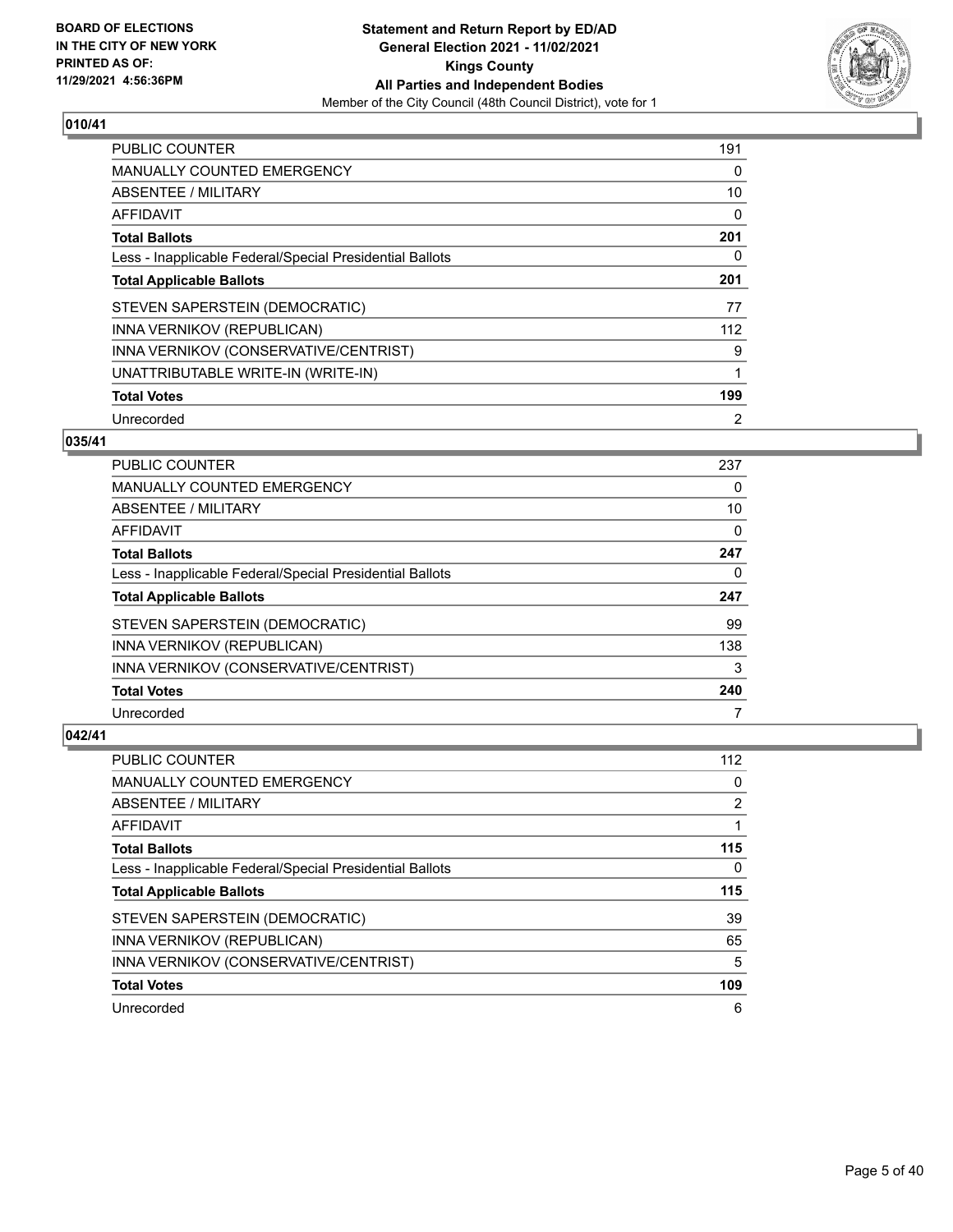

| <b>PUBLIC COUNTER</b>                                    | 191 |
|----------------------------------------------------------|-----|
| <b>MANUALLY COUNTED EMERGENCY</b>                        | 0   |
| ABSENTEE / MILITARY                                      | 10  |
| <b>AFFIDAVIT</b>                                         | 0   |
| <b>Total Ballots</b>                                     | 201 |
| Less - Inapplicable Federal/Special Presidential Ballots | 0   |
| <b>Total Applicable Ballots</b>                          | 201 |
| STEVEN SAPERSTEIN (DEMOCRATIC)                           | 77  |
| INNA VERNIKOV (REPUBLICAN)                               | 112 |
| INNA VERNIKOV (CONSERVATIVE/CENTRIST)                    | 9   |
| UNATTRIBUTABLE WRITE-IN (WRITE-IN)                       | 1   |
| <b>Total Votes</b>                                       | 199 |
| Unrecorded                                               | 2   |

## **035/41**

| <b>PUBLIC COUNTER</b>                                    | 237 |
|----------------------------------------------------------|-----|
| MANUALLY COUNTED EMERGENCY                               | 0   |
| ABSENTEE / MILITARY                                      | 10  |
| AFFIDAVIT                                                | 0   |
| <b>Total Ballots</b>                                     | 247 |
| Less - Inapplicable Federal/Special Presidential Ballots | 0   |
| <b>Total Applicable Ballots</b>                          | 247 |
| STEVEN SAPERSTEIN (DEMOCRATIC)                           | 99  |
| INNA VERNIKOV (REPUBLICAN)                               | 138 |
| INNA VERNIKOV (CONSERVATIVE/CENTRIST)                    | 3   |
| <b>Total Votes</b>                                       | 240 |
| Unrecorded                                               |     |

| <b>PUBLIC COUNTER</b>                                    | 112 |
|----------------------------------------------------------|-----|
| <b>MANUALLY COUNTED EMERGENCY</b>                        | 0   |
| ABSENTEE / MILITARY                                      | 2   |
| AFFIDAVIT                                                |     |
| <b>Total Ballots</b>                                     | 115 |
| Less - Inapplicable Federal/Special Presidential Ballots | 0   |
|                                                          |     |
| <b>Total Applicable Ballots</b>                          | 115 |
| STEVEN SAPERSTEIN (DEMOCRATIC)                           | 39  |
| INNA VERNIKOV (REPUBLICAN)                               | 65  |
| INNA VERNIKOV (CONSERVATIVE/CENTRIST)                    | 5   |
| <b>Total Votes</b>                                       | 109 |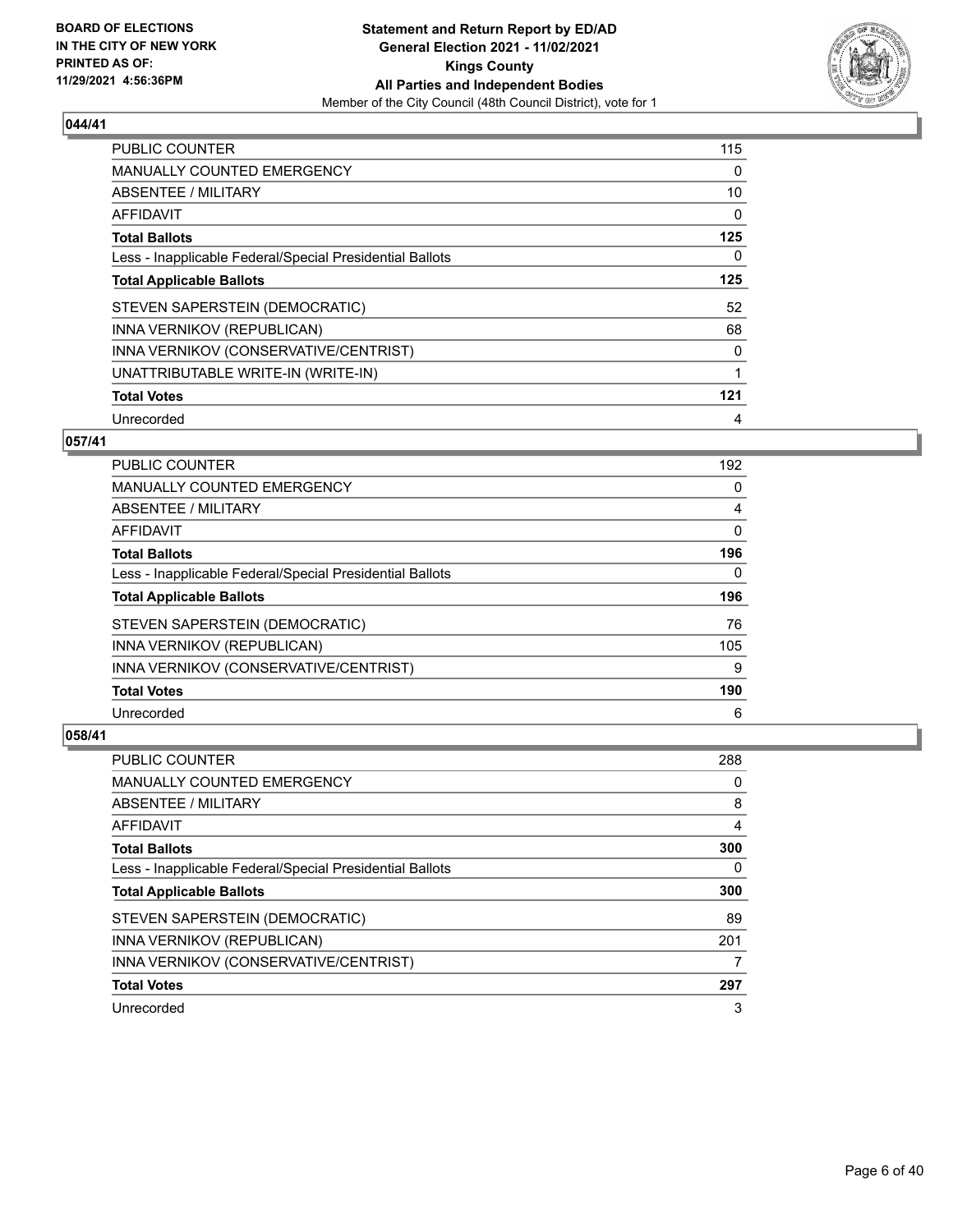

| <b>PUBLIC COUNTER</b>                                    | 115 |
|----------------------------------------------------------|-----|
| <b>MANUALLY COUNTED EMERGENCY</b>                        | 0   |
| ABSENTEE / MILITARY                                      | 10  |
| <b>AFFIDAVIT</b>                                         | 0   |
| <b>Total Ballots</b>                                     | 125 |
| Less - Inapplicable Federal/Special Presidential Ballots | 0   |
| <b>Total Applicable Ballots</b>                          | 125 |
| STEVEN SAPERSTEIN (DEMOCRATIC)                           | 52  |
| INNA VERNIKOV (REPUBLICAN)                               | 68  |
| INNA VERNIKOV (CONSERVATIVE/CENTRIST)                    | 0   |
| UNATTRIBUTABLE WRITE-IN (WRITE-IN)                       | 1   |
| <b>Total Votes</b>                                       | 121 |
| Unrecorded                                               | 4   |

## **057/41**

| <b>PUBLIC COUNTER</b>                                    | 192 |
|----------------------------------------------------------|-----|
| <b>MANUALLY COUNTED EMERGENCY</b>                        | 0   |
| ABSENTEE / MILITARY                                      | 4   |
| AFFIDAVIT                                                | 0   |
| <b>Total Ballots</b>                                     | 196 |
| Less - Inapplicable Federal/Special Presidential Ballots | 0   |
| <b>Total Applicable Ballots</b>                          | 196 |
| STEVEN SAPERSTEIN (DEMOCRATIC)                           | 76  |
| INNA VERNIKOV (REPUBLICAN)                               | 105 |
| INNA VERNIKOV (CONSERVATIVE/CENTRIST)                    | 9   |
| <b>Total Votes</b>                                       | 190 |
| Unrecorded                                               | 6   |

| PUBLIC COUNTER                                           | 288 |
|----------------------------------------------------------|-----|
| <b>MANUALLY COUNTED EMERGENCY</b>                        | 0   |
| ABSENTEE / MILITARY                                      | 8   |
| AFFIDAVIT                                                | 4   |
| <b>Total Ballots</b>                                     | 300 |
| Less - Inapplicable Federal/Special Presidential Ballots | 0   |
|                                                          |     |
| <b>Total Applicable Ballots</b>                          | 300 |
| STEVEN SAPERSTEIN (DEMOCRATIC)                           | 89  |
| INNA VERNIKOV (REPUBLICAN)                               | 201 |
| INNA VERNIKOV (CONSERVATIVE/CENTRIST)                    |     |
| <b>Total Votes</b>                                       | 297 |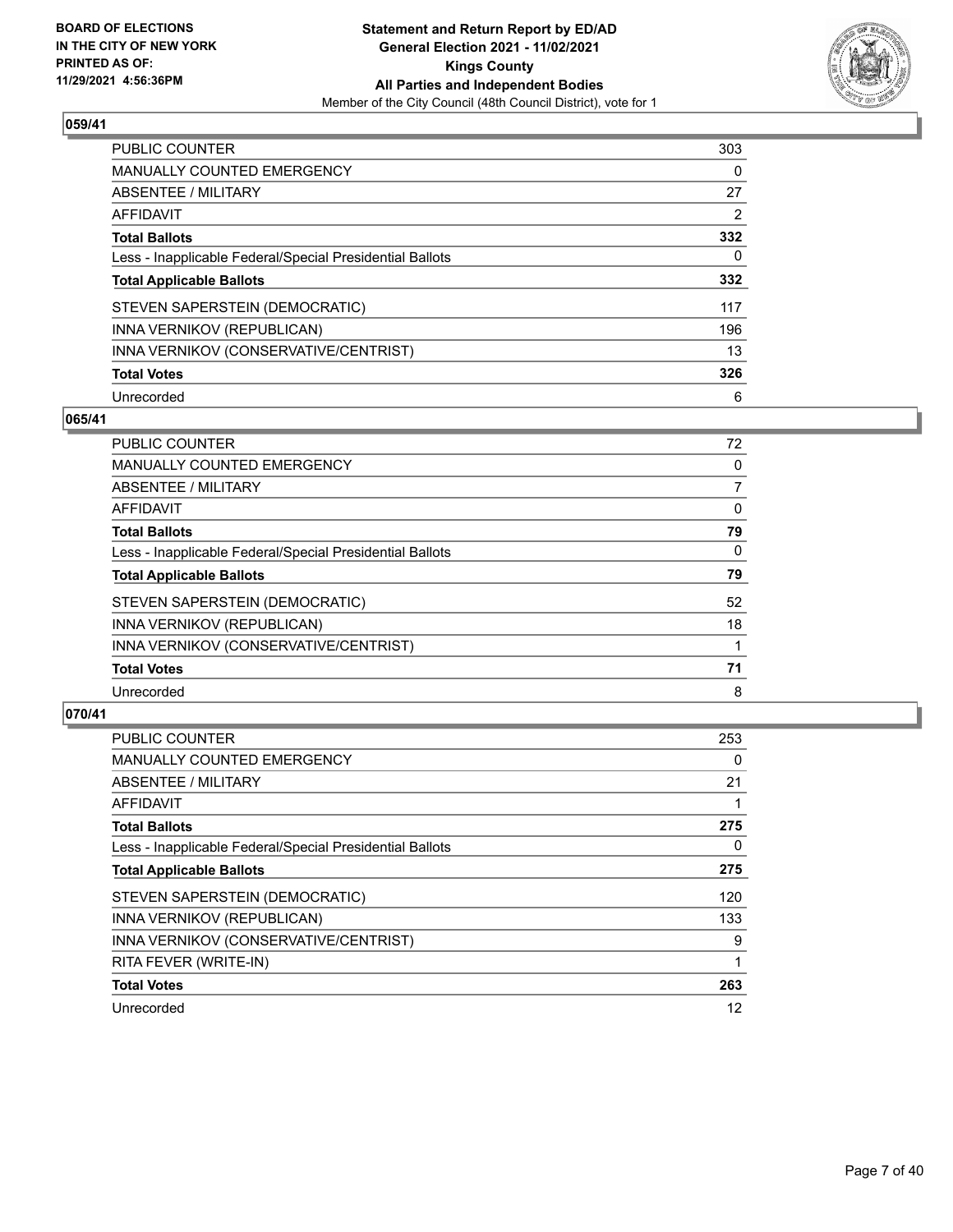

| <b>PUBLIC COUNTER</b>                                    | 303      |
|----------------------------------------------------------|----------|
| <b>MANUALLY COUNTED EMERGENCY</b>                        | $\Omega$ |
| <b>ABSENTEE / MILITARY</b>                               | 27       |
| AFFIDAVIT                                                | 2        |
| <b>Total Ballots</b>                                     | 332      |
| Less - Inapplicable Federal/Special Presidential Ballots | 0        |
| <b>Total Applicable Ballots</b>                          | 332      |
| STEVEN SAPERSTEIN (DEMOCRATIC)                           | 117      |
| INNA VERNIKOV (REPUBLICAN)                               | 196      |
| INNA VERNIKOV (CONSERVATIVE/CENTRIST)                    | 13       |
| <b>Total Votes</b>                                       | 326      |
| Unrecorded                                               | 6        |

#### **065/41**

| <b>PUBLIC COUNTER</b>                                    | 72       |
|----------------------------------------------------------|----------|
| <b>MANUALLY COUNTED EMERGENCY</b>                        | 0        |
| ABSENTEE / MILITARY                                      | 7        |
| <b>AFFIDAVIT</b>                                         | $\Omega$ |
| <b>Total Ballots</b>                                     | 79       |
| Less - Inapplicable Federal/Special Presidential Ballots | $\Omega$ |
| <b>Total Applicable Ballots</b>                          | 79       |
| STEVEN SAPERSTEIN (DEMOCRATIC)                           | 52       |
| INNA VERNIKOV (REPUBLICAN)                               | 18       |
| INNA VERNIKOV (CONSERVATIVE/CENTRIST)                    |          |
| <b>Total Votes</b>                                       | 71       |
| Unrecorded                                               | 8        |

| <b>PUBLIC COUNTER</b>                                    | 253 |
|----------------------------------------------------------|-----|
| MANUALLY COUNTED EMERGENCY                               | 0   |
| ABSENTEE / MILITARY                                      | 21  |
| AFFIDAVIT                                                |     |
| <b>Total Ballots</b>                                     | 275 |
| Less - Inapplicable Federal/Special Presidential Ballots | 0   |
| <b>Total Applicable Ballots</b>                          | 275 |
| STEVEN SAPERSTEIN (DEMOCRATIC)                           | 120 |
| INNA VERNIKOV (REPUBLICAN)                               | 133 |
| INNA VERNIKOV (CONSERVATIVE/CENTRIST)                    | 9   |
| RITA FEVER (WRITE-IN)                                    |     |
| <b>Total Votes</b>                                       | 263 |
| Unrecorded                                               | 12  |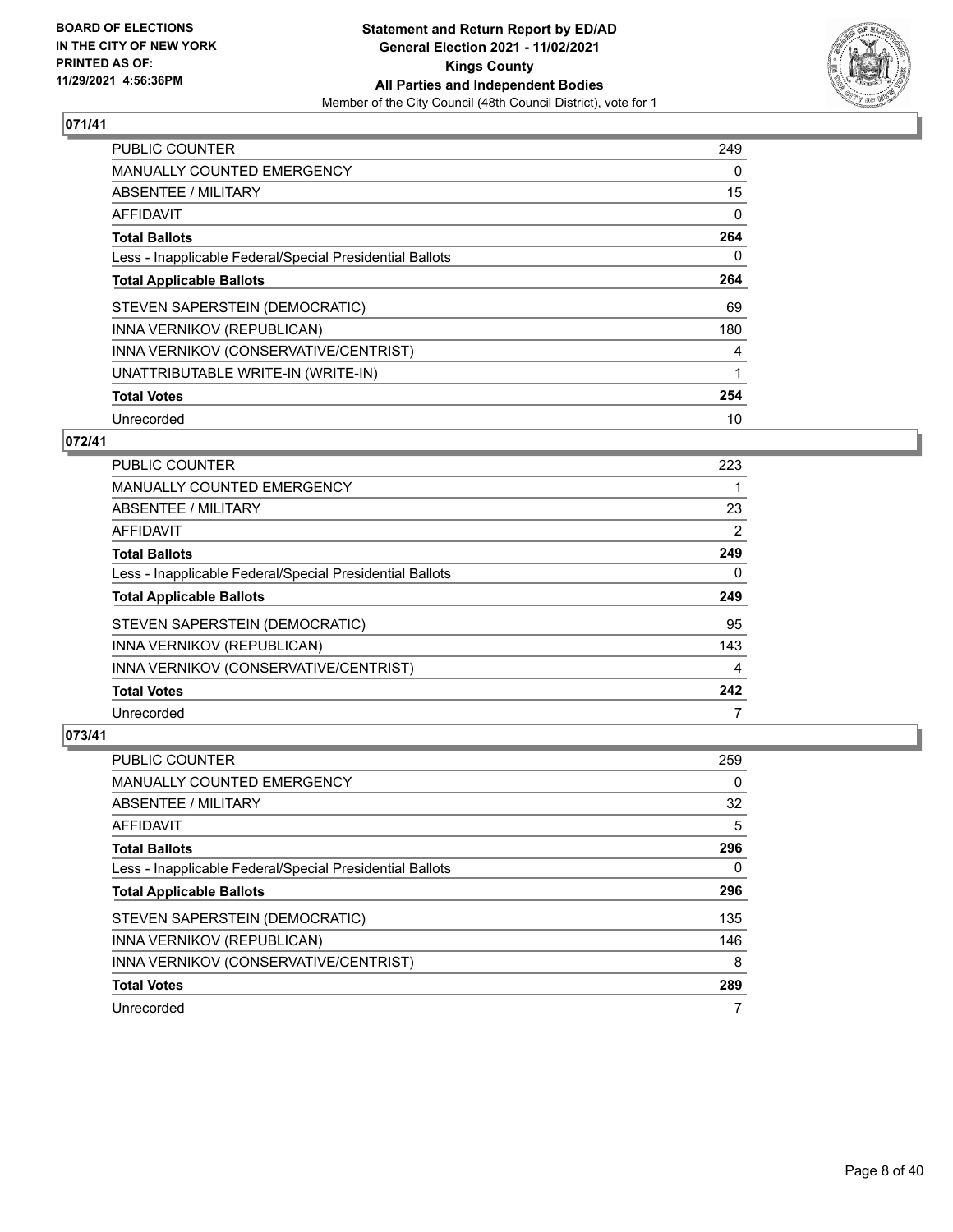

| <b>PUBLIC COUNTER</b>                                    | 249      |
|----------------------------------------------------------|----------|
| <b>MANUALLY COUNTED EMERGENCY</b>                        | 0        |
| ABSENTEE / MILITARY                                      | 15       |
| <b>AFFIDAVIT</b>                                         | 0        |
| <b>Total Ballots</b>                                     | 264      |
| Less - Inapplicable Federal/Special Presidential Ballots | $\Omega$ |
| <b>Total Applicable Ballots</b>                          | 264      |
| STEVEN SAPERSTEIN (DEMOCRATIC)                           | 69       |
| INNA VERNIKOV (REPUBLICAN)                               | 180      |
| INNA VERNIKOV (CONSERVATIVE/CENTRIST)                    | 4        |
| UNATTRIBUTABLE WRITE-IN (WRITE-IN)                       | 1        |
| <b>Total Votes</b>                                       | 254      |
| Unrecorded                                               | 10       |

## **072/41**

| PUBLIC COUNTER                                           | 223 |
|----------------------------------------------------------|-----|
| <b>MANUALLY COUNTED EMERGENCY</b>                        |     |
| ABSENTEE / MILITARY                                      | 23  |
| <b>AFFIDAVIT</b>                                         | 2   |
| <b>Total Ballots</b>                                     | 249 |
| Less - Inapplicable Federal/Special Presidential Ballots | 0   |
| <b>Total Applicable Ballots</b>                          | 249 |
| STEVEN SAPERSTEIN (DEMOCRATIC)                           | 95  |
| INNA VERNIKOV (REPUBLICAN)                               | 143 |
| INNA VERNIKOV (CONSERVATIVE/CENTRIST)                    | 4   |
| <b>Total Votes</b>                                       | 242 |
| Unrecorded                                               |     |

| PUBLIC COUNTER                                           | 259 |
|----------------------------------------------------------|-----|
| <b>MANUALLY COUNTED EMERGENCY</b>                        | 0   |
| ABSENTEE / MILITARY                                      | 32  |
| AFFIDAVIT                                                | 5   |
| <b>Total Ballots</b>                                     | 296 |
| Less - Inapplicable Federal/Special Presidential Ballots | 0   |
| <b>Total Applicable Ballots</b>                          | 296 |
| STEVEN SAPERSTEIN (DEMOCRATIC)                           | 135 |
| INNA VERNIKOV (REPUBLICAN)                               | 146 |
| INNA VERNIKOV (CONSERVATIVE/CENTRIST)                    | 8   |
| <b>Total Votes</b>                                       | 289 |
|                                                          |     |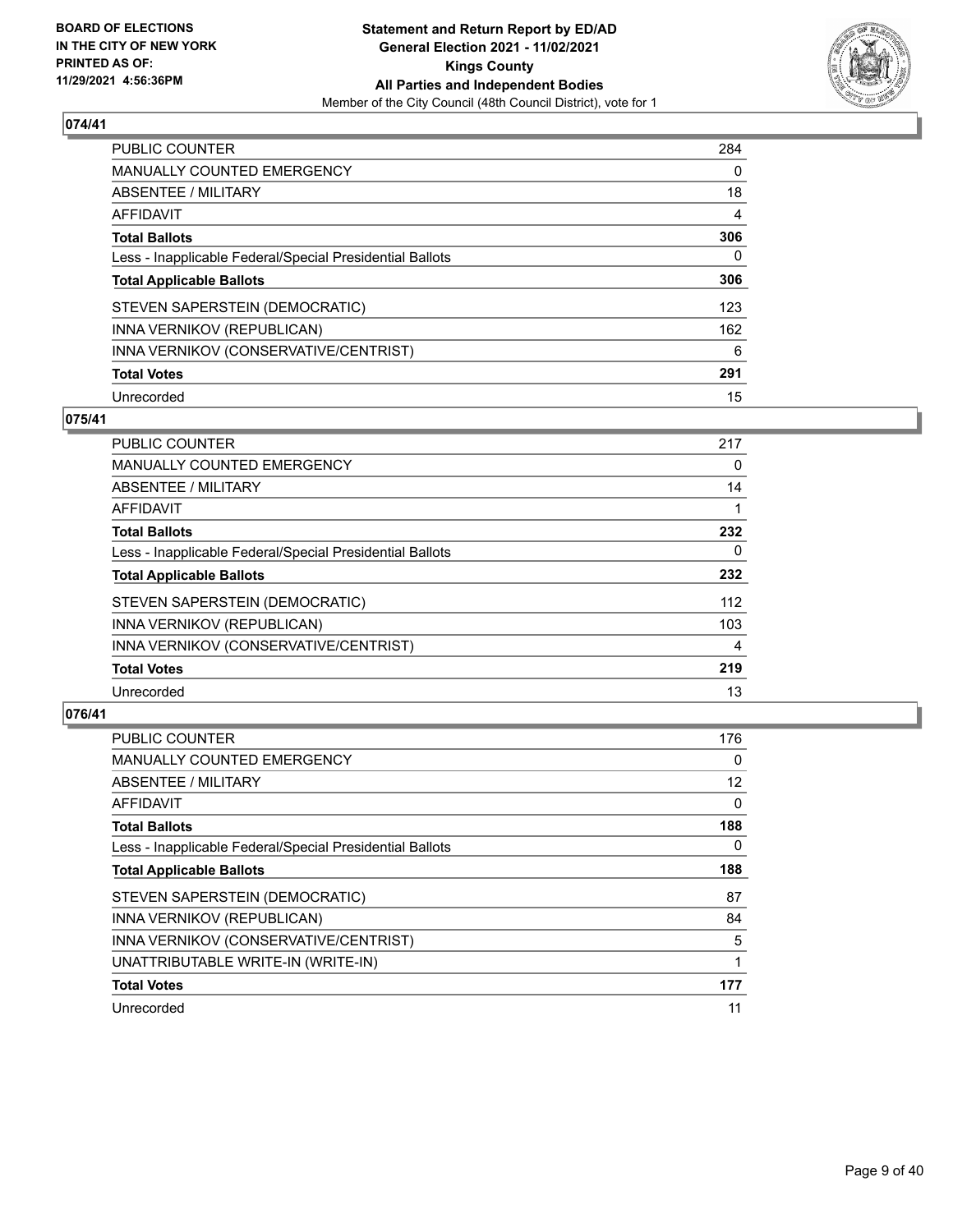

| PUBLIC COUNTER                                           | 284 |
|----------------------------------------------------------|-----|
| <b>MANUALLY COUNTED EMERGENCY</b>                        | 0   |
| ABSENTEE / MILITARY                                      | 18  |
| AFFIDAVIT                                                | 4   |
| <b>Total Ballots</b>                                     | 306 |
| Less - Inapplicable Federal/Special Presidential Ballots | 0   |
| <b>Total Applicable Ballots</b>                          | 306 |
| STEVEN SAPERSTEIN (DEMOCRATIC)                           | 123 |
| INNA VERNIKOV (REPUBLICAN)                               | 162 |
| INNA VERNIKOV (CONSERVATIVE/CENTRIST)                    | 6   |
| <b>Total Votes</b>                                       | 291 |
| Unrecorded                                               | 15  |

#### **075/41**

| PUBLIC COUNTER                                           | 217      |
|----------------------------------------------------------|----------|
| <b>MANUALLY COUNTED EMERGENCY</b>                        | $\Omega$ |
| ABSENTEE / MILITARY                                      | 14       |
| <b>AFFIDAVIT</b>                                         |          |
| <b>Total Ballots</b>                                     | 232      |
| Less - Inapplicable Federal/Special Presidential Ballots | 0        |
| <b>Total Applicable Ballots</b>                          | 232      |
| STEVEN SAPERSTEIN (DEMOCRATIC)                           | 112      |
| INNA VERNIKOV (REPUBLICAN)                               | 103      |
| INNA VERNIKOV (CONSERVATIVE/CENTRIST)                    | 4        |
| <b>Total Votes</b>                                       | 219      |
| Unrecorded                                               | 13       |

| <b>PUBLIC COUNTER</b>                                    | 176 |
|----------------------------------------------------------|-----|
| <b>MANUALLY COUNTED EMERGENCY</b>                        | 0   |
| ABSENTEE / MILITARY                                      | 12  |
| <b>AFFIDAVIT</b>                                         | 0   |
| <b>Total Ballots</b>                                     | 188 |
| Less - Inapplicable Federal/Special Presidential Ballots | 0   |
| <b>Total Applicable Ballots</b>                          | 188 |
| STEVEN SAPERSTEIN (DEMOCRATIC)                           | 87  |
| INNA VERNIKOV (REPUBLICAN)                               | 84  |
| INNA VERNIKOV (CONSERVATIVE/CENTRIST)                    | 5   |
| UNATTRIBUTABLE WRITE-IN (WRITE-IN)                       |     |
| <b>Total Votes</b>                                       | 177 |
| Unrecorded                                               | 11  |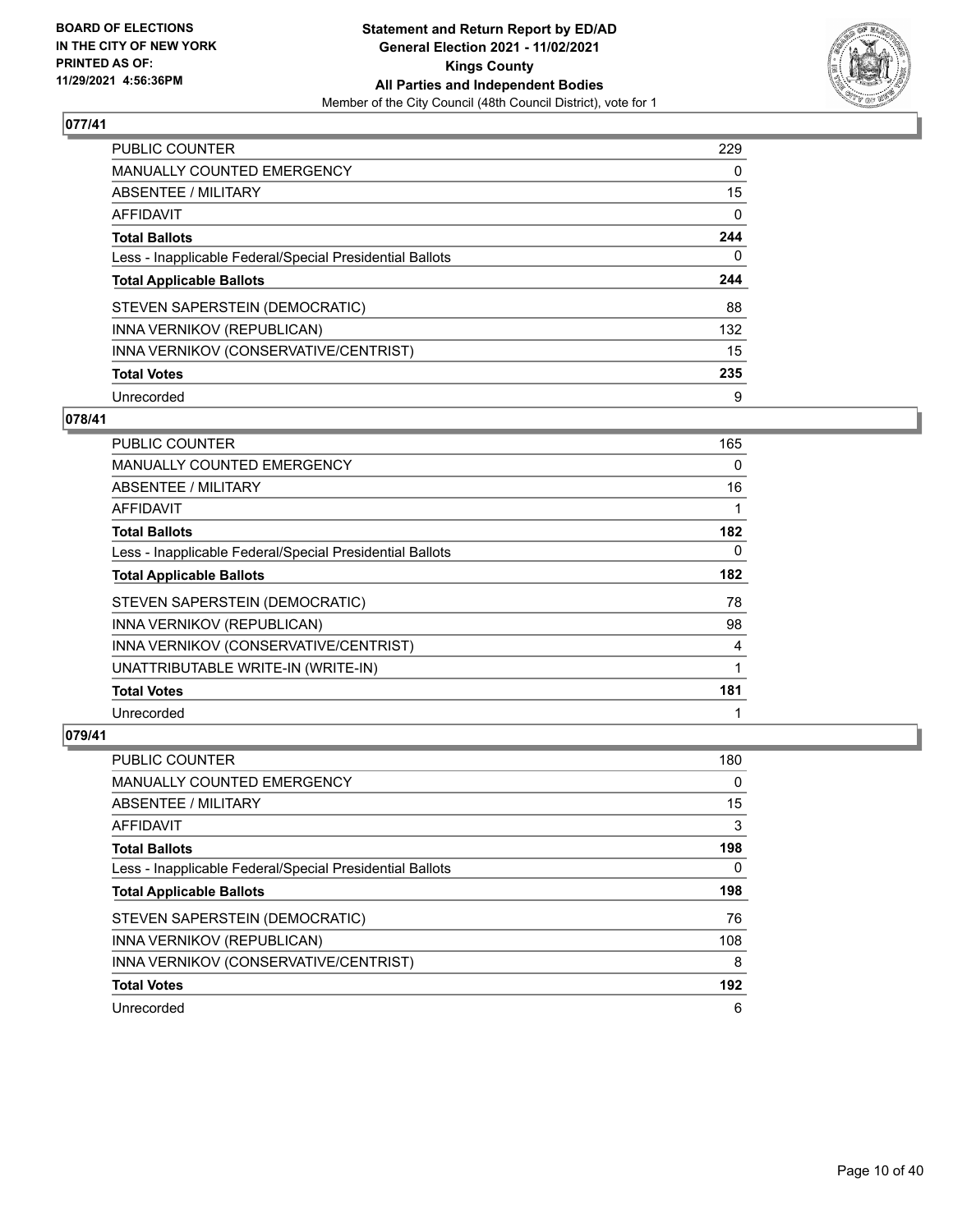

| PUBLIC COUNTER                                           | 229      |
|----------------------------------------------------------|----------|
| <b>MANUALLY COUNTED EMERGENCY</b>                        | $\Omega$ |
| ABSENTEE / MILITARY                                      | 15       |
| AFFIDAVIT                                                | $\Omega$ |
| <b>Total Ballots</b>                                     | 244      |
| Less - Inapplicable Federal/Special Presidential Ballots | 0        |
| <b>Total Applicable Ballots</b>                          | 244      |
| STEVEN SAPERSTEIN (DEMOCRATIC)                           | 88       |
| INNA VERNIKOV (REPUBLICAN)                               | 132      |
| INNA VERNIKOV (CONSERVATIVE/CENTRIST)                    | 15       |
| <b>Total Votes</b>                                       | 235      |
| Unrecorded                                               | 9        |

## **078/41**

| PUBLIC COUNTER                                           | 165         |
|----------------------------------------------------------|-------------|
| MANUALLY COUNTED EMERGENCY                               | $\Omega$    |
| ABSENTEE / MILITARY                                      | 16          |
| AFFIDAVIT                                                | 1           |
| <b>Total Ballots</b>                                     | 182         |
| Less - Inapplicable Federal/Special Presidential Ballots | 0           |
| <b>Total Applicable Ballots</b>                          | 182         |
| STEVEN SAPERSTEIN (DEMOCRATIC)                           | 78          |
| INNA VERNIKOV (REPUBLICAN)                               | 98          |
| INNA VERNIKOV (CONSERVATIVE/CENTRIST)                    | 4           |
| UNATTRIBUTABLE WRITE-IN (WRITE-IN)                       | $\mathbf 1$ |
| <b>Total Votes</b>                                       | 181         |
| Unrecorded                                               | 1           |

| <b>PUBLIC COUNTER</b>                                    | 180 |
|----------------------------------------------------------|-----|
| <b>MANUALLY COUNTED EMERGENCY</b>                        | 0   |
| ABSENTEE / MILITARY                                      | 15  |
| AFFIDAVIT                                                | 3   |
| <b>Total Ballots</b>                                     | 198 |
| Less - Inapplicable Federal/Special Presidential Ballots | 0   |
|                                                          |     |
| <b>Total Applicable Ballots</b>                          | 198 |
| STEVEN SAPERSTEIN (DEMOCRATIC)                           | 76  |
| INNA VERNIKOV (REPUBLICAN)                               | 108 |
| INNA VERNIKOV (CONSERVATIVE/CENTRIST)                    | 8   |
| <b>Total Votes</b>                                       | 192 |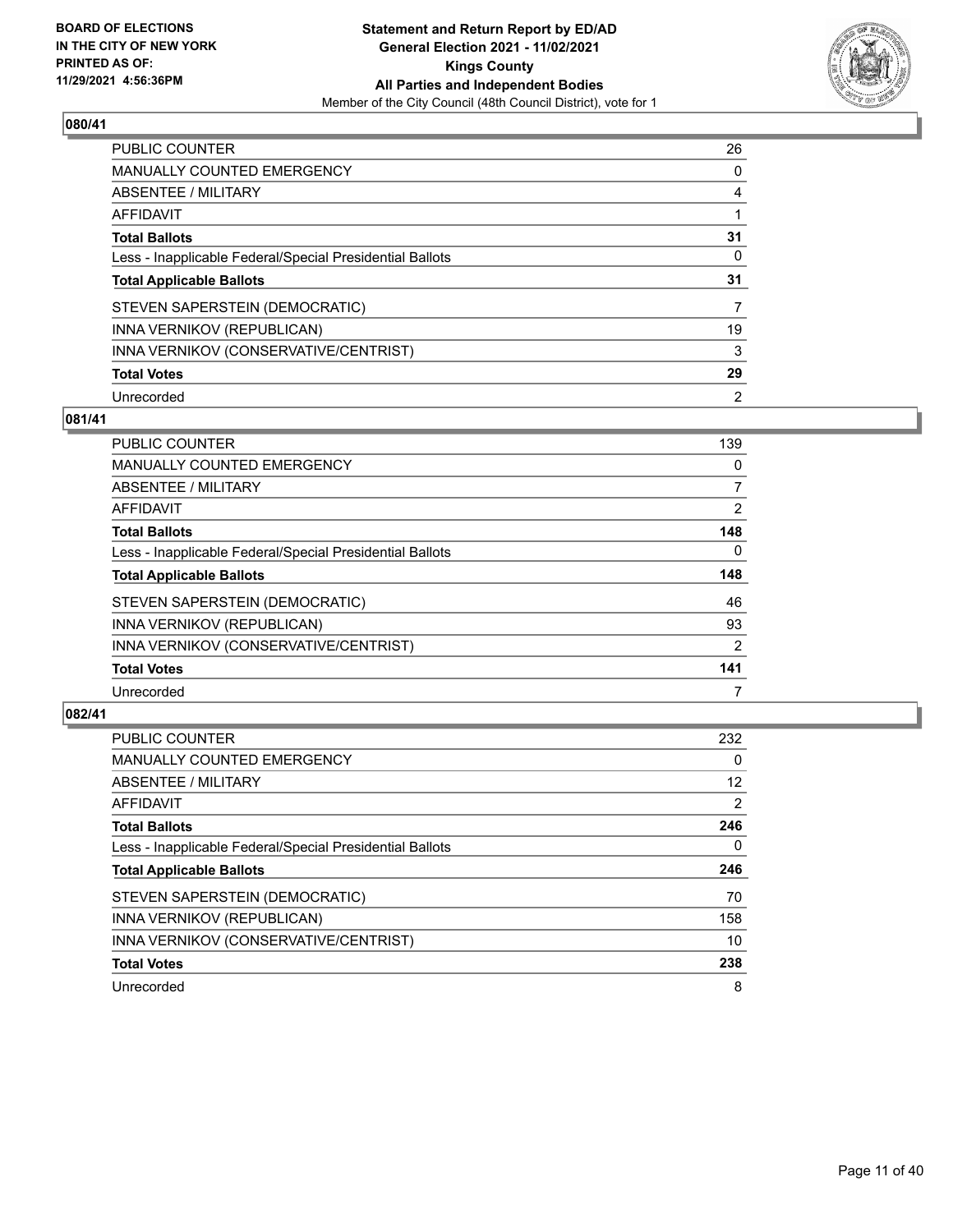

| <b>PUBLIC COUNTER</b>                                    | 26       |
|----------------------------------------------------------|----------|
| <b>MANUALLY COUNTED EMERGENCY</b>                        | $\Omega$ |
| <b>ABSENTEE / MILITARY</b>                               | 4        |
| AFFIDAVIT                                                |          |
| <b>Total Ballots</b>                                     | 31       |
| Less - Inapplicable Federal/Special Presidential Ballots | 0        |
| <b>Total Applicable Ballots</b>                          | 31       |
| STEVEN SAPERSTEIN (DEMOCRATIC)                           |          |
| INNA VERNIKOV (REPUBLICAN)                               | 19       |
| INNA VERNIKOV (CONSERVATIVE/CENTRIST)                    | 3        |
| <b>Total Votes</b>                                       | 29       |
| Unrecorded                                               | 2        |

## **081/41**

| <b>PUBLIC COUNTER</b>                                    | 139      |
|----------------------------------------------------------|----------|
| <b>MANUALLY COUNTED EMERGENCY</b>                        | 0        |
| ABSENTEE / MILITARY                                      | 7        |
| <b>AFFIDAVIT</b>                                         | 2        |
| <b>Total Ballots</b>                                     | 148      |
| Less - Inapplicable Federal/Special Presidential Ballots | $\Omega$ |
| <b>Total Applicable Ballots</b>                          | 148      |
| STEVEN SAPERSTEIN (DEMOCRATIC)                           | 46       |
| INNA VERNIKOV (REPUBLICAN)                               | 93       |
| INNA VERNIKOV (CONSERVATIVE/CENTRIST)                    | 2        |
| <b>Total Votes</b>                                       | 141      |
| Unrecorded                                               |          |

| <b>PUBLIC COUNTER</b>                                    | 232      |
|----------------------------------------------------------|----------|
| <b>MANUALLY COUNTED EMERGENCY</b>                        | $\Omega$ |
| ABSENTEE / MILITARY                                      | 12       |
| AFFIDAVIT                                                | 2        |
| <b>Total Ballots</b>                                     | 246      |
| Less - Inapplicable Federal/Special Presidential Ballots | 0        |
| <b>Total Applicable Ballots</b>                          | 246      |
| STEVEN SAPERSTEIN (DEMOCRATIC)                           | 70       |
| INNA VERNIKOV (REPUBLICAN)                               | 158      |
| INNA VERNIKOV (CONSERVATIVE/CENTRIST)                    | 10       |
|                                                          |          |
| <b>Total Votes</b>                                       | 238      |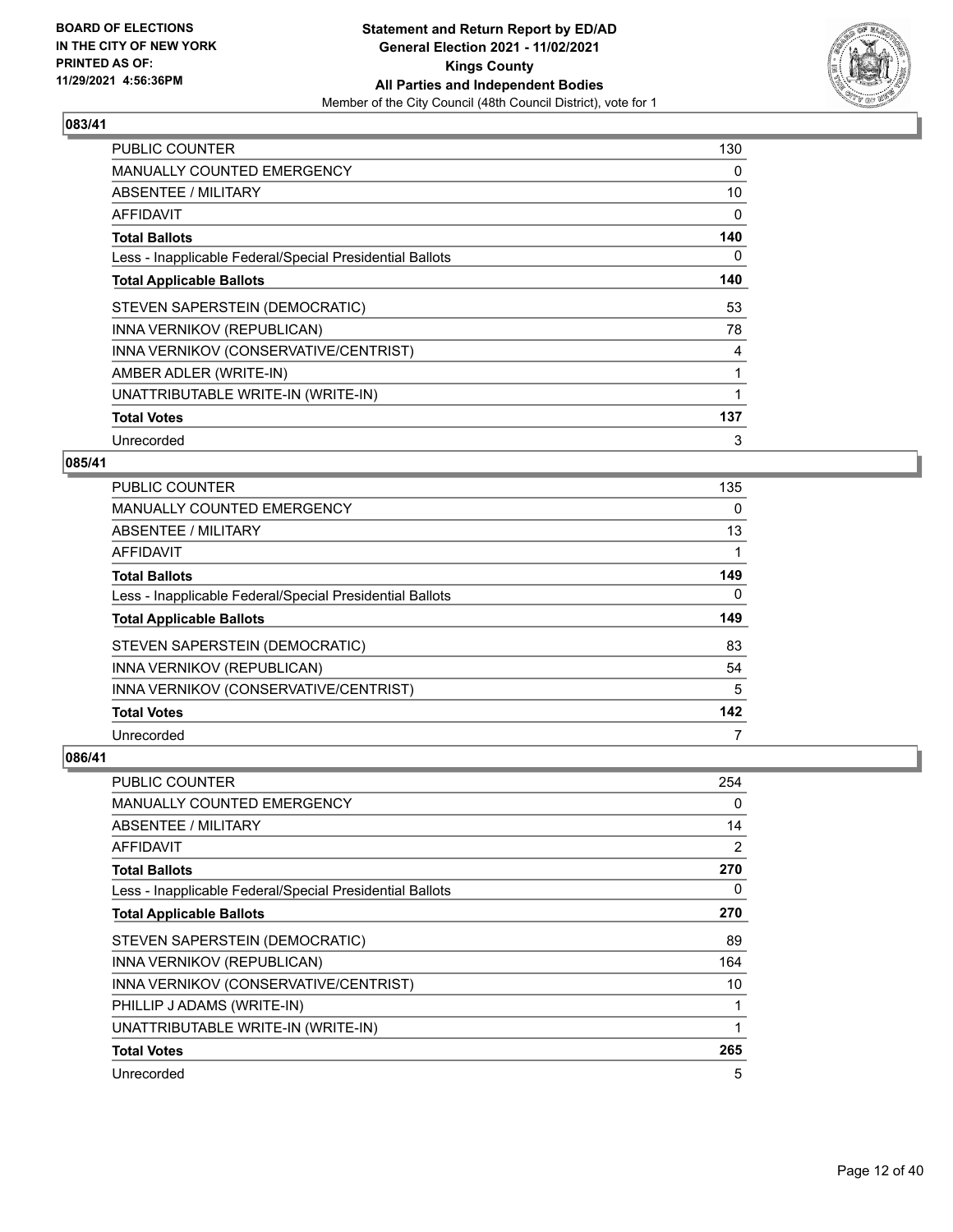

| <b>PUBLIC COUNTER</b>                                    | 130 |
|----------------------------------------------------------|-----|
| <b>MANUALLY COUNTED EMERGENCY</b>                        | 0   |
| ABSENTEE / MILITARY                                      | 10  |
| AFFIDAVIT                                                | 0   |
| <b>Total Ballots</b>                                     | 140 |
| Less - Inapplicable Federal/Special Presidential Ballots | 0   |
| <b>Total Applicable Ballots</b>                          | 140 |
| STEVEN SAPERSTEIN (DEMOCRATIC)                           | 53  |
| INNA VERNIKOV (REPUBLICAN)                               | 78  |
| INNA VERNIKOV (CONSERVATIVE/CENTRIST)                    | 4   |
| AMBER ADLER (WRITE-IN)                                   | 1   |
| UNATTRIBUTABLE WRITE-IN (WRITE-IN)                       | 1   |
| <b>Total Votes</b>                                       | 137 |
| Unrecorded                                               | 3   |

## **085/41**

| PUBLIC COUNTER                                           | 135 |
|----------------------------------------------------------|-----|
| MANUALLY COUNTED EMERGENCY                               | 0   |
| ABSENTEE / MILITARY                                      | 13  |
| AFFIDAVIT                                                |     |
| <b>Total Ballots</b>                                     | 149 |
| Less - Inapplicable Federal/Special Presidential Ballots | 0   |
| <b>Total Applicable Ballots</b>                          | 149 |
| STEVEN SAPERSTEIN (DEMOCRATIC)                           | 83  |
| INNA VERNIKOV (REPUBLICAN)                               | 54  |
| INNA VERNIKOV (CONSERVATIVE/CENTRIST)                    | 5   |
| <b>Total Votes</b>                                       | 142 |
| Unrecorded                                               | 7   |

| <b>PUBLIC COUNTER</b>                                    | 254            |
|----------------------------------------------------------|----------------|
| <b>MANUALLY COUNTED EMERGENCY</b>                        | 0              |
| ABSENTEE / MILITARY                                      | 14             |
| AFFIDAVIT                                                | $\overline{2}$ |
| <b>Total Ballots</b>                                     | 270            |
| Less - Inapplicable Federal/Special Presidential Ballots | 0              |
| <b>Total Applicable Ballots</b>                          | 270            |
| STEVEN SAPERSTEIN (DEMOCRATIC)                           | 89             |
| INNA VERNIKOV (REPUBLICAN)                               | 164            |
| INNA VERNIKOV (CONSERVATIVE/CENTRIST)                    | 10             |
| PHILLIP J ADAMS (WRITE-IN)                               | 1              |
| UNATTRIBUTABLE WRITE-IN (WRITE-IN)                       | 1              |
| <b>Total Votes</b>                                       | 265            |
| Unrecorded                                               | 5              |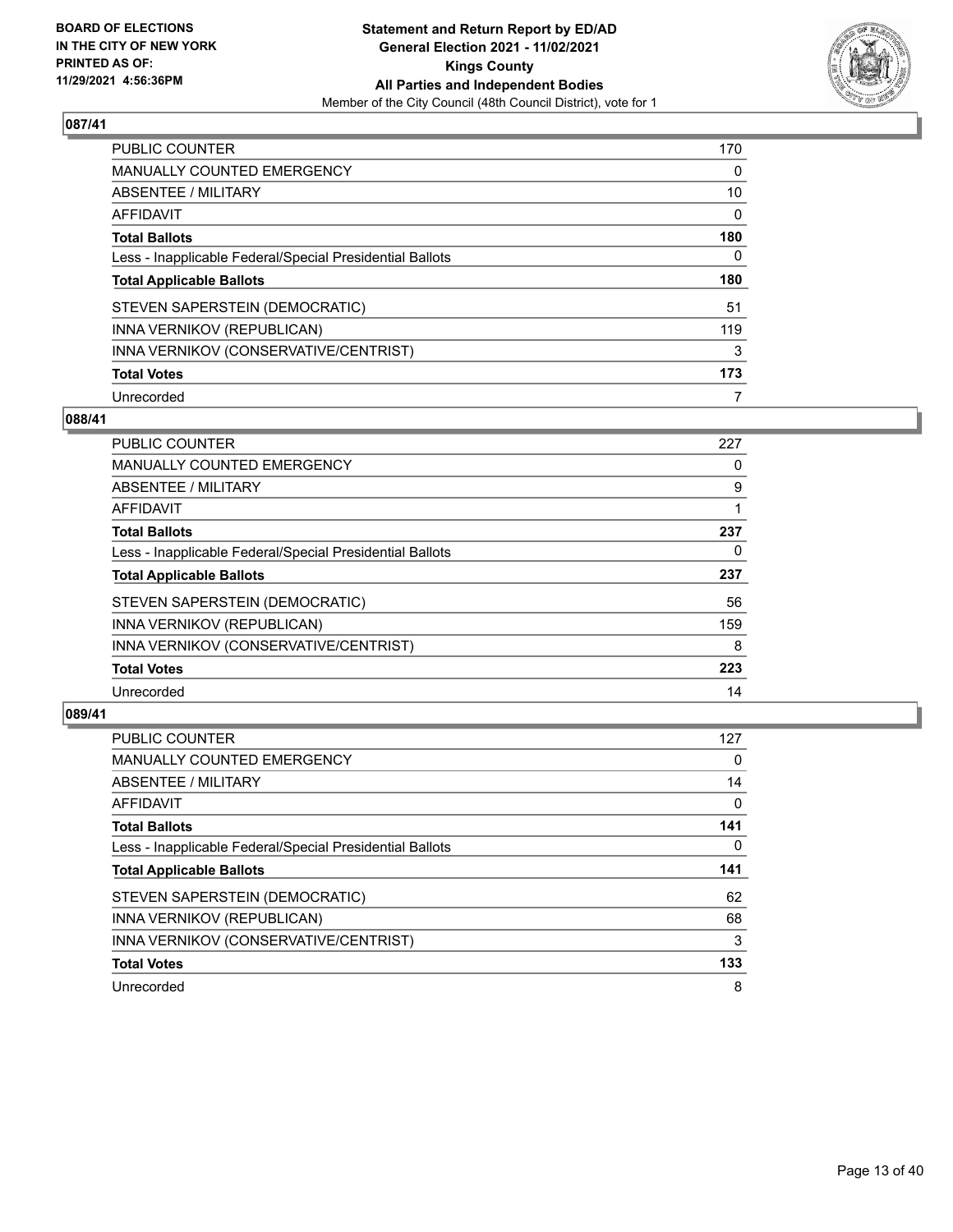

| <b>PUBLIC COUNTER</b>                                    | 170 |
|----------------------------------------------------------|-----|
| MANUALLY COUNTED EMERGENCY                               | 0   |
| ABSENTEE / MILITARY                                      | 10  |
| AFFIDAVIT                                                | 0   |
| <b>Total Ballots</b>                                     | 180 |
| Less - Inapplicable Federal/Special Presidential Ballots | 0   |
| <b>Total Applicable Ballots</b>                          | 180 |
| STEVEN SAPERSTEIN (DEMOCRATIC)                           | 51  |
| INNA VERNIKOV (REPUBLICAN)                               | 119 |
| INNA VERNIKOV (CONSERVATIVE/CENTRIST)                    | 3   |
|                                                          |     |
| <b>Total Votes</b>                                       | 173 |

#### **088/41**

| <b>PUBLIC COUNTER</b>                                    | 227 |
|----------------------------------------------------------|-----|
| <b>MANUALLY COUNTED EMERGENCY</b>                        | 0   |
| ABSENTEE / MILITARY                                      | 9   |
| AFFIDAVIT                                                |     |
| <b>Total Ballots</b>                                     | 237 |
| Less - Inapplicable Federal/Special Presidential Ballots | 0   |
| <b>Total Applicable Ballots</b>                          | 237 |
| STEVEN SAPERSTEIN (DEMOCRATIC)                           | 56  |
| INNA VERNIKOV (REPUBLICAN)                               | 159 |
| INNA VERNIKOV (CONSERVATIVE/CENTRIST)                    | 8   |
| <b>Total Votes</b>                                       | 223 |
| Unrecorded                                               | 14  |

| <b>PUBLIC COUNTER</b>                                    | 127 |
|----------------------------------------------------------|-----|
| <b>MANUALLY COUNTED EMERGENCY</b>                        | 0   |
| ABSENTEE / MILITARY                                      | 14  |
| <b>AFFIDAVIT</b>                                         | 0   |
| <b>Total Ballots</b>                                     | 141 |
| Less - Inapplicable Federal/Special Presidential Ballots | 0   |
| <b>Total Applicable Ballots</b>                          | 141 |
| STEVEN SAPERSTEIN (DEMOCRATIC)                           | 62  |
| INNA VERNIKOV (REPUBLICAN)                               | 68  |
| INNA VERNIKOV (CONSERVATIVE/CENTRIST)                    | 3   |
| <b>Total Votes</b>                                       | 133 |
| Unrecorded                                               | 8   |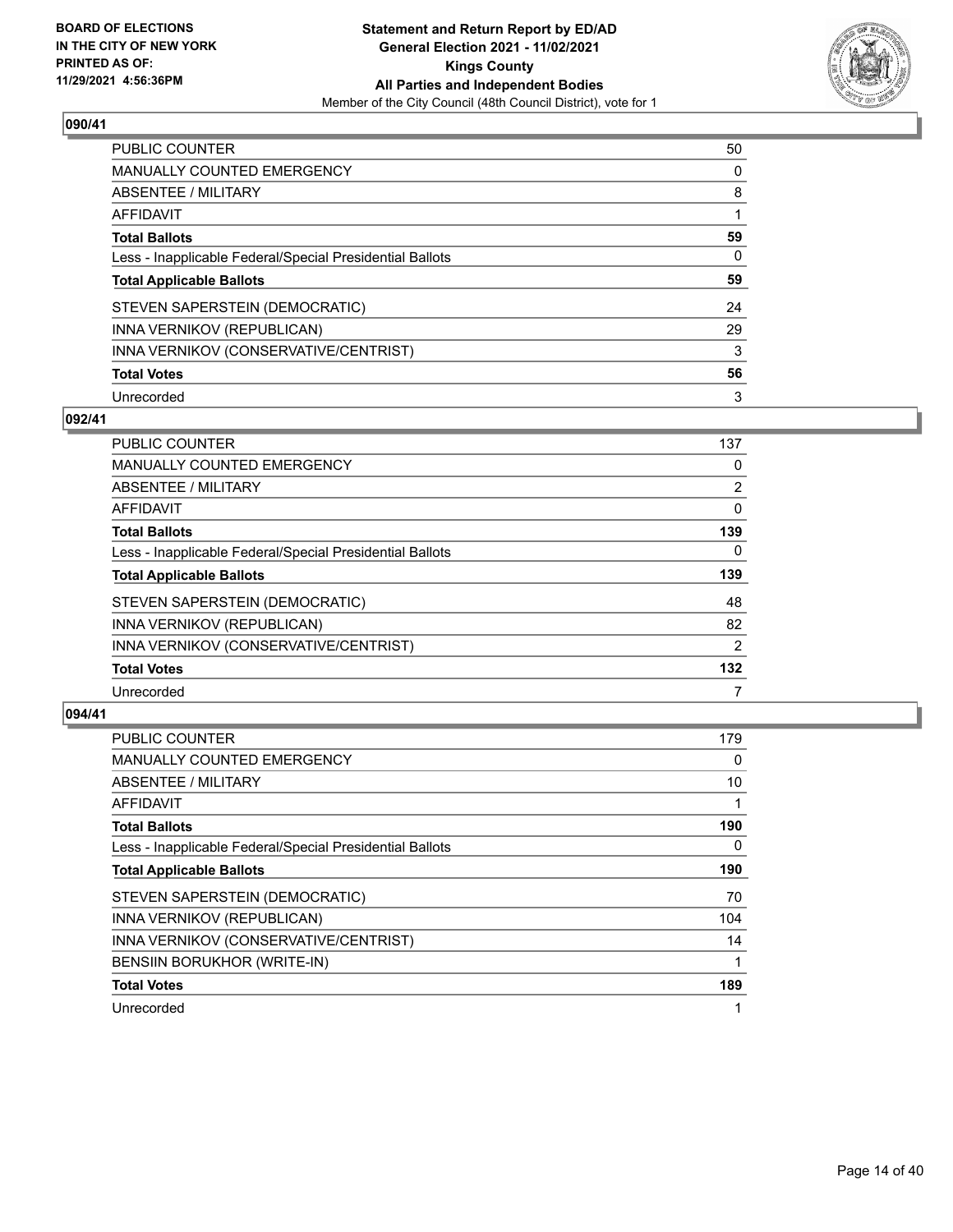

| PUBLIC COUNTER                                           | 50       |
|----------------------------------------------------------|----------|
| <b>MANUALLY COUNTED EMERGENCY</b>                        | $\Omega$ |
| <b>ABSENTEE / MILITARY</b>                               | 8        |
| AFFIDAVIT                                                |          |
| <b>Total Ballots</b>                                     | 59       |
| Less - Inapplicable Federal/Special Presidential Ballots | 0        |
| <b>Total Applicable Ballots</b>                          | 59       |
| STEVEN SAPERSTEIN (DEMOCRATIC)                           | 24       |
| INNA VERNIKOV (REPUBLICAN)                               | 29       |
| INNA VERNIKOV (CONSERVATIVE/CENTRIST)                    | 3        |
| <b>Total Votes</b>                                       | 56       |
| Unrecorded                                               | 3        |

#### **092/41**

| PUBLIC COUNTER                                           | 137            |
|----------------------------------------------------------|----------------|
| <b>MANUALLY COUNTED EMERGENCY</b>                        | 0              |
| ABSENTEE / MILITARY                                      | $\overline{2}$ |
| <b>AFFIDAVIT</b>                                         | 0              |
| <b>Total Ballots</b>                                     | 139            |
| Less - Inapplicable Federal/Special Presidential Ballots | $\Omega$       |
| <b>Total Applicable Ballots</b>                          | 139            |
| STEVEN SAPERSTEIN (DEMOCRATIC)                           | 48             |
| INNA VERNIKOV (REPUBLICAN)                               | 82             |
| INNA VERNIKOV (CONSERVATIVE/CENTRIST)                    | 2              |
| <b>Total Votes</b>                                       | 132            |
| Unrecorded                                               |                |

| <b>PUBLIC COUNTER</b>                                    | 179 |
|----------------------------------------------------------|-----|
| <b>MANUALLY COUNTED EMERGENCY</b>                        | 0   |
| ABSENTEE / MILITARY                                      | 10  |
| AFFIDAVIT                                                |     |
| <b>Total Ballots</b>                                     | 190 |
| Less - Inapplicable Federal/Special Presidential Ballots | 0   |
| <b>Total Applicable Ballots</b>                          | 190 |
| STEVEN SAPERSTEIN (DEMOCRATIC)                           | 70  |
| INNA VERNIKOV (REPUBLICAN)                               | 104 |
| INNA VERNIKOV (CONSERVATIVE/CENTRIST)                    | 14  |
| BENSIIN BORUKHOR (WRITE-IN)                              |     |
| <b>Total Votes</b>                                       | 189 |
| Unrecorded                                               |     |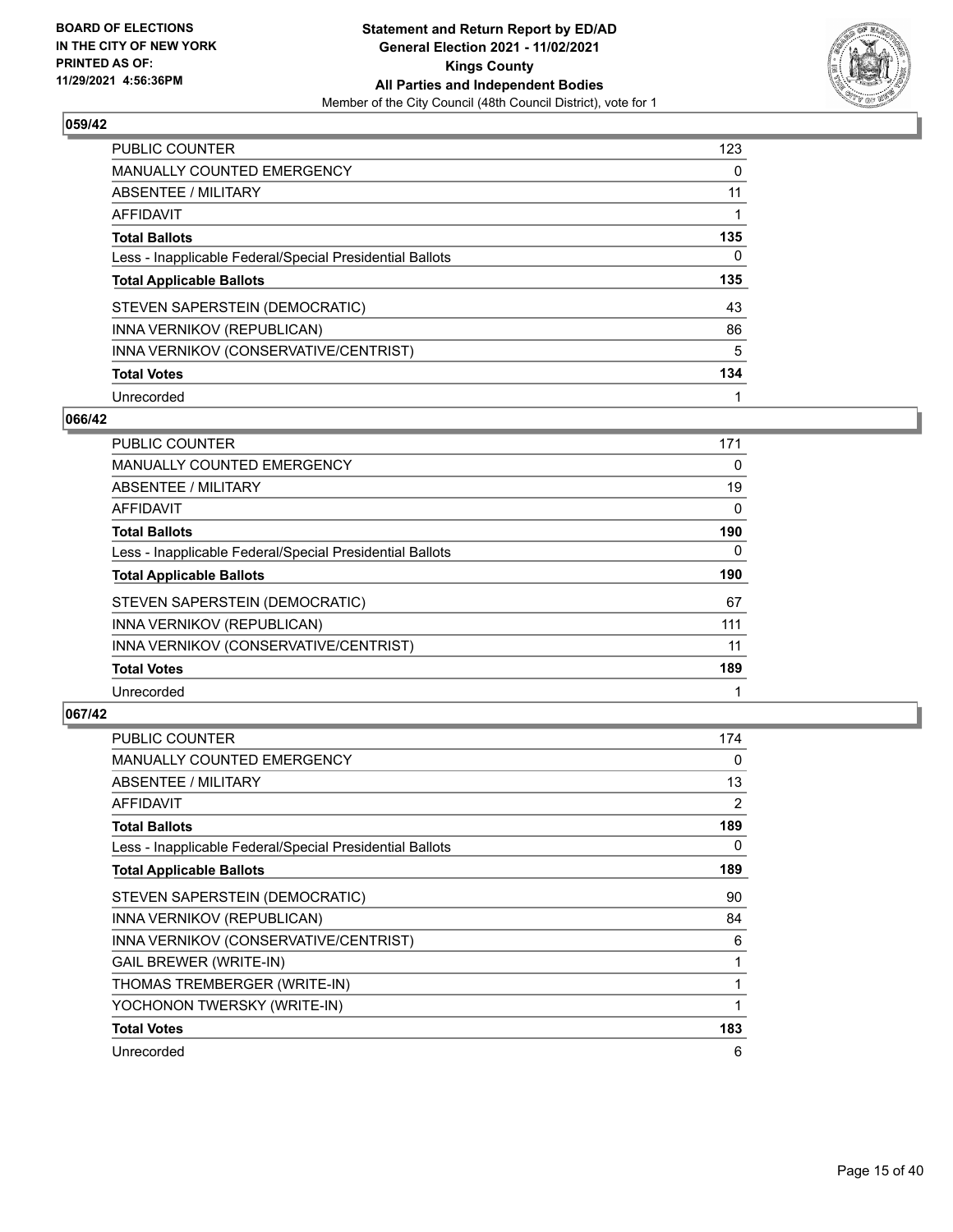

| <b>PUBLIC COUNTER</b>                                    | 123 |
|----------------------------------------------------------|-----|
| <b>MANUALLY COUNTED EMERGENCY</b>                        | 0   |
| ABSENTEE / MILITARY                                      | 11  |
| AFFIDAVIT                                                |     |
| <b>Total Ballots</b>                                     | 135 |
| Less - Inapplicable Federal/Special Presidential Ballots | 0   |
| <b>Total Applicable Ballots</b>                          | 135 |
|                                                          |     |
| STEVEN SAPERSTEIN (DEMOCRATIC)                           | 43  |
| INNA VERNIKOV (REPUBLICAN)                               | 86  |
| INNA VERNIKOV (CONSERVATIVE/CENTRIST)                    | 5   |
| <b>Total Votes</b>                                       | 134 |

#### **066/42**

| <b>PUBLIC COUNTER</b>                                    | 171      |
|----------------------------------------------------------|----------|
| MANUALLY COUNTED EMERGENCY                               | 0        |
| ABSENTEE / MILITARY                                      | 19       |
| <b>AFFIDAVIT</b>                                         | 0        |
| <b>Total Ballots</b>                                     | 190      |
| Less - Inapplicable Federal/Special Presidential Ballots | $\Omega$ |
| <b>Total Applicable Ballots</b>                          | 190      |
| STEVEN SAPERSTEIN (DEMOCRATIC)                           | 67       |
| INNA VERNIKOV (REPUBLICAN)                               | 111      |
| INNA VERNIKOV (CONSERVATIVE/CENTRIST)                    | 11       |
| <b>Total Votes</b>                                       | 189      |
| Unrecorded                                               |          |

| <b>PUBLIC COUNTER</b>                                    | 174          |
|----------------------------------------------------------|--------------|
| <b>MANUALLY COUNTED EMERGENCY</b>                        | 0            |
| ABSENTEE / MILITARY                                      | 13           |
| AFFIDAVIT                                                | 2            |
| <b>Total Ballots</b>                                     | 189          |
| Less - Inapplicable Federal/Special Presidential Ballots | 0            |
| <b>Total Applicable Ballots</b>                          | 189          |
| STEVEN SAPERSTEIN (DEMOCRATIC)                           | 90           |
| INNA VERNIKOV (REPUBLICAN)                               | 84           |
| INNA VERNIKOV (CONSERVATIVE/CENTRIST)                    | 6            |
| <b>GAIL BREWER (WRITE-IN)</b>                            | 1            |
| THOMAS TREMBERGER (WRITE-IN)                             | 1            |
| YOCHONON TWERSKY (WRITE-IN)                              | $\mathbf{1}$ |
| <b>Total Votes</b>                                       | 183          |
| Unrecorded                                               | 6            |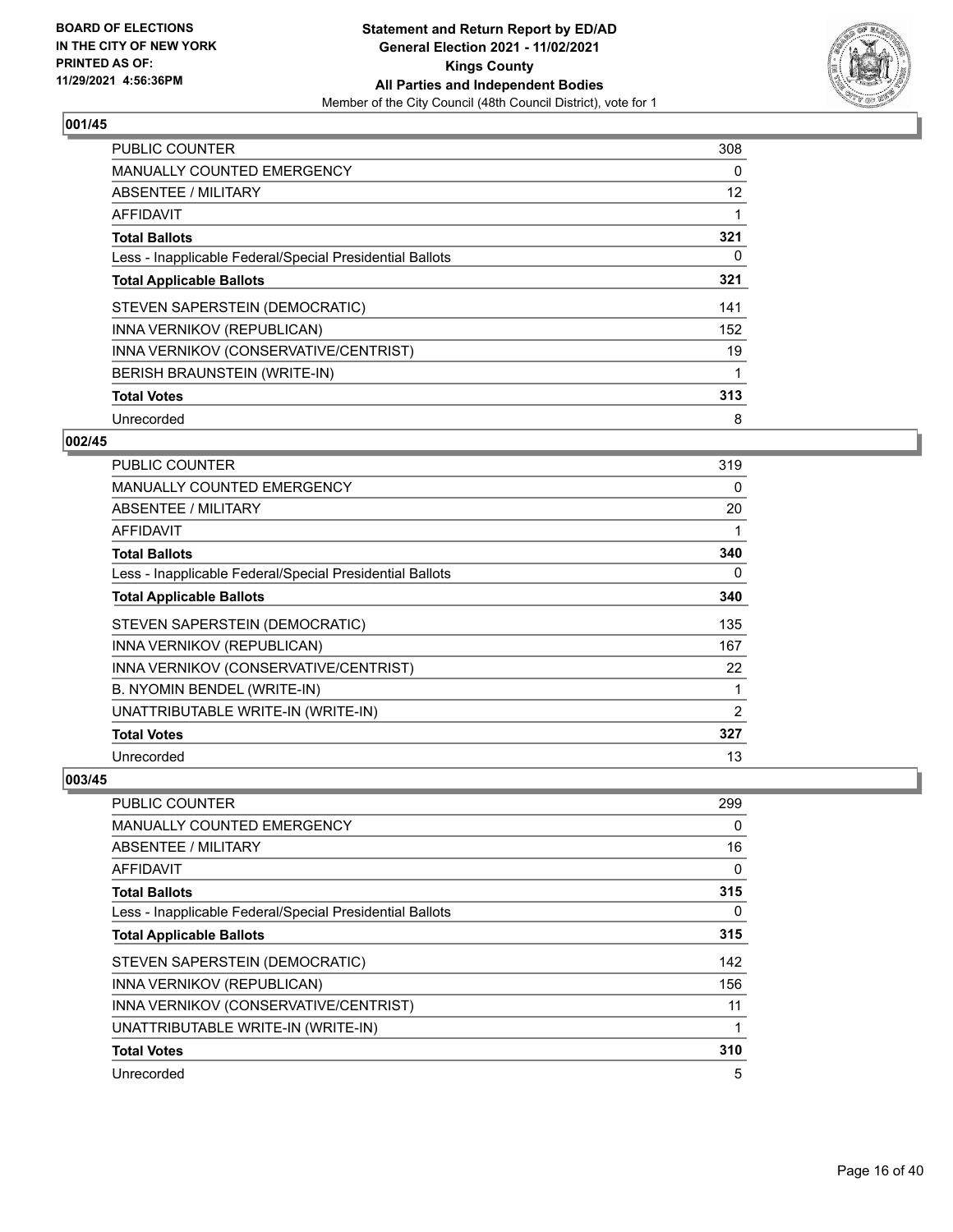

| <b>PUBLIC COUNTER</b>                                    | 308 |
|----------------------------------------------------------|-----|
| <b>MANUALLY COUNTED EMERGENCY</b>                        | 0   |
| ABSENTEE / MILITARY                                      | 12  |
| <b>AFFIDAVIT</b>                                         |     |
| <b>Total Ballots</b>                                     | 321 |
| Less - Inapplicable Federal/Special Presidential Ballots | 0   |
| <b>Total Applicable Ballots</b>                          | 321 |
| STEVEN SAPERSTEIN (DEMOCRATIC)                           | 141 |
| INNA VERNIKOV (REPUBLICAN)                               | 152 |
| INNA VERNIKOV (CONSERVATIVE/CENTRIST)                    | 19  |
| <b>BERISH BRAUNSTEIN (WRITE-IN)</b>                      |     |
| <b>Total Votes</b>                                       | 313 |
| Unrecorded                                               | 8   |

## **002/45**

| <b>PUBLIC COUNTER</b>                                    | 319 |
|----------------------------------------------------------|-----|
| <b>MANUALLY COUNTED EMERGENCY</b>                        | 0   |
| ABSENTEE / MILITARY                                      | 20  |
| AFFIDAVIT                                                |     |
| <b>Total Ballots</b>                                     | 340 |
| Less - Inapplicable Federal/Special Presidential Ballots | 0   |
| <b>Total Applicable Ballots</b>                          | 340 |
| STEVEN SAPERSTEIN (DEMOCRATIC)                           | 135 |
| INNA VERNIKOV (REPUBLICAN)                               | 167 |
| INNA VERNIKOV (CONSERVATIVE/CENTRIST)                    | 22  |
| B. NYOMIN BENDEL (WRITE-IN)                              | 1   |
| UNATTRIBUTABLE WRITE-IN (WRITE-IN)                       | 2   |
| <b>Total Votes</b>                                       | 327 |
| Unrecorded                                               | 13  |

| <b>PUBLIC COUNTER</b>                                    | 299      |
|----------------------------------------------------------|----------|
| MANUALLY COUNTED EMERGENCY                               | $\Omega$ |
| ABSENTEE / MILITARY                                      | 16       |
| AFFIDAVIT                                                | 0        |
| <b>Total Ballots</b>                                     | 315      |
| Less - Inapplicable Federal/Special Presidential Ballots | $\Omega$ |
| <b>Total Applicable Ballots</b>                          | 315      |
| STEVEN SAPERSTEIN (DEMOCRATIC)                           | 142      |
| INNA VERNIKOV (REPUBLICAN)                               | 156      |
| INNA VERNIKOV (CONSERVATIVE/CENTRIST)                    | 11       |
| UNATTRIBUTABLE WRITE-IN (WRITE-IN)                       |          |
| <b>Total Votes</b>                                       | 310      |
| Unrecorded                                               | 5        |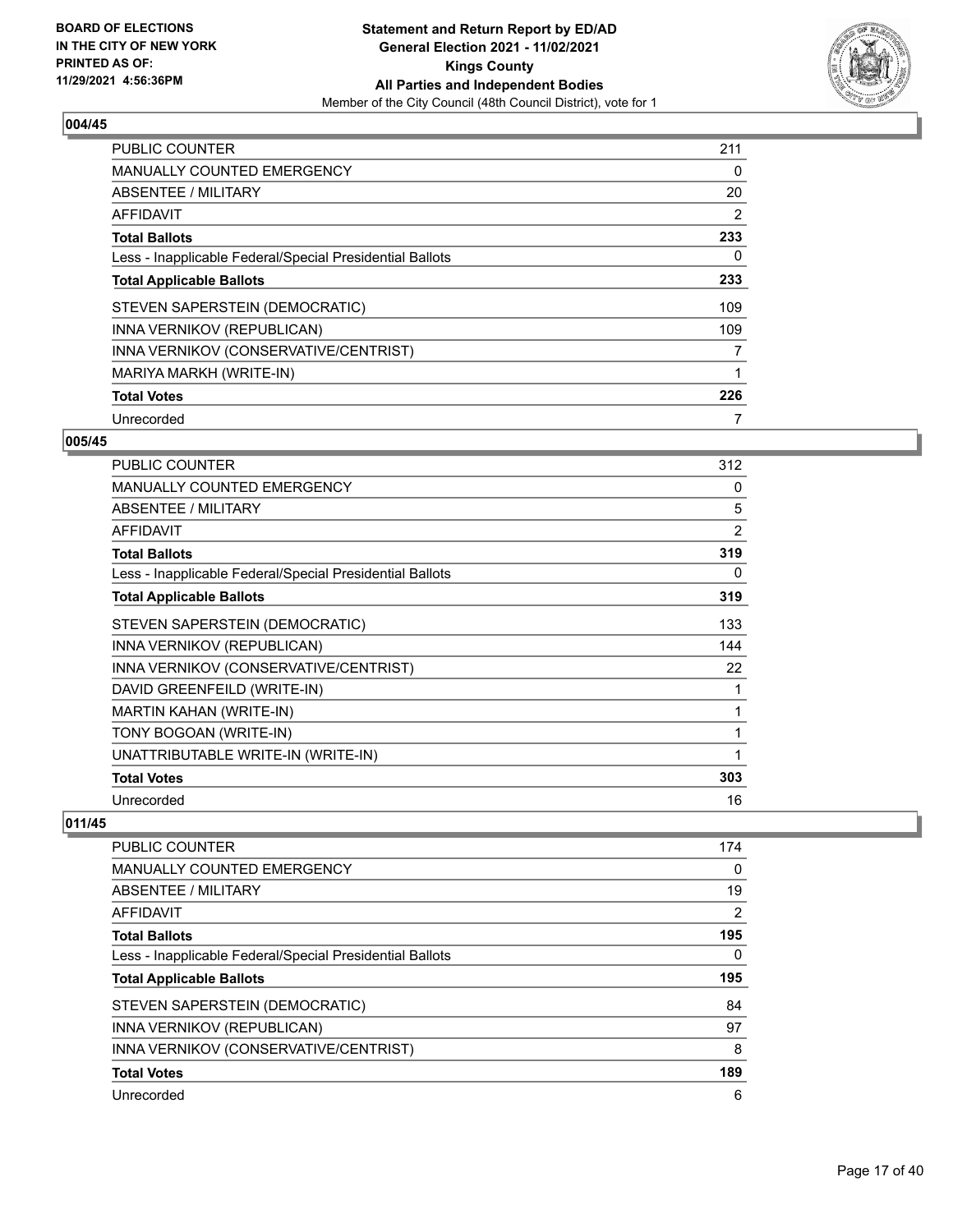

| <b>PUBLIC COUNTER</b>                                    | 211 |
|----------------------------------------------------------|-----|
| <b>MANUALLY COUNTED EMERGENCY</b>                        | 0   |
| ABSENTEE / MILITARY                                      | 20  |
| <b>AFFIDAVIT</b>                                         | 2   |
| <b>Total Ballots</b>                                     | 233 |
| Less - Inapplicable Federal/Special Presidential Ballots | 0   |
| <b>Total Applicable Ballots</b>                          | 233 |
| STEVEN SAPERSTEIN (DEMOCRATIC)                           | 109 |
| INNA VERNIKOV (REPUBLICAN)                               | 109 |
| INNA VERNIKOV (CONSERVATIVE/CENTRIST)                    | 7   |
| MARIYA MARKH (WRITE-IN)                                  |     |
| <b>Total Votes</b>                                       | 226 |
| Unrecorded                                               | 7   |

## **005/45**

| <b>PUBLIC COUNTER</b>                                    | 312            |
|----------------------------------------------------------|----------------|
| <b>MANUALLY COUNTED EMERGENCY</b>                        | 0              |
| ABSENTEE / MILITARY                                      | 5              |
| <b>AFFIDAVIT</b>                                         | $\overline{2}$ |
| <b>Total Ballots</b>                                     | 319            |
| Less - Inapplicable Federal/Special Presidential Ballots | 0              |
| <b>Total Applicable Ballots</b>                          | 319            |
| STEVEN SAPERSTEIN (DEMOCRATIC)                           | 133            |
| INNA VERNIKOV (REPUBLICAN)                               | 144            |
| INNA VERNIKOV (CONSERVATIVE/CENTRIST)                    | 22             |
| DAVID GREENFEILD (WRITE-IN)                              | 1              |
| MARTIN KAHAN (WRITE-IN)                                  | 1              |
| TONY BOGOAN (WRITE-IN)                                   | 1              |
| UNATTRIBUTABLE WRITE-IN (WRITE-IN)                       | 1              |
| <b>Total Votes</b>                                       | 303            |
| Unrecorded                                               | 16             |

| <b>PUBLIC COUNTER</b>                                    | 174 |
|----------------------------------------------------------|-----|
| MANUALLY COUNTED EMERGENCY                               | 0   |
| ABSENTEE / MILITARY                                      | 19  |
| AFFIDAVIT                                                | 2   |
| <b>Total Ballots</b>                                     | 195 |
| Less - Inapplicable Federal/Special Presidential Ballots | 0   |
| <b>Total Applicable Ballots</b>                          | 195 |
| STEVEN SAPERSTEIN (DEMOCRATIC)                           | 84  |
| INNA VERNIKOV (REPUBLICAN)                               | 97  |
| INNA VERNIKOV (CONSERVATIVE/CENTRIST)                    | 8   |
| <b>Total Votes</b>                                       | 189 |
| Unrecorded                                               | 6   |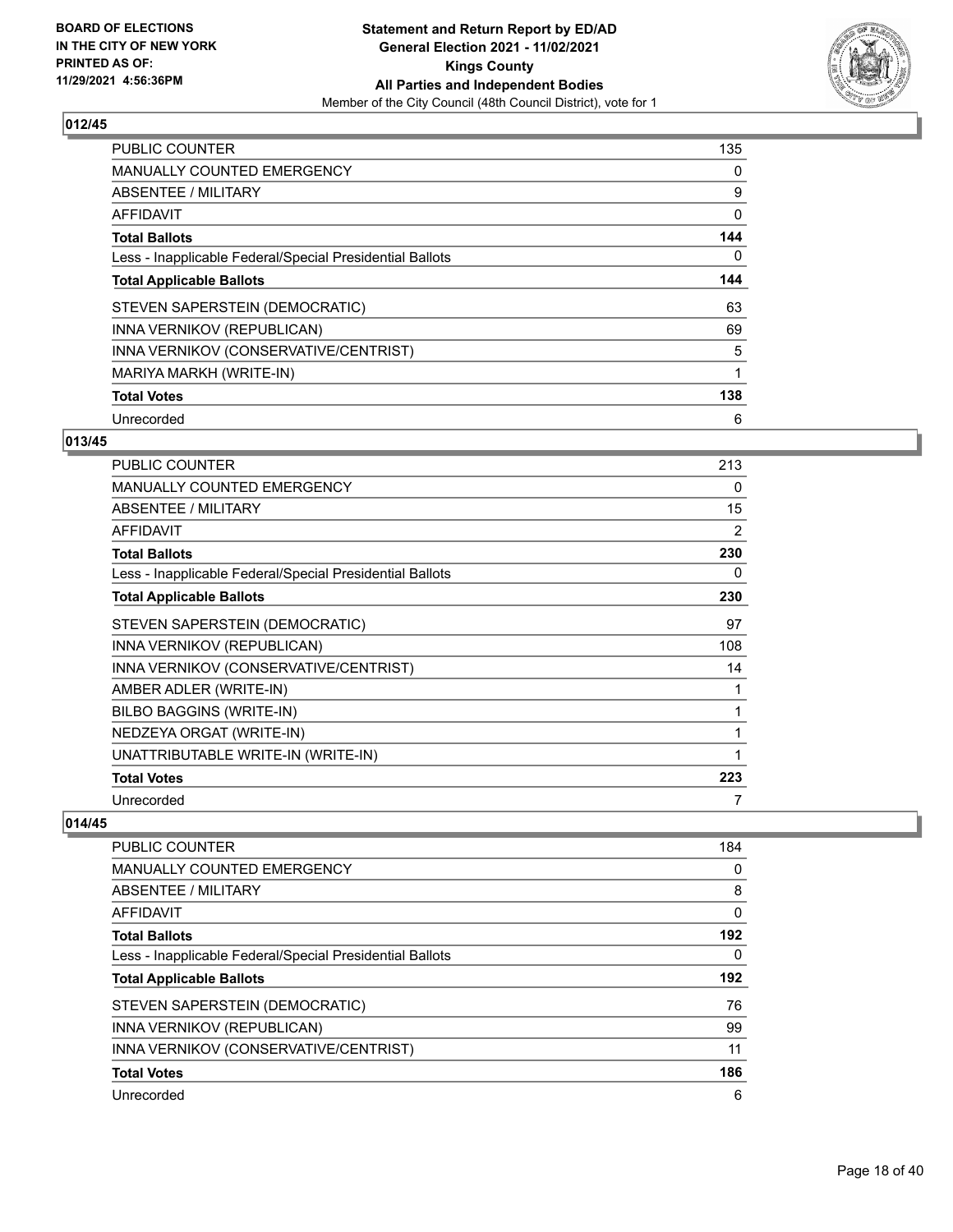

| <b>PUBLIC COUNTER</b>                                    | 135 |
|----------------------------------------------------------|-----|
| <b>MANUALLY COUNTED EMERGENCY</b>                        | 0   |
| ABSENTEE / MILITARY                                      | 9   |
| AFFIDAVIT                                                | 0   |
| <b>Total Ballots</b>                                     | 144 |
| Less - Inapplicable Federal/Special Presidential Ballots | 0   |
| <b>Total Applicable Ballots</b>                          | 144 |
| STEVEN SAPERSTEIN (DEMOCRATIC)                           | 63  |
| INNA VERNIKOV (REPUBLICAN)                               | 69  |
| INNA VERNIKOV (CONSERVATIVE/CENTRIST)                    | 5   |
| MARIYA MARKH (WRITE-IN)                                  | 1   |
| <b>Total Votes</b>                                       | 138 |
| Unrecorded                                               | 6   |

# **013/45**

| <b>PUBLIC COUNTER</b>                                    | 213 |
|----------------------------------------------------------|-----|
| <b>MANUALLY COUNTED EMERGENCY</b>                        | 0   |
| <b>ABSENTEE / MILITARY</b>                               | 15  |
| <b>AFFIDAVIT</b>                                         | 2   |
| <b>Total Ballots</b>                                     | 230 |
| Less - Inapplicable Federal/Special Presidential Ballots | 0   |
| <b>Total Applicable Ballots</b>                          | 230 |
| STEVEN SAPERSTEIN (DEMOCRATIC)                           | 97  |
| INNA VERNIKOV (REPUBLICAN)                               | 108 |
| INNA VERNIKOV (CONSERVATIVE/CENTRIST)                    | 14  |
| AMBER ADLER (WRITE-IN)                                   |     |
| BILBO BAGGINS (WRITE-IN)                                 | 1   |
| NEDZEYA ORGAT (WRITE-IN)                                 | 1   |
| UNATTRIBUTABLE WRITE-IN (WRITE-IN)                       |     |
| <b>Total Votes</b>                                       | 223 |
| Unrecorded                                               | 7   |

| <b>PUBLIC COUNTER</b>                                    | 184 |
|----------------------------------------------------------|-----|
| <b>MANUALLY COUNTED EMERGENCY</b>                        | 0   |
| ABSENTEE / MILITARY                                      | 8   |
| AFFIDAVIT                                                | 0   |
| <b>Total Ballots</b>                                     | 192 |
| Less - Inapplicable Federal/Special Presidential Ballots | 0   |
| <b>Total Applicable Ballots</b>                          | 192 |
| STEVEN SAPERSTEIN (DEMOCRATIC)                           | 76  |
| INNA VERNIKOV (REPUBLICAN)                               | 99  |
| INNA VERNIKOV (CONSERVATIVE/CENTRIST)                    | 11  |
| <b>Total Votes</b>                                       | 186 |
| Unrecorded                                               | 6   |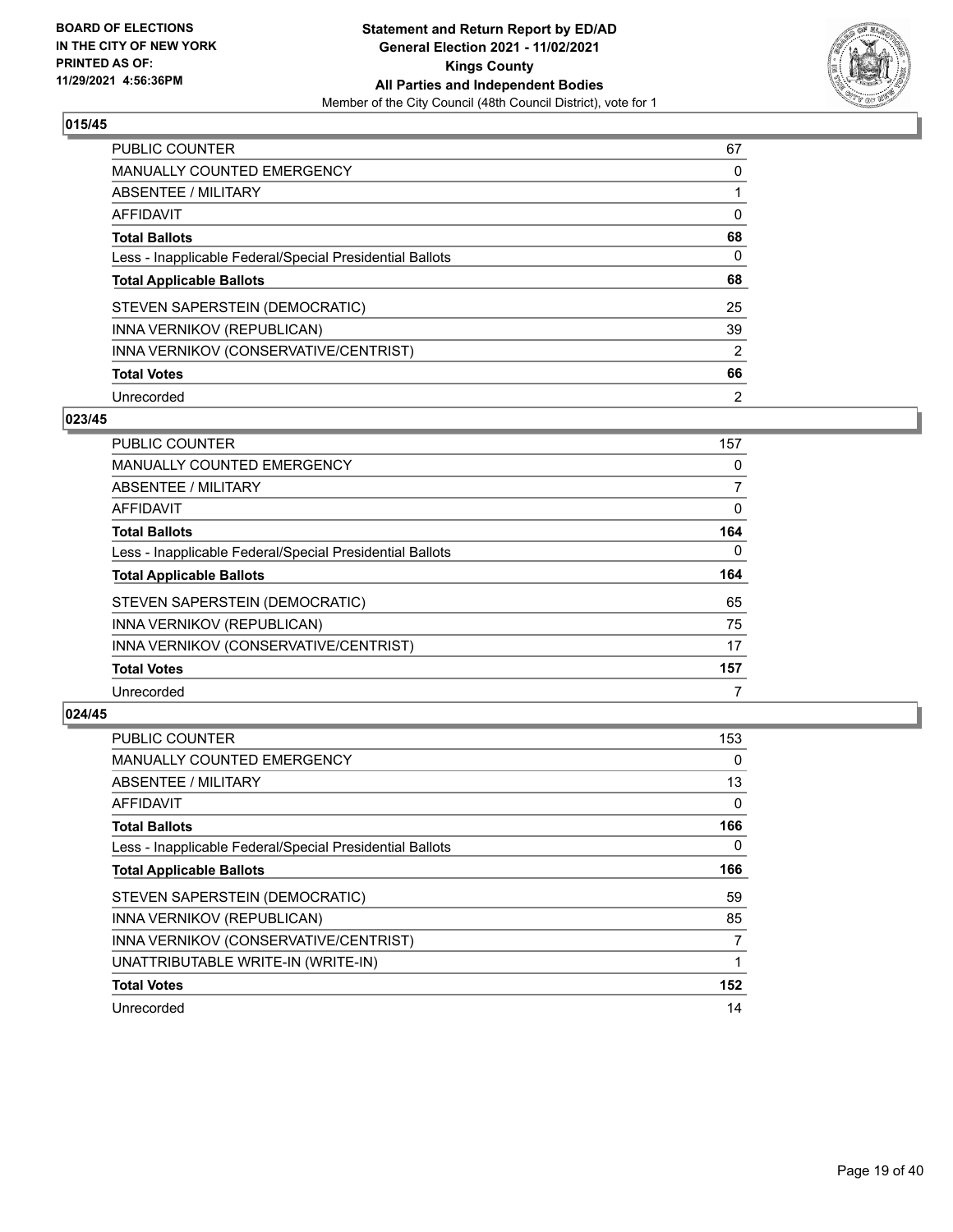

| PUBLIC COUNTER                                           | 67             |
|----------------------------------------------------------|----------------|
| <b>MANUALLY COUNTED EMERGENCY</b>                        | $\Omega$       |
| ABSENTEE / MILITARY                                      |                |
| AFFIDAVIT                                                | 0              |
| <b>Total Ballots</b>                                     | 68             |
| Less - Inapplicable Federal/Special Presidential Ballots | 0              |
| <b>Total Applicable Ballots</b>                          | 68             |
| STEVEN SAPERSTEIN (DEMOCRATIC)                           | 25             |
| INNA VERNIKOV (REPUBLICAN)                               | 39             |
| INNA VERNIKOV (CONSERVATIVE/CENTRIST)                    | 2              |
| <b>Total Votes</b>                                       | 66             |
| Unrecorded                                               | $\overline{2}$ |

#### **023/45**

| PUBLIC COUNTER                                           | 157      |
|----------------------------------------------------------|----------|
| <b>MANUALLY COUNTED EMERGENCY</b>                        | 0        |
| ABSENTEE / MILITARY                                      | 7        |
| <b>AFFIDAVIT</b>                                         | 0        |
| <b>Total Ballots</b>                                     | 164      |
| Less - Inapplicable Federal/Special Presidential Ballots | $\Omega$ |
| <b>Total Applicable Ballots</b>                          | 164      |
| STEVEN SAPERSTEIN (DEMOCRATIC)                           | 65       |
| INNA VERNIKOV (REPUBLICAN)                               | 75       |
| INNA VERNIKOV (CONSERVATIVE/CENTRIST)                    | 17       |
| <b>Total Votes</b>                                       | 157      |
| Unrecorded                                               |          |

| PUBLIC COUNTER                                           | 153 |
|----------------------------------------------------------|-----|
| MANUALLY COUNTED EMERGENCY                               | 0   |
| ABSENTEE / MILITARY                                      | 13  |
| AFFIDAVIT                                                | 0   |
| <b>Total Ballots</b>                                     | 166 |
| Less - Inapplicable Federal/Special Presidential Ballots | 0   |
| <b>Total Applicable Ballots</b>                          | 166 |
| STEVEN SAPERSTEIN (DEMOCRATIC)                           | 59  |
| INNA VERNIKOV (REPUBLICAN)                               | 85  |
| INNA VERNIKOV (CONSERVATIVE/CENTRIST)                    | 7   |
| UNATTRIBUTABLE WRITE-IN (WRITE-IN)                       |     |
| <b>Total Votes</b>                                       | 152 |
| Unrecorded                                               | 14  |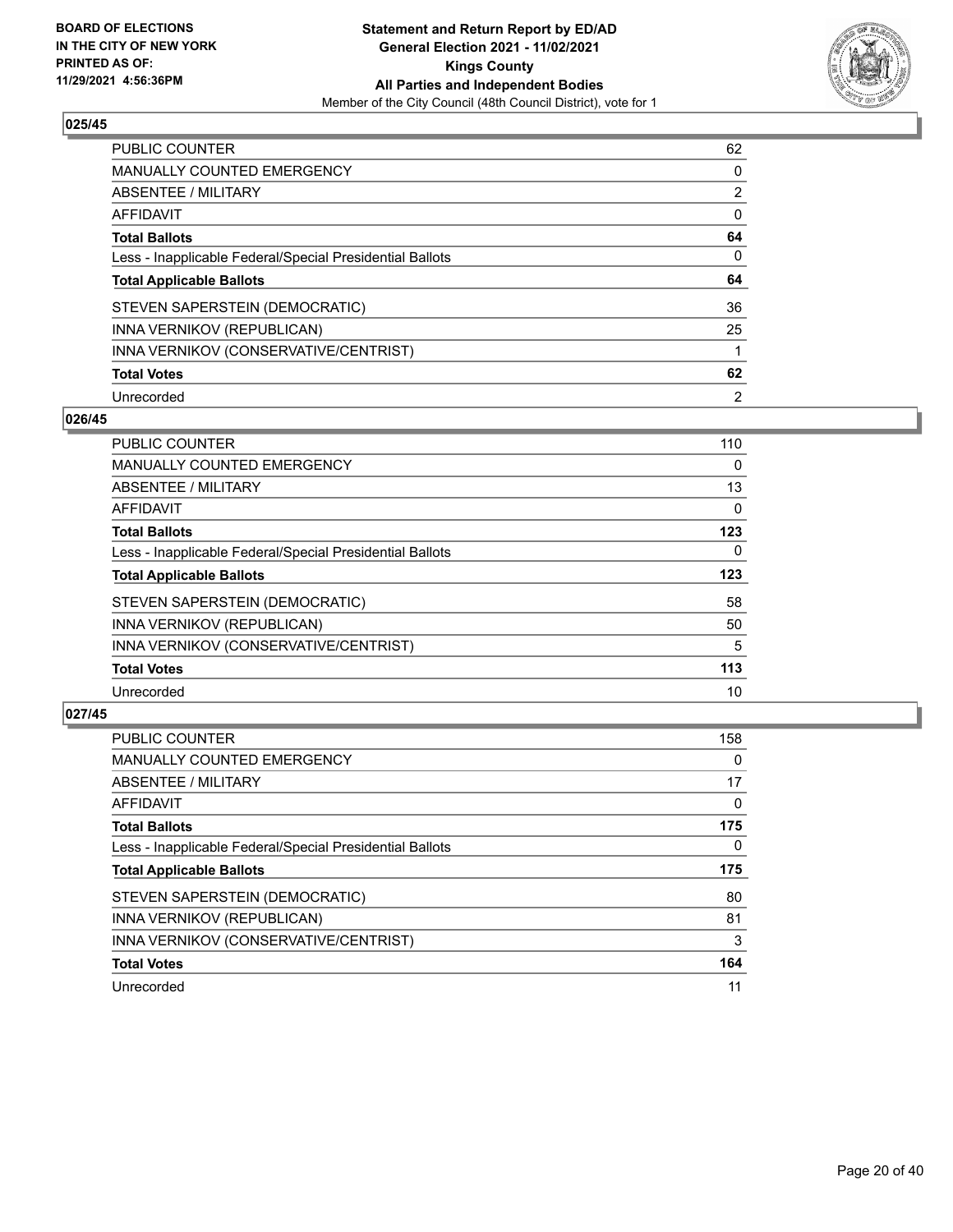

| PUBLIC COUNTER                                           | 62             |
|----------------------------------------------------------|----------------|
| <b>MANUALLY COUNTED EMERGENCY</b>                        | 0              |
| ABSENTEE / MILITARY                                      | $\overline{2}$ |
| AFFIDAVIT                                                | $\Omega$       |
| <b>Total Ballots</b>                                     | 64             |
| Less - Inapplicable Federal/Special Presidential Ballots | 0              |
| <b>Total Applicable Ballots</b>                          | 64             |
| STEVEN SAPERSTEIN (DEMOCRATIC)                           | 36             |
| INNA VERNIKOV (REPUBLICAN)                               | 25             |
| INNA VERNIKOV (CONSERVATIVE/CENTRIST)                    |                |
|                                                          |                |
| <b>Total Votes</b>                                       | 62             |

#### **026/45**

| <b>PUBLIC COUNTER</b>                                    | 110 |
|----------------------------------------------------------|-----|
| MANUALLY COUNTED EMERGENCY                               | 0   |
| ABSENTEE / MILITARY                                      | 13  |
| <b>AFFIDAVIT</b>                                         | 0   |
| <b>Total Ballots</b>                                     | 123 |
| Less - Inapplicable Federal/Special Presidential Ballots | 0   |
| <b>Total Applicable Ballots</b>                          | 123 |
| STEVEN SAPERSTEIN (DEMOCRATIC)                           | 58  |
| INNA VERNIKOV (REPUBLICAN)                               | 50  |
| INNA VERNIKOV (CONSERVATIVE/CENTRIST)                    | 5   |
| <b>Total Votes</b>                                       | 113 |
| Unrecorded                                               | 10  |

| <b>PUBLIC COUNTER</b>                                    | 158      |
|----------------------------------------------------------|----------|
| <b>MANUALLY COUNTED EMERGENCY</b>                        | 0        |
| ABSENTEE / MILITARY                                      | 17       |
| AFFIDAVIT                                                | $\Omega$ |
| <b>Total Ballots</b>                                     | 175      |
| Less - Inapplicable Federal/Special Presidential Ballots | 0        |
| <b>Total Applicable Ballots</b>                          | 175      |
|                                                          |          |
| STEVEN SAPERSTEIN (DEMOCRATIC)                           | 80       |
| INNA VERNIKOV (REPUBLICAN)                               | 81       |
| INNA VERNIKOV (CONSERVATIVE/CENTRIST)                    | 3        |
| <b>Total Votes</b>                                       | 164      |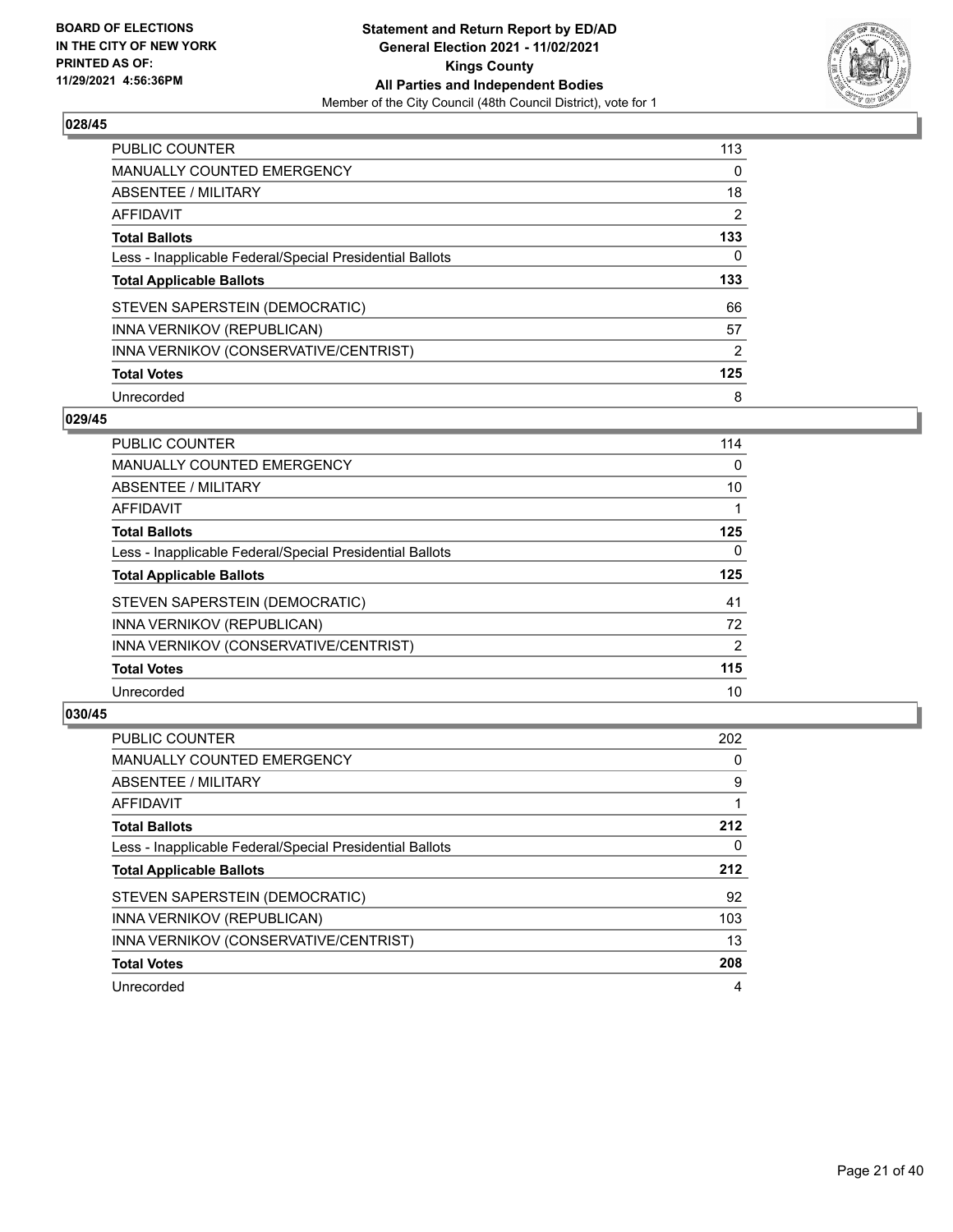

| <b>PUBLIC COUNTER</b>                                    | 113 |
|----------------------------------------------------------|-----|
| <b>MANUALLY COUNTED EMERGENCY</b>                        | 0   |
| ABSENTEE / MILITARY                                      | 18  |
| AFFIDAVIT                                                | 2   |
| <b>Total Ballots</b>                                     | 133 |
| Less - Inapplicable Federal/Special Presidential Ballots | 0   |
| <b>Total Applicable Ballots</b>                          | 133 |
|                                                          |     |
| STEVEN SAPERSTEIN (DEMOCRATIC)                           | 66  |
| INNA VERNIKOV (REPUBLICAN)                               | 57  |
| INNA VERNIKOV (CONSERVATIVE/CENTRIST)                    | 2   |
| <b>Total Votes</b>                                       | 125 |

#### **029/45**

| <b>PUBLIC COUNTER</b>                                    | 114      |
|----------------------------------------------------------|----------|
| MANUALLY COUNTED EMERGENCY                               | $\Omega$ |
| ABSENTEE / MILITARY                                      | 10       |
| AFFIDAVIT                                                |          |
| <b>Total Ballots</b>                                     | 125      |
| Less - Inapplicable Federal/Special Presidential Ballots | $\Omega$ |
| <b>Total Applicable Ballots</b>                          | 125      |
| STEVEN SAPERSTEIN (DEMOCRATIC)                           | 41       |
| INNA VERNIKOV (REPUBLICAN)                               | 72       |
| INNA VERNIKOV (CONSERVATIVE/CENTRIST)                    | 2        |
| <b>Total Votes</b>                                       | 115      |
| Unrecorded                                               | 10       |

| <b>PUBLIC COUNTER</b>                                    | 202 |
|----------------------------------------------------------|-----|
| <b>MANUALLY COUNTED EMERGENCY</b>                        | 0   |
| ABSENTEE / MILITARY                                      | 9   |
| <b>AFFIDAVIT</b>                                         |     |
| <b>Total Ballots</b>                                     | 212 |
| Less - Inapplicable Federal/Special Presidential Ballots | 0   |
| <b>Total Applicable Ballots</b>                          | 212 |
| STEVEN SAPERSTEIN (DEMOCRATIC)                           | 92  |
| INNA VERNIKOV (REPUBLICAN)                               | 103 |
| INNA VERNIKOV (CONSERVATIVE/CENTRIST)                    | 13  |
| <b>Total Votes</b>                                       | 208 |
| Unrecorded                                               | 4   |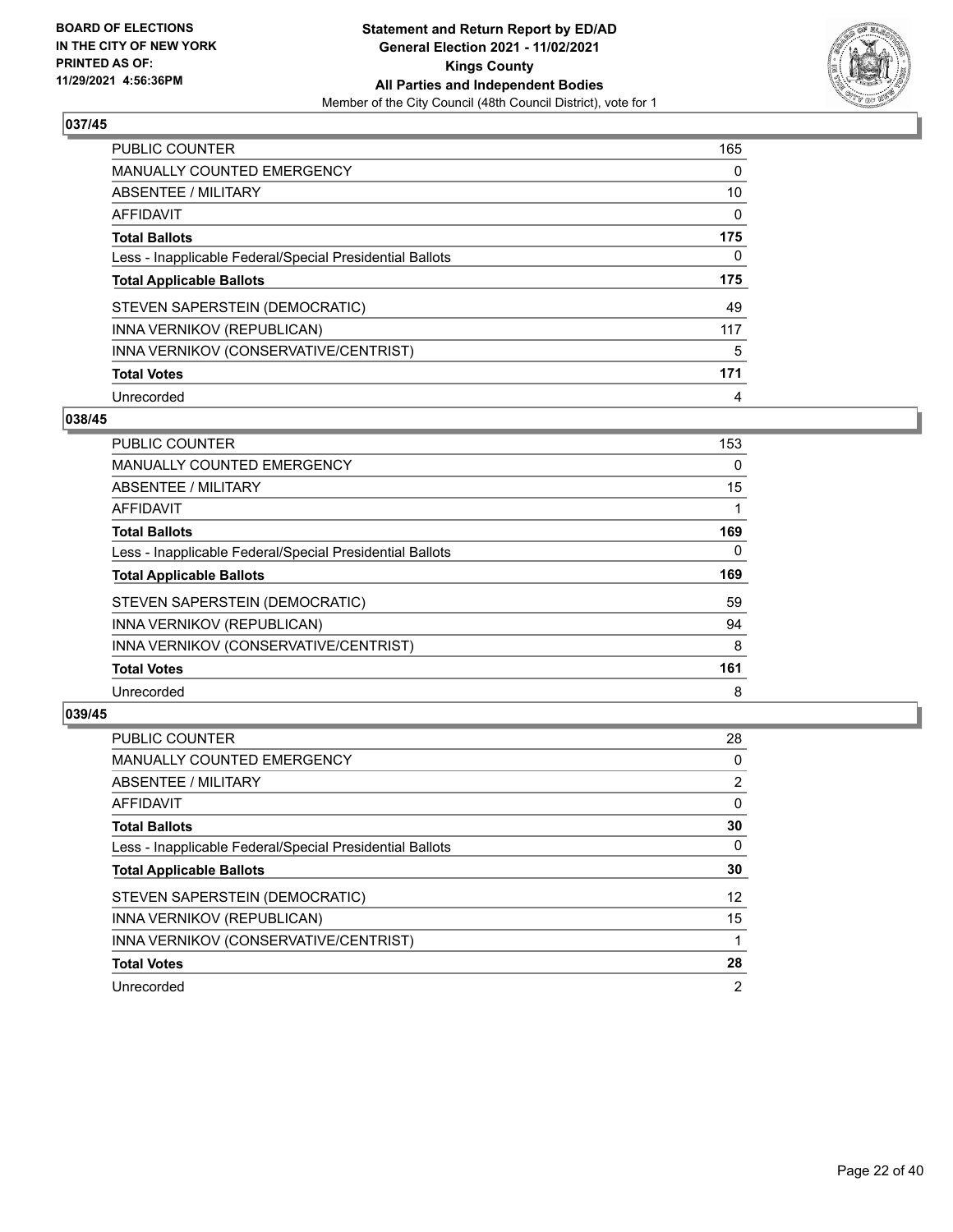

| <b>PUBLIC COUNTER</b>                                    | 165 |
|----------------------------------------------------------|-----|
| <b>MANUALLY COUNTED EMERGENCY</b>                        | 0   |
| ABSENTEE / MILITARY                                      | 10  |
| <b>AFFIDAVIT</b>                                         | 0   |
| <b>Total Ballots</b>                                     | 175 |
| Less - Inapplicable Federal/Special Presidential Ballots | 0   |
|                                                          |     |
| <b>Total Applicable Ballots</b>                          | 175 |
| STEVEN SAPERSTEIN (DEMOCRATIC)                           | 49  |
| INNA VERNIKOV (REPUBLICAN)                               | 117 |
| INNA VERNIKOV (CONSERVATIVE/CENTRIST)                    | 5   |
| <b>Total Votes</b>                                       | 171 |

#### **038/45**

| <b>PUBLIC COUNTER</b>                                    | 153      |
|----------------------------------------------------------|----------|
| <b>MANUALLY COUNTED EMERGENCY</b>                        | 0        |
| ABSENTEE / MILITARY                                      | 15       |
| AFFIDAVIT                                                |          |
| <b>Total Ballots</b>                                     | 169      |
| Less - Inapplicable Federal/Special Presidential Ballots | $\Omega$ |
| <b>Total Applicable Ballots</b>                          | 169      |
| STEVEN SAPERSTEIN (DEMOCRATIC)                           | 59       |
| INNA VERNIKOV (REPUBLICAN)                               | 94       |
| INNA VERNIKOV (CONSERVATIVE/CENTRIST)                    | 8        |
| <b>Total Votes</b>                                       | 161      |
| Unrecorded                                               | 8        |

| <b>PUBLIC COUNTER</b>                                    | 28             |
|----------------------------------------------------------|----------------|
| MANUALLY COUNTED EMERGENCY                               | 0              |
| ABSENTEE / MILITARY                                      | $\overline{2}$ |
| AFFIDAVIT                                                | $\Omega$       |
| <b>Total Ballots</b>                                     | 30             |
| Less - Inapplicable Federal/Special Presidential Ballots | $\Omega$       |
| <b>Total Applicable Ballots</b>                          | 30             |
| STEVEN SAPERSTEIN (DEMOCRATIC)                           | 12             |
| INNA VERNIKOV (REPUBLICAN)                               | 15             |
| INNA VERNIKOV (CONSERVATIVE/CENTRIST)                    |                |
| <b>Total Votes</b>                                       | 28             |
| Unrecorded                                               | $\overline{2}$ |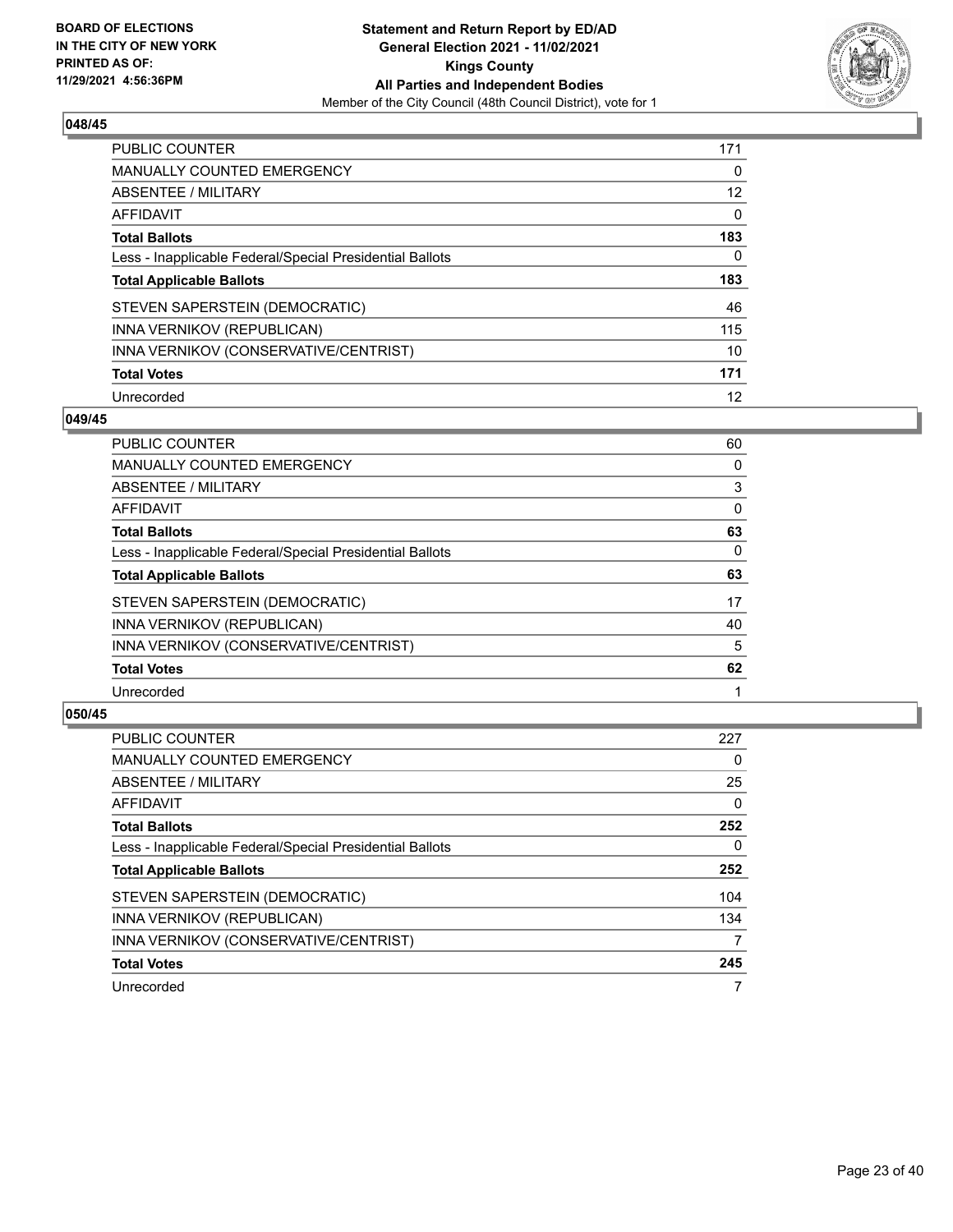

| <b>PUBLIC COUNTER</b>                                    | 171      |
|----------------------------------------------------------|----------|
| <b>MANUALLY COUNTED EMERGENCY</b>                        | $\Omega$ |
| ABSENTEE / MILITARY                                      | 12       |
| AFFIDAVIT                                                | $\Omega$ |
| <b>Total Ballots</b>                                     | 183      |
| Less - Inapplicable Federal/Special Presidential Ballots | 0        |
| <b>Total Applicable Ballots</b>                          | 183      |
| STEVEN SAPERSTEIN (DEMOCRATIC)                           | 46       |
| INNA VERNIKOV (REPUBLICAN)                               | 115      |
| INNA VERNIKOV (CONSERVATIVE/CENTRIST)                    | 10       |
| <b>Total Votes</b>                                       | 171      |
| Unrecorded                                               | 12       |

#### **049/45**

| <b>PUBLIC COUNTER</b>                                    | 60 |
|----------------------------------------------------------|----|
| MANUALLY COUNTED EMERGENCY                               | 0  |
| ABSENTEE / MILITARY                                      | 3  |
| <b>AFFIDAVIT</b>                                         | 0  |
| <b>Total Ballots</b>                                     | 63 |
| Less - Inapplicable Federal/Special Presidential Ballots | 0  |
| <b>Total Applicable Ballots</b>                          | 63 |
| STEVEN SAPERSTEIN (DEMOCRATIC)                           | 17 |
| INNA VERNIKOV (REPUBLICAN)                               | 40 |
| INNA VERNIKOV (CONSERVATIVE/CENTRIST)                    | 5  |
| <b>Total Votes</b>                                       | 62 |
| Unrecorded                                               |    |

| <b>PUBLIC COUNTER</b>                                    | 227      |
|----------------------------------------------------------|----------|
| <b>MANUALLY COUNTED EMERGENCY</b>                        | 0        |
| ABSENTEE / MILITARY                                      | 25       |
| <b>AFFIDAVIT</b>                                         | $\Omega$ |
| <b>Total Ballots</b>                                     | 252      |
| Less - Inapplicable Federal/Special Presidential Ballots | 0        |
| <b>Total Applicable Ballots</b>                          | 252      |
| STEVEN SAPERSTEIN (DEMOCRATIC)                           | 104      |
| INNA VERNIKOV (REPUBLICAN)                               | 134      |
| INNA VERNIKOV (CONSERVATIVE/CENTRIST)                    | 7        |
| <b>Total Votes</b>                                       | 245      |
| Unrecorded                                               |          |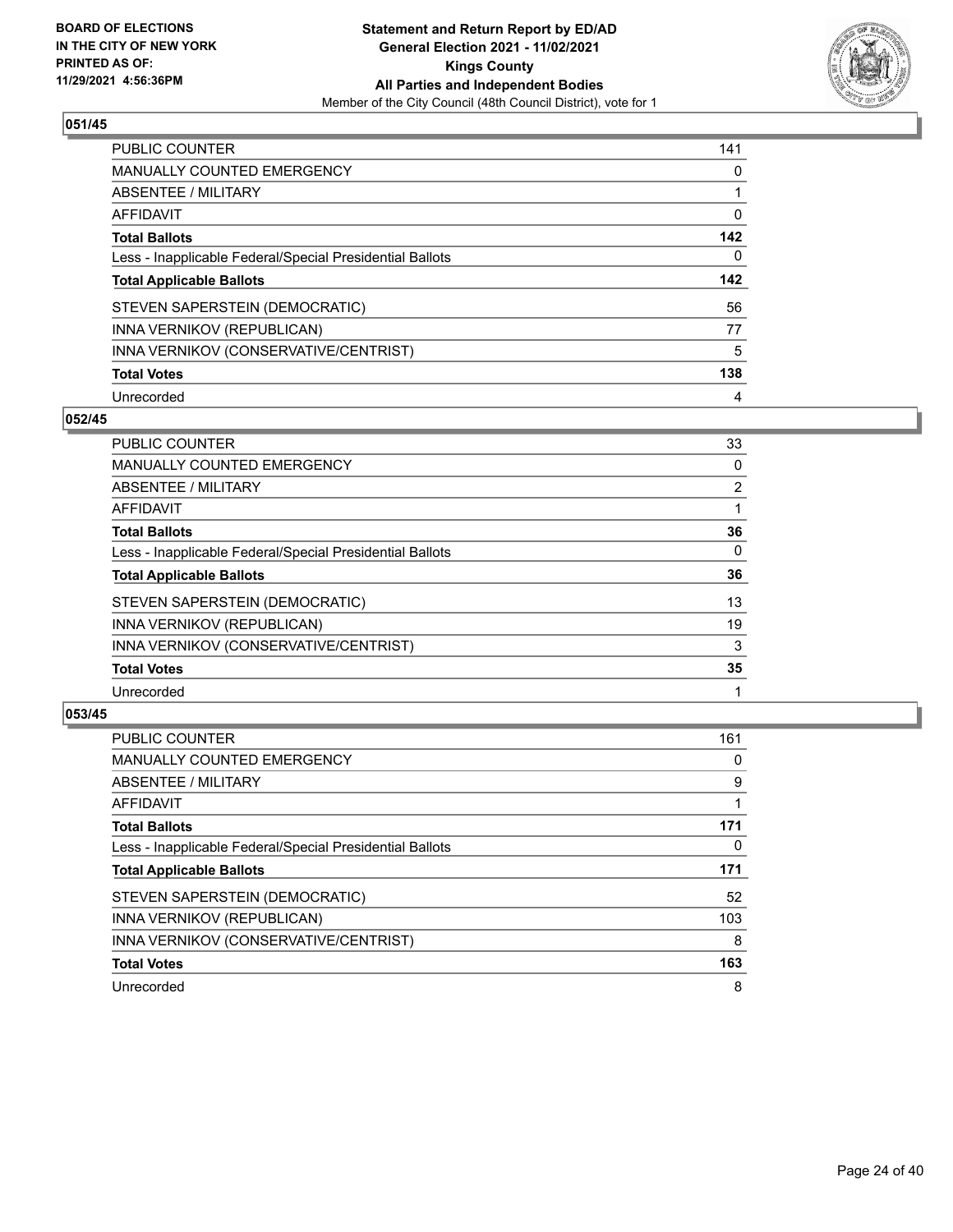

| <b>PUBLIC COUNTER</b>                                    | 141 |
|----------------------------------------------------------|-----|
| <b>MANUALLY COUNTED EMERGENCY</b>                        | 0   |
| ABSENTEE / MILITARY                                      |     |
| AFFIDAVIT                                                | 0   |
| <b>Total Ballots</b>                                     | 142 |
| Less - Inapplicable Federal/Special Presidential Ballots | 0   |
| <b>Total Applicable Ballots</b>                          | 142 |
|                                                          |     |
| STEVEN SAPERSTEIN (DEMOCRATIC)                           | 56  |
| INNA VERNIKOV (REPUBLICAN)                               | 77  |
| INNA VERNIKOV (CONSERVATIVE/CENTRIST)                    | 5   |
| <b>Total Votes</b>                                       | 138 |

#### **052/45**

| PUBLIC COUNTER                                           | 33             |
|----------------------------------------------------------|----------------|
| <b>MANUALLY COUNTED EMERGENCY</b>                        | $\Omega$       |
| ABSENTEE / MILITARY                                      | $\overline{2}$ |
| <b>AFFIDAVIT</b>                                         |                |
| <b>Total Ballots</b>                                     | 36             |
| Less - Inapplicable Federal/Special Presidential Ballots | $\Omega$       |
| <b>Total Applicable Ballots</b>                          | 36             |
| STEVEN SAPERSTEIN (DEMOCRATIC)                           | 13             |
| INNA VERNIKOV (REPUBLICAN)                               | 19             |
| INNA VERNIKOV (CONSERVATIVE/CENTRIST)                    | 3              |
| <b>Total Votes</b>                                       | 35             |
| Unrecorded                                               |                |

| <b>PUBLIC COUNTER</b>                                    | 161 |
|----------------------------------------------------------|-----|
| <b>MANUALLY COUNTED EMERGENCY</b>                        | 0   |
| ABSENTEE / MILITARY                                      | 9   |
| AFFIDAVIT                                                |     |
| <b>Total Ballots</b>                                     | 171 |
| Less - Inapplicable Federal/Special Presidential Ballots | 0   |
| <b>Total Applicable Ballots</b>                          | 171 |
| STEVEN SAPERSTEIN (DEMOCRATIC)                           | 52  |
| INNA VERNIKOV (REPUBLICAN)                               | 103 |
| INNA VERNIKOV (CONSERVATIVE/CENTRIST)                    | 8   |
| <b>Total Votes</b>                                       | 163 |
| Unrecorded                                               | 8   |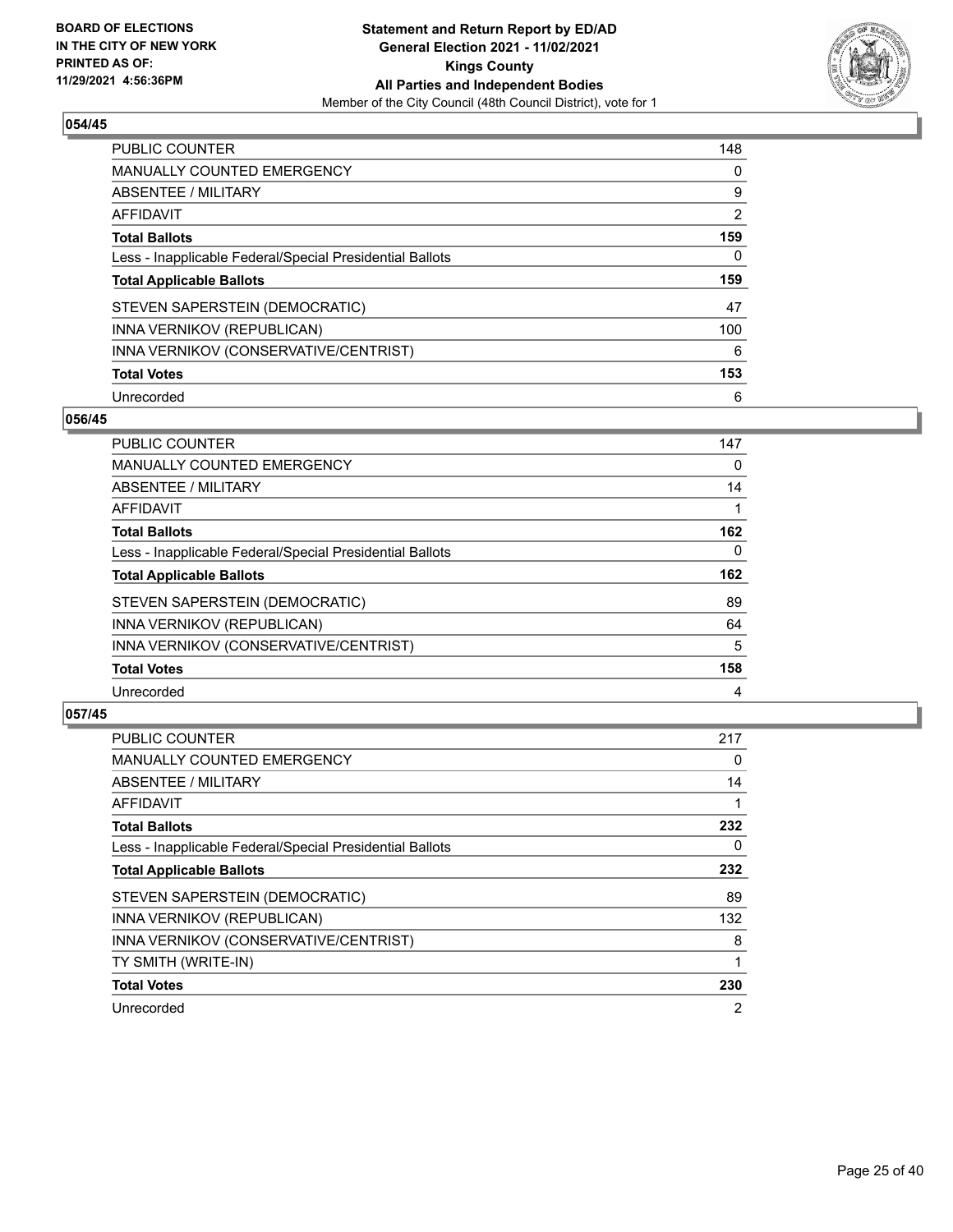

| <b>PUBLIC COUNTER</b>                                    | 148 |
|----------------------------------------------------------|-----|
| MANUALLY COUNTED EMERGENCY                               | 0   |
| ABSENTEE / MILITARY                                      | 9   |
| AFFIDAVIT                                                | 2   |
| <b>Total Ballots</b>                                     | 159 |
| Less - Inapplicable Federal/Special Presidential Ballots | 0   |
|                                                          |     |
| <b>Total Applicable Ballots</b>                          | 159 |
| STEVEN SAPERSTEIN (DEMOCRATIC)                           | 47  |
| INNA VERNIKOV (REPUBLICAN)                               | 100 |
| INNA VERNIKOV (CONSERVATIVE/CENTRIST)                    | 6   |
| <b>Total Votes</b>                                       | 153 |

#### **056/45**

| <b>PUBLIC COUNTER</b>                                    | 147      |
|----------------------------------------------------------|----------|
| MANUALLY COUNTED EMERGENCY                               | 0        |
| ABSENTEE / MILITARY                                      | 14       |
| <b>AFFIDAVIT</b>                                         |          |
| <b>Total Ballots</b>                                     | 162      |
| Less - Inapplicable Federal/Special Presidential Ballots | $\Omega$ |
| <b>Total Applicable Ballots</b>                          | 162      |
| STEVEN SAPERSTEIN (DEMOCRATIC)                           | 89       |
| INNA VERNIKOV (REPUBLICAN)                               | 64       |
| INNA VERNIKOV (CONSERVATIVE/CENTRIST)                    | 5        |
| <b>Total Votes</b>                                       | 158      |
| Unrecorded                                               | 4        |

| <b>PUBLIC COUNTER</b>                                    | 217            |
|----------------------------------------------------------|----------------|
| <b>MANUALLY COUNTED EMERGENCY</b>                        | 0              |
| ABSENTEE / MILITARY                                      | 14             |
| AFFIDAVIT                                                |                |
| <b>Total Ballots</b>                                     | 232            |
| Less - Inapplicable Federal/Special Presidential Ballots | 0              |
| <b>Total Applicable Ballots</b>                          | 232            |
| STEVEN SAPERSTEIN (DEMOCRATIC)                           | 89             |
| INNA VERNIKOV (REPUBLICAN)                               | 132            |
| INNA VERNIKOV (CONSERVATIVE/CENTRIST)                    | 8              |
| TY SMITH (WRITE-IN)                                      |                |
| <b>Total Votes</b>                                       | 230            |
| Unrecorded                                               | $\overline{2}$ |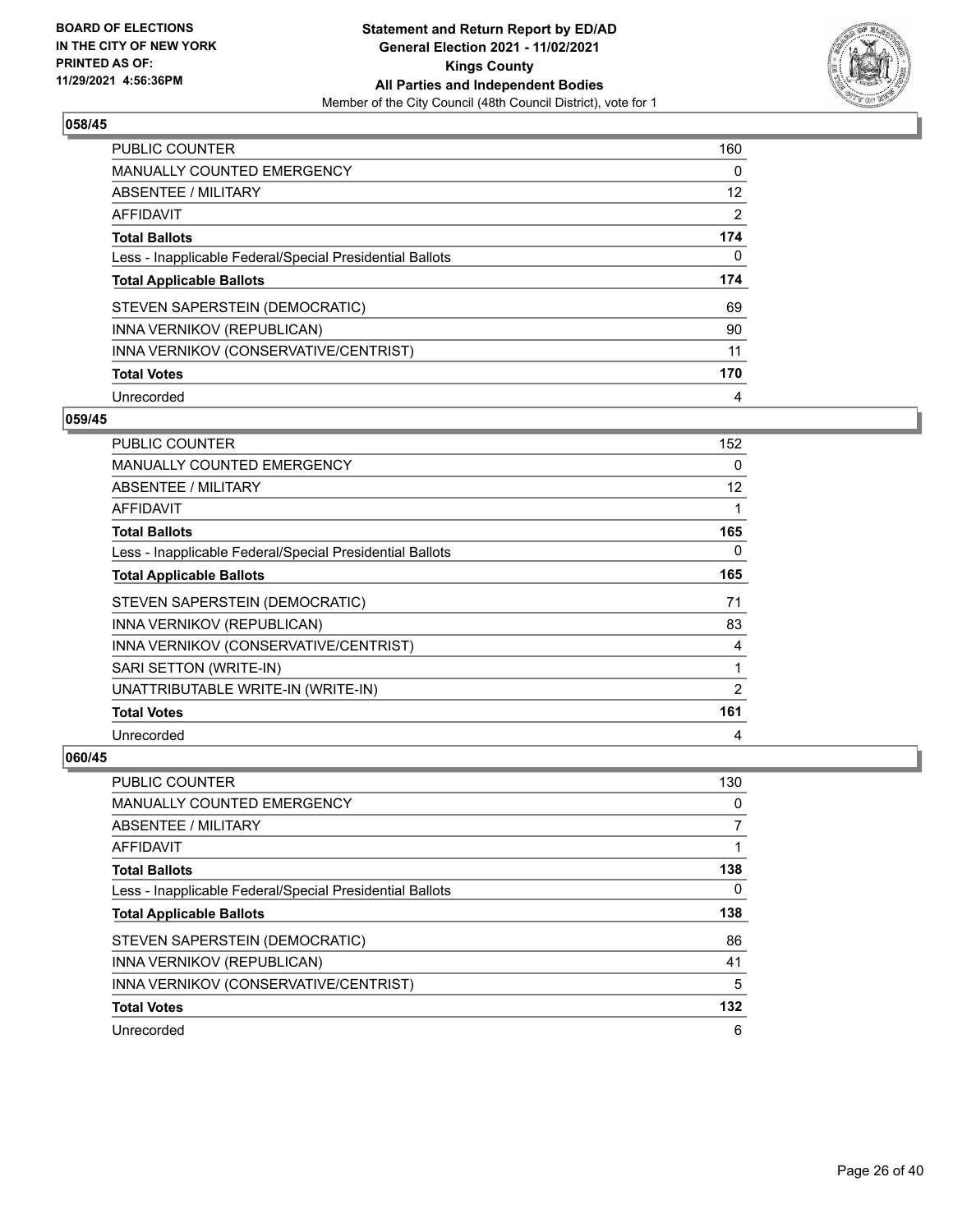

| <b>PUBLIC COUNTER</b>                                    | 160 |
|----------------------------------------------------------|-----|
| <b>MANUALLY COUNTED EMERGENCY</b>                        | 0   |
| ABSENTEE / MILITARY                                      | 12  |
| <b>AFFIDAVIT</b>                                         | 2   |
| <b>Total Ballots</b>                                     | 174 |
| Less - Inapplicable Federal/Special Presidential Ballots | 0   |
|                                                          |     |
| <b>Total Applicable Ballots</b>                          | 174 |
| STEVEN SAPERSTEIN (DEMOCRATIC)                           | 69  |
| INNA VERNIKOV (REPUBLICAN)                               | 90  |
| INNA VERNIKOV (CONSERVATIVE/CENTRIST)                    | 11  |
| <b>Total Votes</b>                                       | 170 |

#### **059/45**

| <b>PUBLIC COUNTER</b>                                    | 152               |
|----------------------------------------------------------|-------------------|
| <b>MANUALLY COUNTED EMERGENCY</b>                        | 0                 |
| <b>ABSENTEE / MILITARY</b>                               | $12 \overline{ }$ |
| AFFIDAVIT                                                | 1                 |
| <b>Total Ballots</b>                                     | 165               |
| Less - Inapplicable Federal/Special Presidential Ballots | 0                 |
| <b>Total Applicable Ballots</b>                          | 165               |
| STEVEN SAPERSTEIN (DEMOCRATIC)                           | 71                |
| INNA VERNIKOV (REPUBLICAN)                               | 83                |
| INNA VERNIKOV (CONSERVATIVE/CENTRIST)                    | 4                 |
| SARI SETTON (WRITE-IN)                                   | 1                 |
| UNATTRIBUTABLE WRITE-IN (WRITE-IN)                       | 2                 |
| <b>Total Votes</b>                                       | 161               |
| Unrecorded                                               | 4                 |

| <b>PUBLIC COUNTER</b>                                    | 130 |
|----------------------------------------------------------|-----|
| MANUALLY COUNTED EMERGENCY                               | 0   |
| ABSENTEE / MILITARY                                      |     |
| <b>AFFIDAVIT</b>                                         |     |
| <b>Total Ballots</b>                                     | 138 |
| Less - Inapplicable Federal/Special Presidential Ballots | 0   |
| <b>Total Applicable Ballots</b>                          | 138 |
| STEVEN SAPERSTEIN (DEMOCRATIC)                           | 86  |
| INNA VERNIKOV (REPUBLICAN)                               | 41  |
| INNA VERNIKOV (CONSERVATIVE/CENTRIST)                    | 5   |
| <b>Total Votes</b>                                       | 132 |
| Unrecorded                                               | 6   |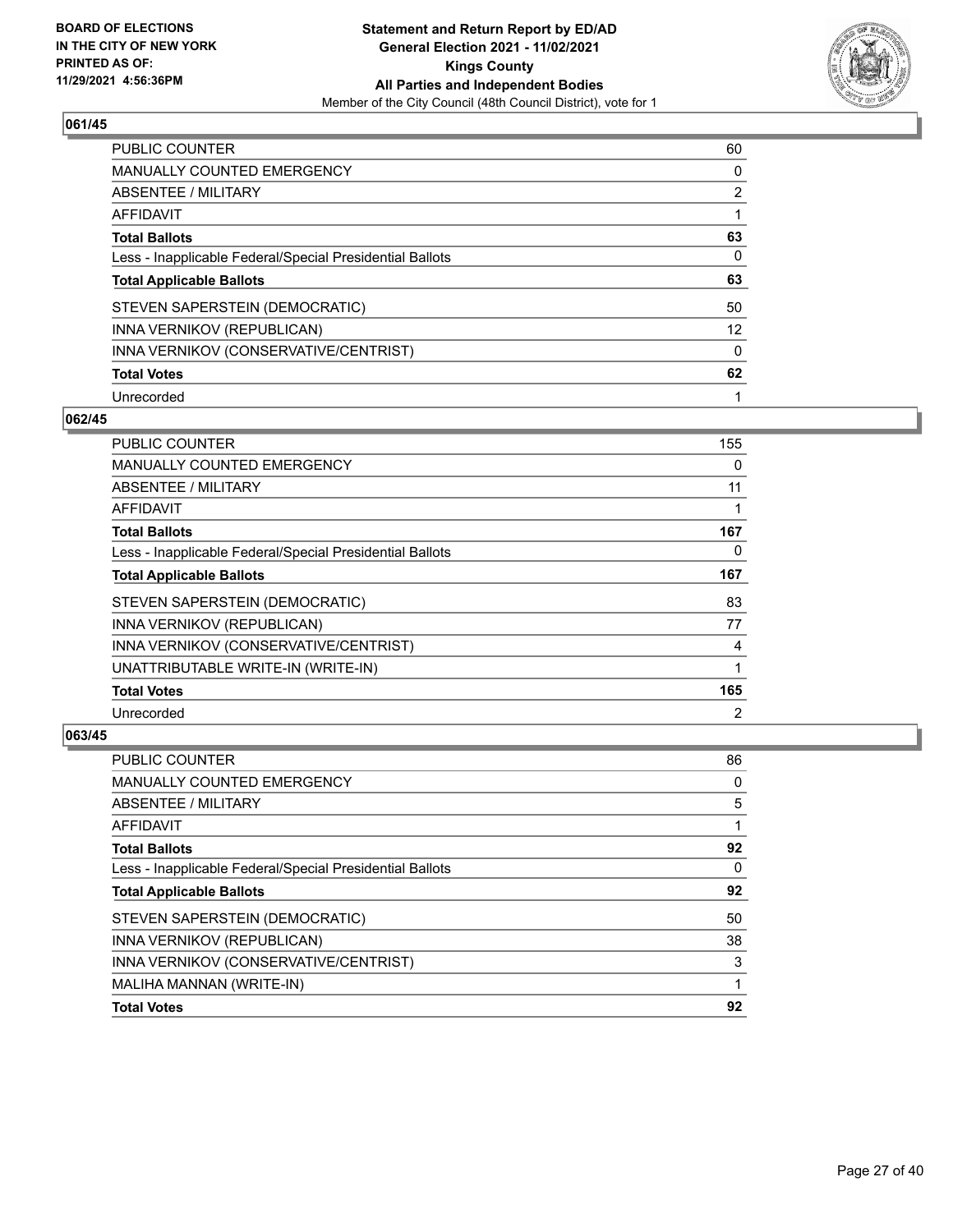

| PUBLIC COUNTER                                           | 60                |
|----------------------------------------------------------|-------------------|
| <b>MANUALLY COUNTED EMERGENCY</b>                        | 0                 |
| ABSENTEE / MILITARY                                      | $\overline{2}$    |
| AFFIDAVIT                                                |                   |
| <b>Total Ballots</b>                                     | 63                |
| Less - Inapplicable Federal/Special Presidential Ballots | 0                 |
| <b>Total Applicable Ballots</b>                          | 63                |
| STEVEN SAPERSTEIN (DEMOCRATIC)                           | 50                |
| INNA VERNIKOV (REPUBLICAN)                               | $12 \overline{ }$ |
| INNA VERNIKOV (CONSERVATIVE/CENTRIST)                    | $\Omega$          |
| <b>Total Votes</b>                                       | 62                |
| Unrecorded                                               |                   |

#### **062/45**

| PUBLIC COUNTER                                           | 155            |
|----------------------------------------------------------|----------------|
| MANUALLY COUNTED EMERGENCY                               | $\Omega$       |
| ABSENTEE / MILITARY                                      | 11             |
| AFFIDAVIT                                                | 1              |
| <b>Total Ballots</b>                                     | 167            |
| Less - Inapplicable Federal/Special Presidential Ballots | 0              |
| <b>Total Applicable Ballots</b>                          | 167            |
| STEVEN SAPERSTEIN (DEMOCRATIC)                           | 83             |
| INNA VERNIKOV (REPUBLICAN)                               | 77             |
| INNA VERNIKOV (CONSERVATIVE/CENTRIST)                    | 4              |
| UNATTRIBUTABLE WRITE-IN (WRITE-IN)                       | 1              |
| <b>Total Votes</b>                                       | 165            |
| Unrecorded                                               | $\overline{2}$ |

| <b>PUBLIC COUNTER</b>                                    | 86 |
|----------------------------------------------------------|----|
| <b>MANUALLY COUNTED EMERGENCY</b>                        | 0  |
| ABSENTEE / MILITARY                                      | 5  |
| AFFIDAVIT                                                |    |
| <b>Total Ballots</b>                                     | 92 |
| Less - Inapplicable Federal/Special Presidential Ballots | 0  |
| <b>Total Applicable Ballots</b>                          | 92 |
| STEVEN SAPERSTEIN (DEMOCRATIC)                           | 50 |
| INNA VERNIKOV (REPUBLICAN)                               | 38 |
| INNA VERNIKOV (CONSERVATIVE/CENTRIST)                    | 3  |
| MALIHA MANNAN (WRITE-IN)                                 | 1  |
| <b>Total Votes</b>                                       | 92 |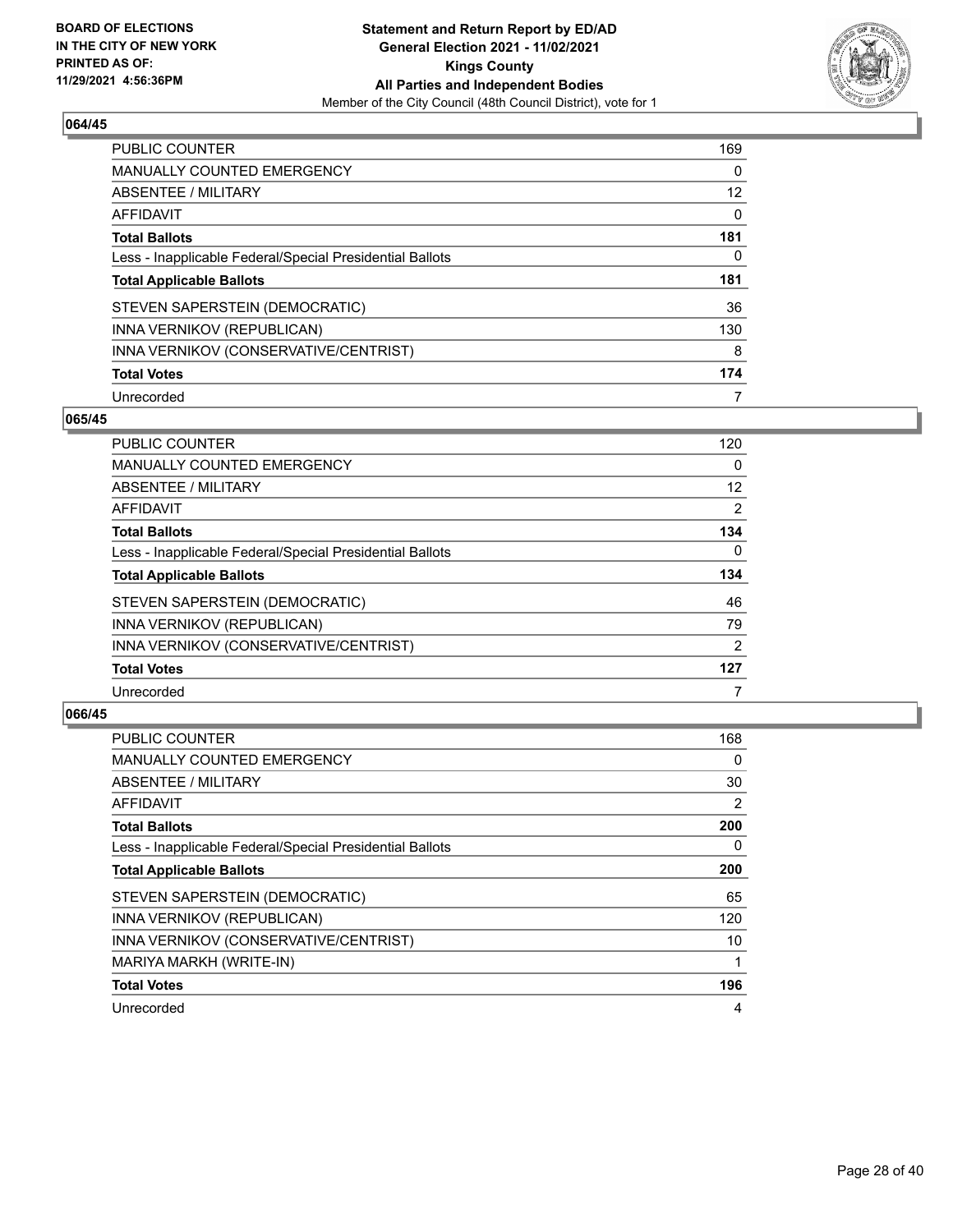

| <b>PUBLIC COUNTER</b>                                    | 169 |
|----------------------------------------------------------|-----|
| MANUALLY COUNTED EMERGENCY                               | 0   |
| ABSENTEE / MILITARY                                      | 12  |
| AFFIDAVIT                                                | 0   |
| <b>Total Ballots</b>                                     | 181 |
| Less - Inapplicable Federal/Special Presidential Ballots | 0   |
| <b>Total Applicable Ballots</b>                          | 181 |
| STEVEN SAPERSTEIN (DEMOCRATIC)                           | 36  |
| INNA VERNIKOV (REPUBLICAN)                               | 130 |
| INNA VERNIKOV (CONSERVATIVE/CENTRIST)                    | 8   |
|                                                          |     |
| <b>Total Votes</b>                                       | 174 |

#### **065/45**

| PUBLIC COUNTER                                           | 120      |
|----------------------------------------------------------|----------|
| <b>MANUALLY COUNTED EMERGENCY</b>                        | 0        |
| ABSENTEE / MILITARY                                      | 12       |
| <b>AFFIDAVIT</b>                                         | 2        |
| <b>Total Ballots</b>                                     | 134      |
| Less - Inapplicable Federal/Special Presidential Ballots | $\Omega$ |
| <b>Total Applicable Ballots</b>                          | 134      |
| STEVEN SAPERSTEIN (DEMOCRATIC)                           | 46       |
| INNA VERNIKOV (REPUBLICAN)                               | 79       |
| INNA VERNIKOV (CONSERVATIVE/CENTRIST)                    | 2        |
| <b>Total Votes</b>                                       | 127      |
| Unrecorded                                               |          |

| <b>PUBLIC COUNTER</b>                                    | 168      |
|----------------------------------------------------------|----------|
| MANUALLY COUNTED EMERGENCY                               | $\Omega$ |
| ABSENTEE / MILITARY                                      | 30       |
| AFFIDAVIT                                                | 2        |
| <b>Total Ballots</b>                                     | 200      |
| Less - Inapplicable Federal/Special Presidential Ballots | 0        |
| <b>Total Applicable Ballots</b>                          | 200      |
| STEVEN SAPERSTEIN (DEMOCRATIC)                           | 65       |
| INNA VERNIKOV (REPUBLICAN)                               | 120      |
| INNA VERNIKOV (CONSERVATIVE/CENTRIST)                    | 10       |
| MARIYA MARKH (WRITE-IN)                                  |          |
| <b>Total Votes</b>                                       | 196      |
| Unrecorded                                               | 4        |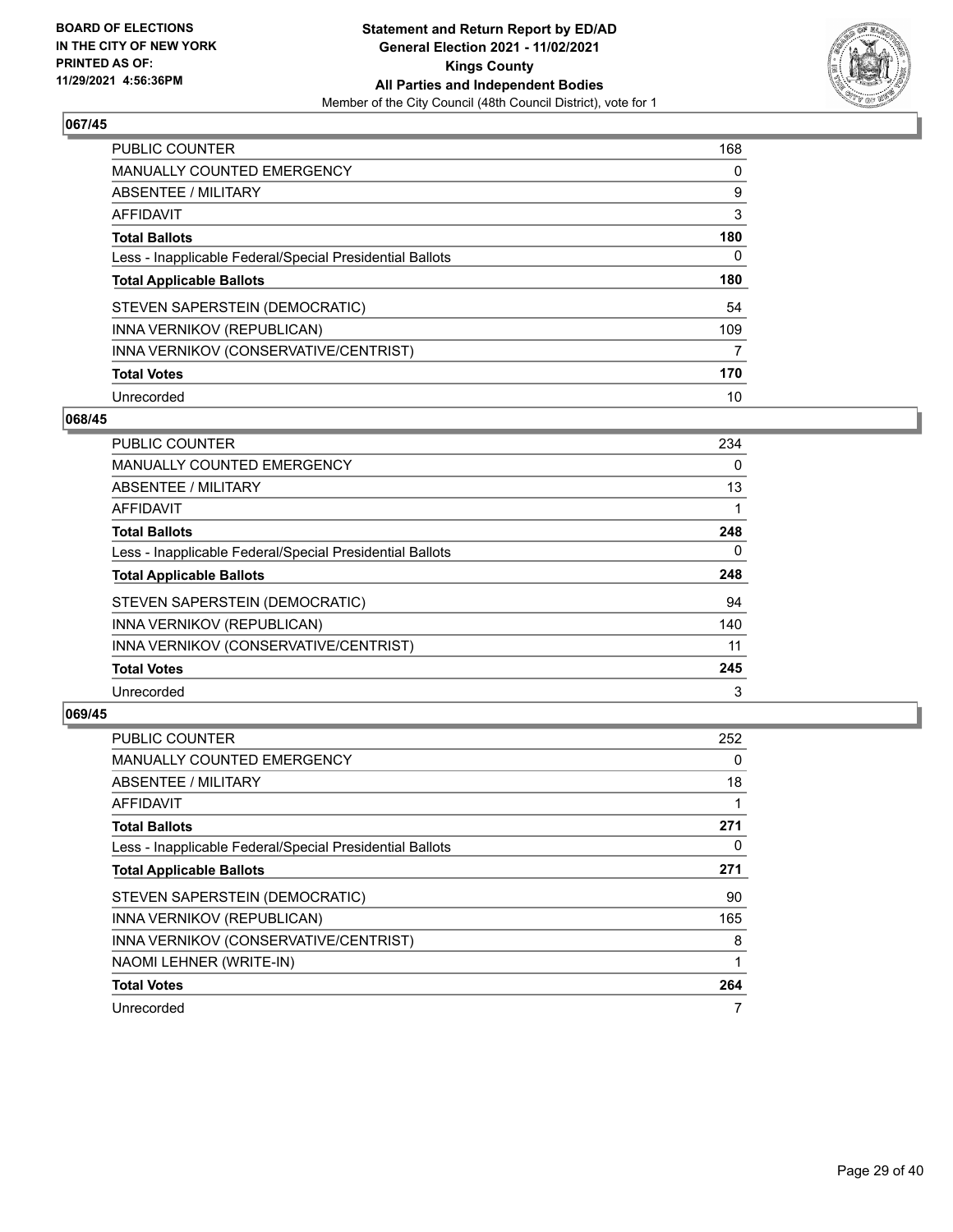

| PUBLIC COUNTER                                           | 168 |
|----------------------------------------------------------|-----|
| <b>MANUALLY COUNTED EMERGENCY</b>                        | 0   |
| ABSENTEE / MILITARY                                      | 9   |
| AFFIDAVIT                                                | 3   |
| <b>Total Ballots</b>                                     | 180 |
| Less - Inapplicable Federal/Special Presidential Ballots | 0   |
| <b>Total Applicable Ballots</b>                          | 180 |
| STEVEN SAPERSTEIN (DEMOCRATIC)                           | 54  |
| INNA VERNIKOV (REPUBLICAN)                               | 109 |
| INNA VERNIKOV (CONSERVATIVE/CENTRIST)                    | 7   |
| <b>Total Votes</b>                                       | 170 |
| Unrecorded                                               | 10  |

#### **068/45**

| <b>PUBLIC COUNTER</b>                                    | 234      |
|----------------------------------------------------------|----------|
| <b>MANUALLY COUNTED EMERGENCY</b>                        | 0        |
| ABSENTEE / MILITARY                                      | 13       |
| <b>AFFIDAVIT</b>                                         |          |
| <b>Total Ballots</b>                                     | 248      |
| Less - Inapplicable Federal/Special Presidential Ballots | $\Omega$ |
| <b>Total Applicable Ballots</b>                          | 248      |
| STEVEN SAPERSTEIN (DEMOCRATIC)                           | 94       |
| INNA VERNIKOV (REPUBLICAN)                               | 140      |
| INNA VERNIKOV (CONSERVATIVE/CENTRIST)                    | 11       |
| <b>Total Votes</b>                                       | 245      |
| Unrecorded                                               | 3        |

| <b>PUBLIC COUNTER</b>                                    | 252 |
|----------------------------------------------------------|-----|
| MANUALLY COUNTED EMERGENCY                               | 0   |
| ABSENTEE / MILITARY                                      | 18  |
| AFFIDAVIT                                                |     |
| <b>Total Ballots</b>                                     | 271 |
| Less - Inapplicable Federal/Special Presidential Ballots | 0   |
| <b>Total Applicable Ballots</b>                          | 271 |
| STEVEN SAPERSTEIN (DEMOCRATIC)                           | 90  |
| INNA VERNIKOV (REPUBLICAN)                               | 165 |
| INNA VERNIKOV (CONSERVATIVE/CENTRIST)                    | 8   |
| NAOMI LEHNER (WRITE-IN)                                  |     |
| <b>Total Votes</b>                                       | 264 |
| Unrecorded                                               |     |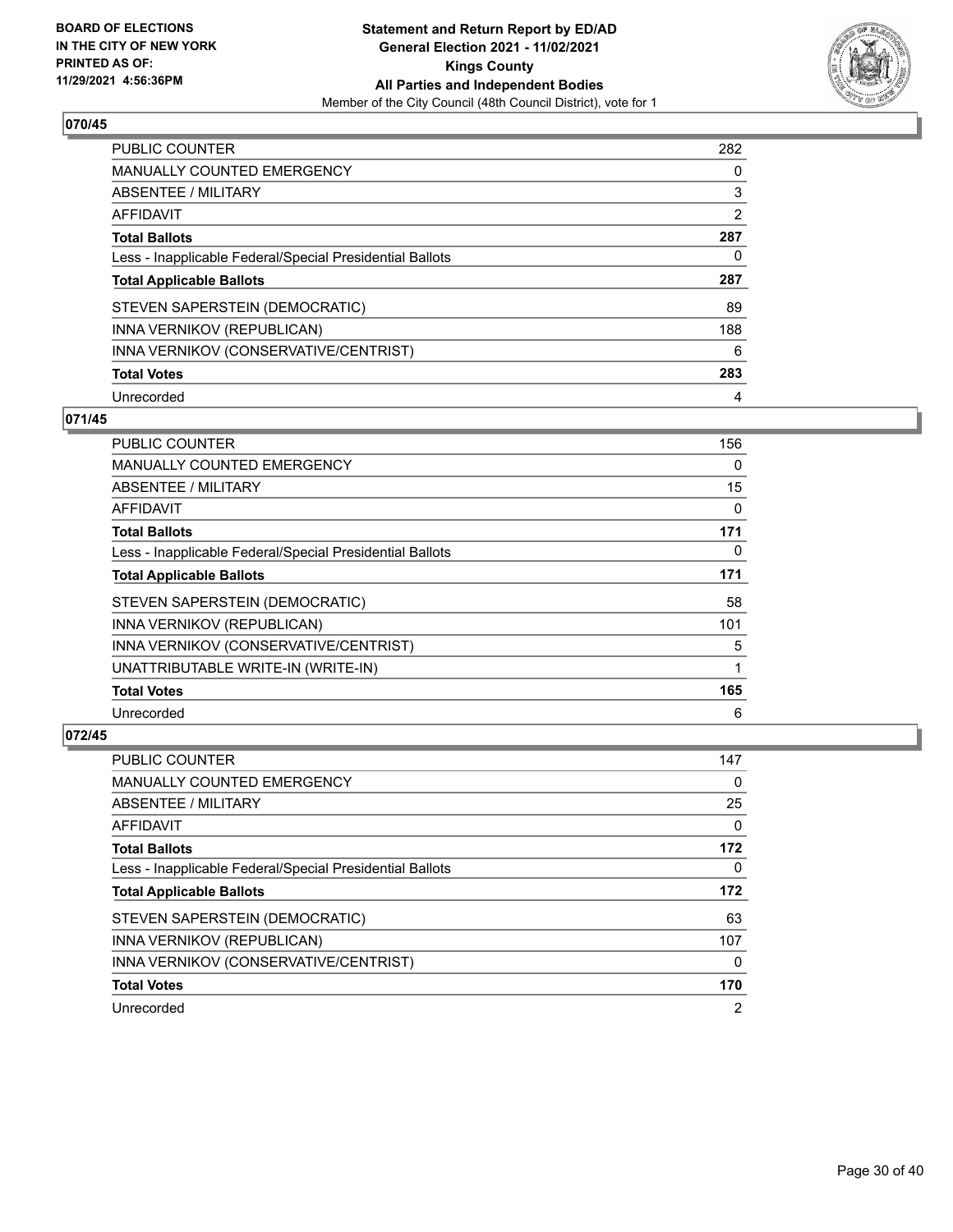

| <b>PUBLIC COUNTER</b>                                    | 282 |
|----------------------------------------------------------|-----|
| MANUALLY COUNTED EMERGENCY                               | 0   |
| ABSENTEE / MILITARY                                      | 3   |
| AFFIDAVIT                                                | 2   |
| <b>Total Ballots</b>                                     | 287 |
| Less - Inapplicable Federal/Special Presidential Ballots | 0   |
|                                                          |     |
| <b>Total Applicable Ballots</b>                          | 287 |
| STEVEN SAPERSTEIN (DEMOCRATIC)                           | 89  |
| INNA VERNIKOV (REPUBLICAN)                               | 188 |
| INNA VERNIKOV (CONSERVATIVE/CENTRIST)                    | 6   |
| <b>Total Votes</b>                                       | 283 |

#### **071/45**

| PUBLIC COUNTER                                           | 156      |
|----------------------------------------------------------|----------|
| <b>MANUALLY COUNTED EMERGENCY</b>                        | $\Omega$ |
| ABSENTEE / MILITARY                                      | 15       |
| AFFIDAVIT                                                | 0        |
| <b>Total Ballots</b>                                     | 171      |
| Less - Inapplicable Federal/Special Presidential Ballots | $\Omega$ |
| <b>Total Applicable Ballots</b>                          | 171      |
| STEVEN SAPERSTEIN (DEMOCRATIC)                           | 58       |
| INNA VERNIKOV (REPUBLICAN)                               | 101      |
| INNA VERNIKOV (CONSERVATIVE/CENTRIST)                    | 5        |
| UNATTRIBUTABLE WRITE-IN (WRITE-IN)                       | 1        |
| <b>Total Votes</b>                                       | 165      |
| Unrecorded                                               | 6        |

| PUBLIC COUNTER                                           | 147 |
|----------------------------------------------------------|-----|
| <b>MANUALLY COUNTED EMERGENCY</b>                        | 0   |
| ABSENTEE / MILITARY                                      | 25  |
| AFFIDAVIT                                                | 0   |
| <b>Total Ballots</b>                                     | 172 |
| Less - Inapplicable Federal/Special Presidential Ballots | 0   |
|                                                          |     |
| <b>Total Applicable Ballots</b>                          | 172 |
| STEVEN SAPERSTEIN (DEMOCRATIC)                           | 63  |
| INNA VERNIKOV (REPUBLICAN)                               | 107 |
| INNA VERNIKOV (CONSERVATIVE/CENTRIST)                    | 0   |
| <b>Total Votes</b>                                       | 170 |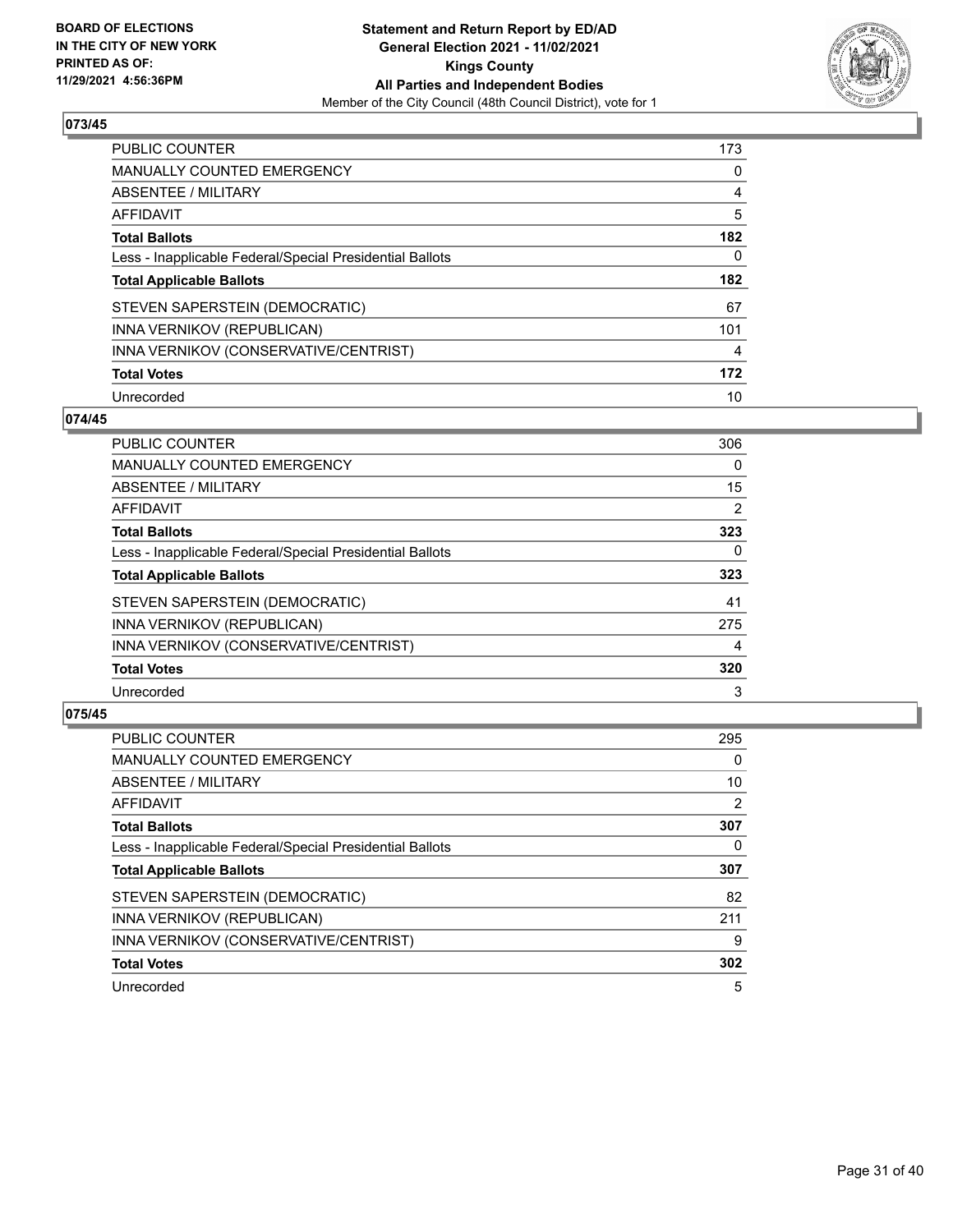

| PUBLIC COUNTER                                           | 173 |
|----------------------------------------------------------|-----|
| MANUALLY COUNTED EMERGENCY                               | 0   |
| ABSENTEE / MILITARY                                      | 4   |
| AFFIDAVIT                                                | 5   |
| <b>Total Ballots</b>                                     | 182 |
| Less - Inapplicable Federal/Special Presidential Ballots | 0   |
| <b>Total Applicable Ballots</b>                          | 182 |
| STEVEN SAPERSTEIN (DEMOCRATIC)                           | 67  |
| INNA VERNIKOV (REPUBLICAN)                               | 101 |
| INNA VERNIKOV (CONSERVATIVE/CENTRIST)                    | 4   |
| <b>Total Votes</b>                                       | 172 |
| Unrecorded                                               | 10  |

#### **074/45**

| PUBLIC COUNTER                                           | 306            |
|----------------------------------------------------------|----------------|
| <b>MANUALLY COUNTED EMERGENCY</b>                        | 0              |
| ABSENTEE / MILITARY                                      | 15             |
| <b>AFFIDAVIT</b>                                         | $\overline{2}$ |
| <b>Total Ballots</b>                                     | 323            |
| Less - Inapplicable Federal/Special Presidential Ballots | $\Omega$       |
| <b>Total Applicable Ballots</b>                          | 323            |
| STEVEN SAPERSTEIN (DEMOCRATIC)                           | 41             |
| INNA VERNIKOV (REPUBLICAN)                               | 275            |
| INNA VERNIKOV (CONSERVATIVE/CENTRIST)                    | 4              |
| <b>Total Votes</b>                                       | 320            |
| Unrecorded                                               | 3              |

| <b>PUBLIC COUNTER</b>                                    | 295 |
|----------------------------------------------------------|-----|
| <b>MANUALLY COUNTED EMERGENCY</b>                        | 0   |
| ABSENTEE / MILITARY                                      | 10  |
| AFFIDAVIT                                                | 2   |
| <b>Total Ballots</b>                                     | 307 |
| Less - Inapplicable Federal/Special Presidential Ballots | 0   |
| <b>Total Applicable Ballots</b>                          | 307 |
| STEVEN SAPERSTEIN (DEMOCRATIC)                           | 82  |
| INNA VERNIKOV (REPUBLICAN)                               | 211 |
| INNA VERNIKOV (CONSERVATIVE/CENTRIST)                    | 9   |
| <b>Total Votes</b>                                       | 302 |
| Unrecorded                                               | 5   |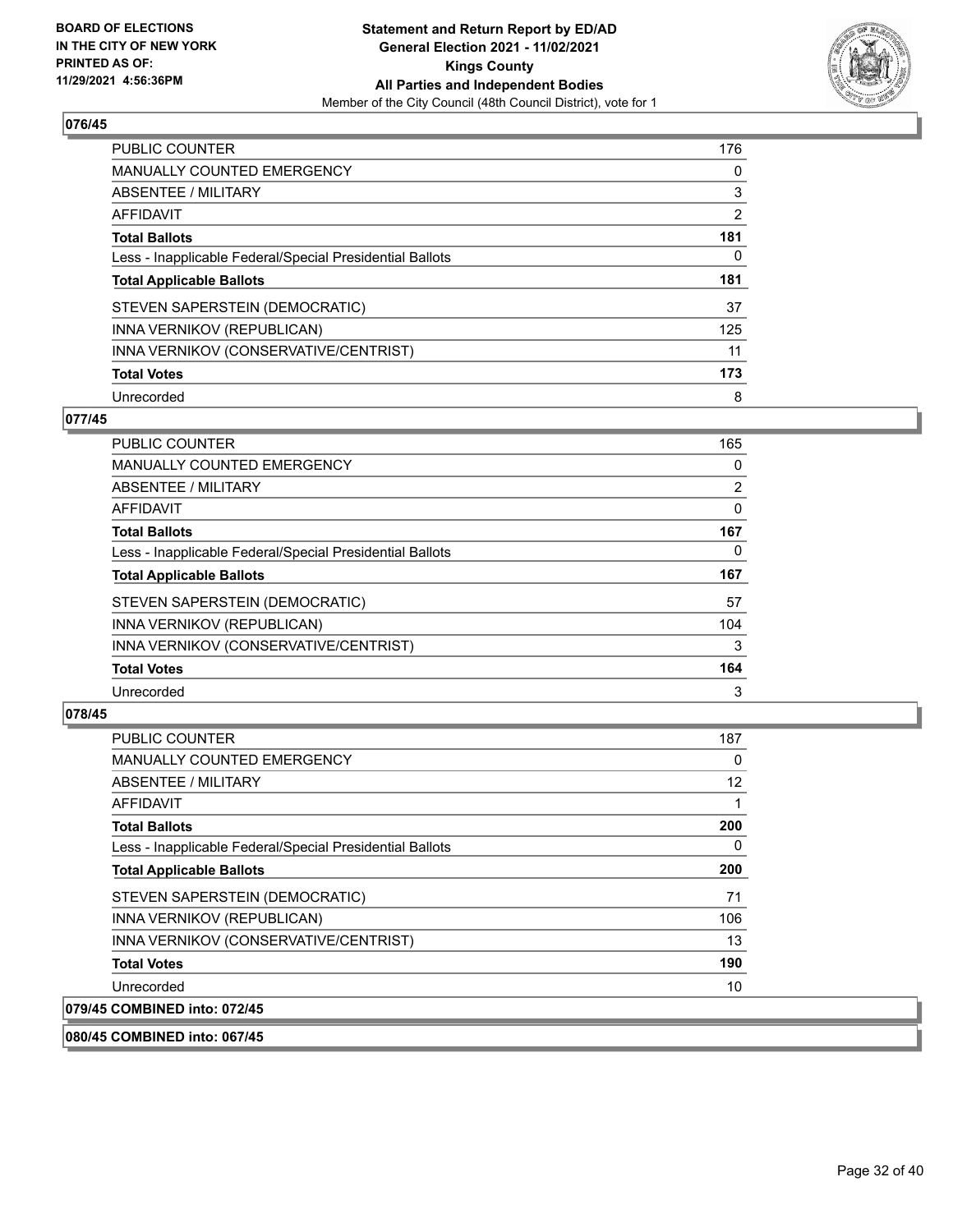

| PUBLIC COUNTER                                           | 176 |
|----------------------------------------------------------|-----|
| <b>MANUALLY COUNTED EMERGENCY</b>                        | 0   |
| ABSENTEE / MILITARY                                      | 3   |
| AFFIDAVIT                                                | 2   |
| <b>Total Ballots</b>                                     | 181 |
| Less - Inapplicable Federal/Special Presidential Ballots | 0   |
| <b>Total Applicable Ballots</b>                          | 181 |
| STEVEN SAPERSTEIN (DEMOCRATIC)                           | 37  |
| INNA VERNIKOV (REPUBLICAN)                               | 125 |
| INNA VERNIKOV (CONSERVATIVE/CENTRIST)                    | 11  |
| <b>Total Votes</b>                                       | 173 |
| Unrecorded                                               | 8   |

#### **077/45**

| <b>PUBLIC COUNTER</b>                                    | 165 |
|----------------------------------------------------------|-----|
| MANUALLY COUNTED EMERGENCY                               | 0   |
| ABSENTEE / MILITARY                                      | 2   |
| <b>AFFIDAVIT</b>                                         | 0   |
| <b>Total Ballots</b>                                     | 167 |
| Less - Inapplicable Federal/Special Presidential Ballots | 0   |
| <b>Total Applicable Ballots</b>                          | 167 |
| STEVEN SAPERSTEIN (DEMOCRATIC)                           | 57  |
| INNA VERNIKOV (REPUBLICAN)                               | 104 |
| INNA VERNIKOV (CONSERVATIVE/CENTRIST)                    | 3   |
| <b>Total Votes</b>                                       | 164 |
| Unrecorded                                               | 3   |

# **078/45**

| <b>PUBLIC COUNTER</b>                                    | 187 |
|----------------------------------------------------------|-----|
| <b>MANUALLY COUNTED EMERGENCY</b>                        | 0   |
| ABSENTEE / MILITARY                                      | 12  |
| AFFIDAVIT                                                | 1   |
| <b>Total Ballots</b>                                     | 200 |
| Less - Inapplicable Federal/Special Presidential Ballots | 0   |
| <b>Total Applicable Ballots</b>                          | 200 |
| STEVEN SAPERSTEIN (DEMOCRATIC)                           | 71  |
| INNA VERNIKOV (REPUBLICAN)                               | 106 |
| INNA VERNIKOV (CONSERVATIVE/CENTRIST)                    | 13  |
| <b>Total Votes</b>                                       | 190 |
| Unrecorded                                               | 10  |
| 079/45 COMBINED into: 072/45                             |     |

# **080/45 COMBINED into: 067/45**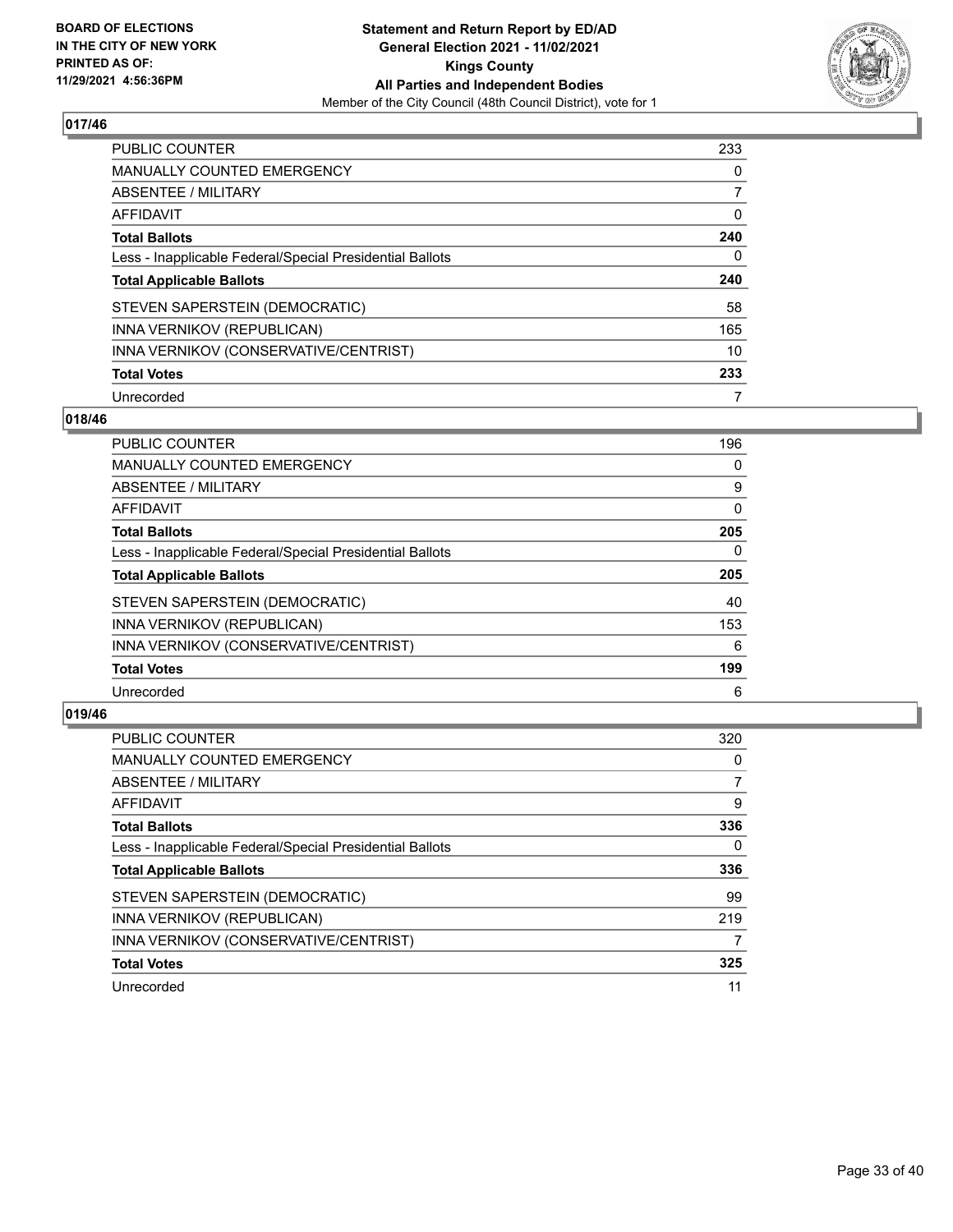

| PUBLIC COUNTER                                           | 233      |
|----------------------------------------------------------|----------|
| <b>MANUALLY COUNTED EMERGENCY</b>                        | $\Omega$ |
| ABSENTEE / MILITARY                                      |          |
| AFFIDAVIT                                                | 0        |
| <b>Total Ballots</b>                                     | 240      |
| Less - Inapplicable Federal/Special Presidential Ballots | 0        |
| <b>Total Applicable Ballots</b>                          | 240      |
| STEVEN SAPERSTEIN (DEMOCRATIC)                           | 58       |
| INNA VERNIKOV (REPUBLICAN)                               | 165      |
| INNA VERNIKOV (CONSERVATIVE/CENTRIST)                    | 10       |
| <b>Total Votes</b>                                       | 233      |
| Unrecorded                                               |          |

## **018/46**

| <b>PUBLIC COUNTER</b>                                    | 196      |
|----------------------------------------------------------|----------|
| <b>MANUALLY COUNTED EMERGENCY</b>                        | 0        |
| ABSENTEE / MILITARY                                      | 9        |
| <b>AFFIDAVIT</b>                                         | $\Omega$ |
| <b>Total Ballots</b>                                     | 205      |
| Less - Inapplicable Federal/Special Presidential Ballots | $\Omega$ |
| <b>Total Applicable Ballots</b>                          | 205      |
| STEVEN SAPERSTEIN (DEMOCRATIC)                           | 40       |
| INNA VERNIKOV (REPUBLICAN)                               | 153      |
| INNA VERNIKOV (CONSERVATIVE/CENTRIST)                    | 6        |
| <b>Total Votes</b>                                       | 199      |
| Unrecorded                                               | 6        |

| PUBLIC COUNTER                                           | 320 |
|----------------------------------------------------------|-----|
| <b>MANUALLY COUNTED EMERGENCY</b>                        | 0   |
| ABSENTEE / MILITARY                                      |     |
| AFFIDAVIT                                                | 9   |
| <b>Total Ballots</b>                                     | 336 |
| Less - Inapplicable Federal/Special Presidential Ballots | 0   |
| <b>Total Applicable Ballots</b>                          | 336 |
| STEVEN SAPERSTEIN (DEMOCRATIC)                           | 99  |
| INNA VERNIKOV (REPUBLICAN)                               | 219 |
| INNA VERNIKOV (CONSERVATIVE/CENTRIST)                    | 7   |
| <b>Total Votes</b>                                       | 325 |
| Unrecorded                                               | 11  |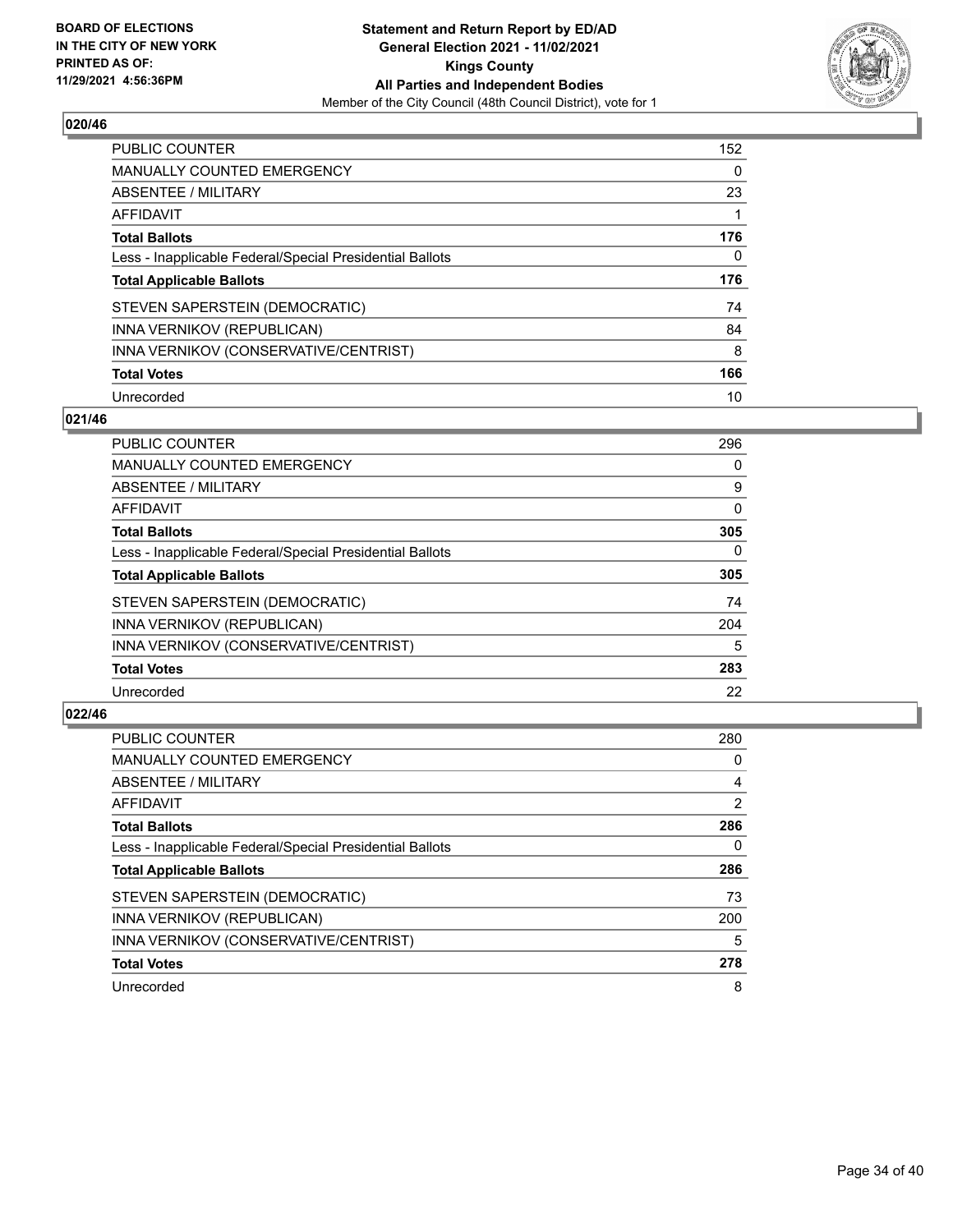

| <b>PUBLIC COUNTER</b>                                    | 152 |
|----------------------------------------------------------|-----|
| <b>MANUALLY COUNTED EMERGENCY</b>                        | 0   |
| ABSENTEE / MILITARY                                      | 23  |
| AFFIDAVIT                                                |     |
| <b>Total Ballots</b>                                     | 176 |
| Less - Inapplicable Federal/Special Presidential Ballots | 0   |
| <b>Total Applicable Ballots</b>                          | 176 |
|                                                          |     |
| STEVEN SAPERSTEIN (DEMOCRATIC)                           | 74  |
| INNA VERNIKOV (REPUBLICAN)                               | 84  |
| INNA VERNIKOV (CONSERVATIVE/CENTRIST)                    | 8   |
| <b>Total Votes</b>                                       | 166 |

#### **021/46**

| <b>PUBLIC COUNTER</b>                                    | 296      |
|----------------------------------------------------------|----------|
| <b>MANUALLY COUNTED EMERGENCY</b>                        | 0        |
| ABSENTEE / MILITARY                                      | 9        |
| <b>AFFIDAVIT</b>                                         | $\Omega$ |
| <b>Total Ballots</b>                                     | 305      |
| Less - Inapplicable Federal/Special Presidential Ballots | $\Omega$ |
| <b>Total Applicable Ballots</b>                          | 305      |
| STEVEN SAPERSTEIN (DEMOCRATIC)                           | 74       |
| INNA VERNIKOV (REPUBLICAN)                               | 204      |
| INNA VERNIKOV (CONSERVATIVE/CENTRIST)                    | 5        |
| <b>Total Votes</b>                                       | 283      |
| Unrecorded                                               | 22       |

| <b>PUBLIC COUNTER</b>                                    | 280 |
|----------------------------------------------------------|-----|
| <b>MANUALLY COUNTED EMERGENCY</b>                        | 0   |
| ABSENTEE / MILITARY                                      | 4   |
| AFFIDAVIT                                                | 2   |
| <b>Total Ballots</b>                                     | 286 |
| Less - Inapplicable Federal/Special Presidential Ballots | 0   |
| <b>Total Applicable Ballots</b>                          | 286 |
| STEVEN SAPERSTEIN (DEMOCRATIC)                           | 73  |
| INNA VERNIKOV (REPUBLICAN)                               | 200 |
| INNA VERNIKOV (CONSERVATIVE/CENTRIST)                    | 5   |
| <b>Total Votes</b>                                       | 278 |
| Unrecorded                                               | 8   |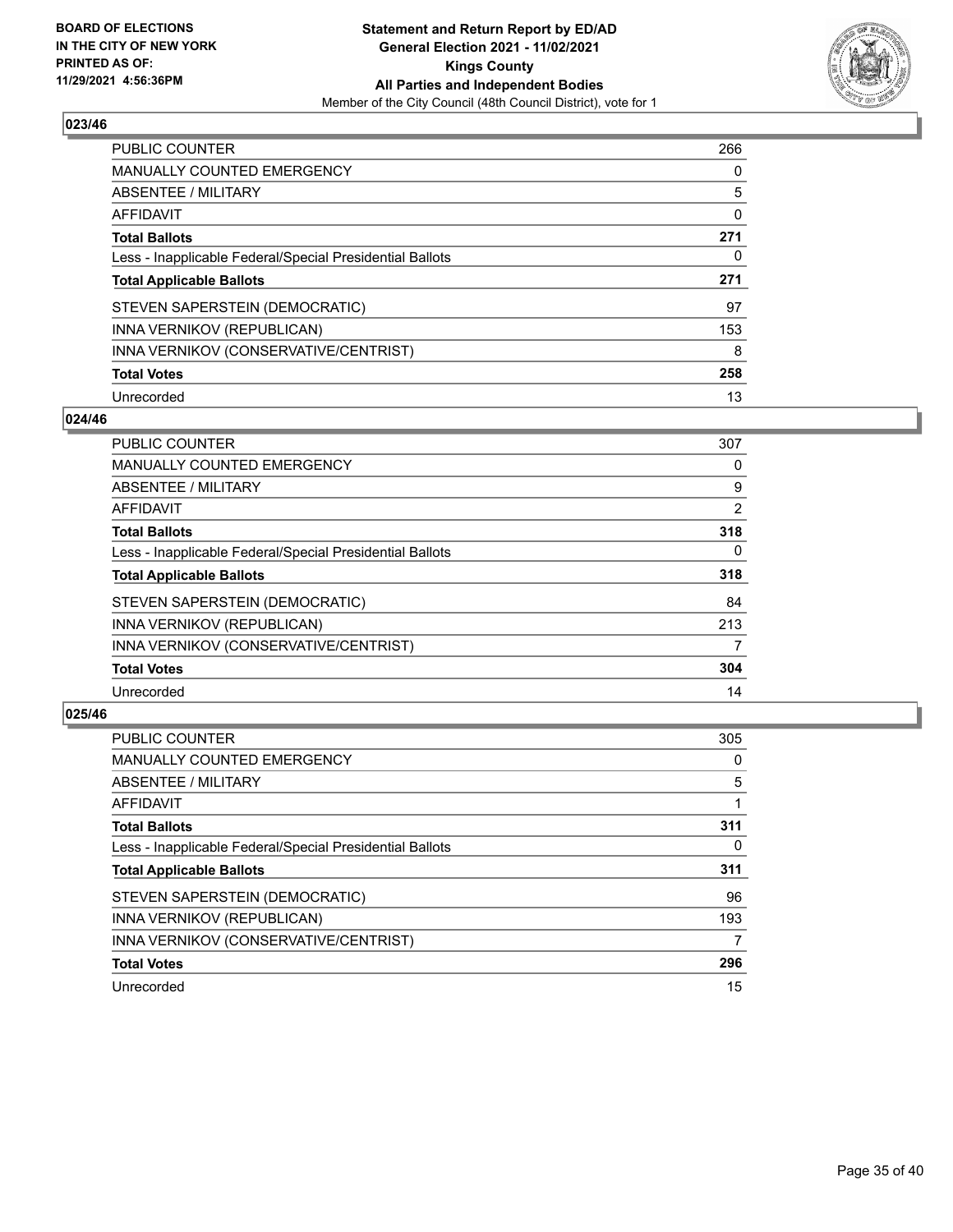

| <b>PUBLIC COUNTER</b>                                    | 266 |
|----------------------------------------------------------|-----|
| MANUALLY COUNTED EMERGENCY                               | 0   |
| ABSENTEE / MILITARY                                      | 5   |
| AFFIDAVIT                                                | 0   |
| <b>Total Ballots</b>                                     | 271 |
| Less - Inapplicable Federal/Special Presidential Ballots | 0   |
| <b>Total Applicable Ballots</b>                          | 271 |
| STEVEN SAPERSTEIN (DEMOCRATIC)                           | 97  |
| INNA VERNIKOV (REPUBLICAN)                               | 153 |
| INNA VERNIKOV (CONSERVATIVE/CENTRIST)                    | 8   |
| <b>Total Votes</b>                                       | 258 |
| Unrecorded                                               | 13  |

#### **024/46**

| PUBLIC COUNTER                                           | 307            |
|----------------------------------------------------------|----------------|
| MANUALLY COUNTED EMERGENCY                               | 0              |
| ABSENTEE / MILITARY                                      | 9              |
| AFFIDAVIT                                                | $\overline{2}$ |
| <b>Total Ballots</b>                                     | 318            |
| Less - Inapplicable Federal/Special Presidential Ballots | $\Omega$       |
| <b>Total Applicable Ballots</b>                          | 318            |
| STEVEN SAPERSTEIN (DEMOCRATIC)                           | 84             |
| INNA VERNIKOV (REPUBLICAN)                               | 213            |
| INNA VERNIKOV (CONSERVATIVE/CENTRIST)                    | 7              |
| <b>Total Votes</b>                                       | 304            |
| Unrecorded                                               | 14             |

| PUBLIC COUNTER                                           | 305      |
|----------------------------------------------------------|----------|
| <b>MANUALLY COUNTED EMERGENCY</b>                        | 0        |
| ABSENTEE / MILITARY                                      | 5        |
| <b>AFFIDAVIT</b>                                         |          |
| <b>Total Ballots</b>                                     | 311      |
| Less - Inapplicable Federal/Special Presidential Ballots | $\Omega$ |
| <b>Total Applicable Ballots</b>                          | 311      |
| STEVEN SAPERSTEIN (DEMOCRATIC)                           | 96       |
| INNA VERNIKOV (REPUBLICAN)                               | 193      |
| INNA VERNIKOV (CONSERVATIVE/CENTRIST)                    | 7        |
| <b>Total Votes</b>                                       | 296      |
| Unrecorded                                               | 15       |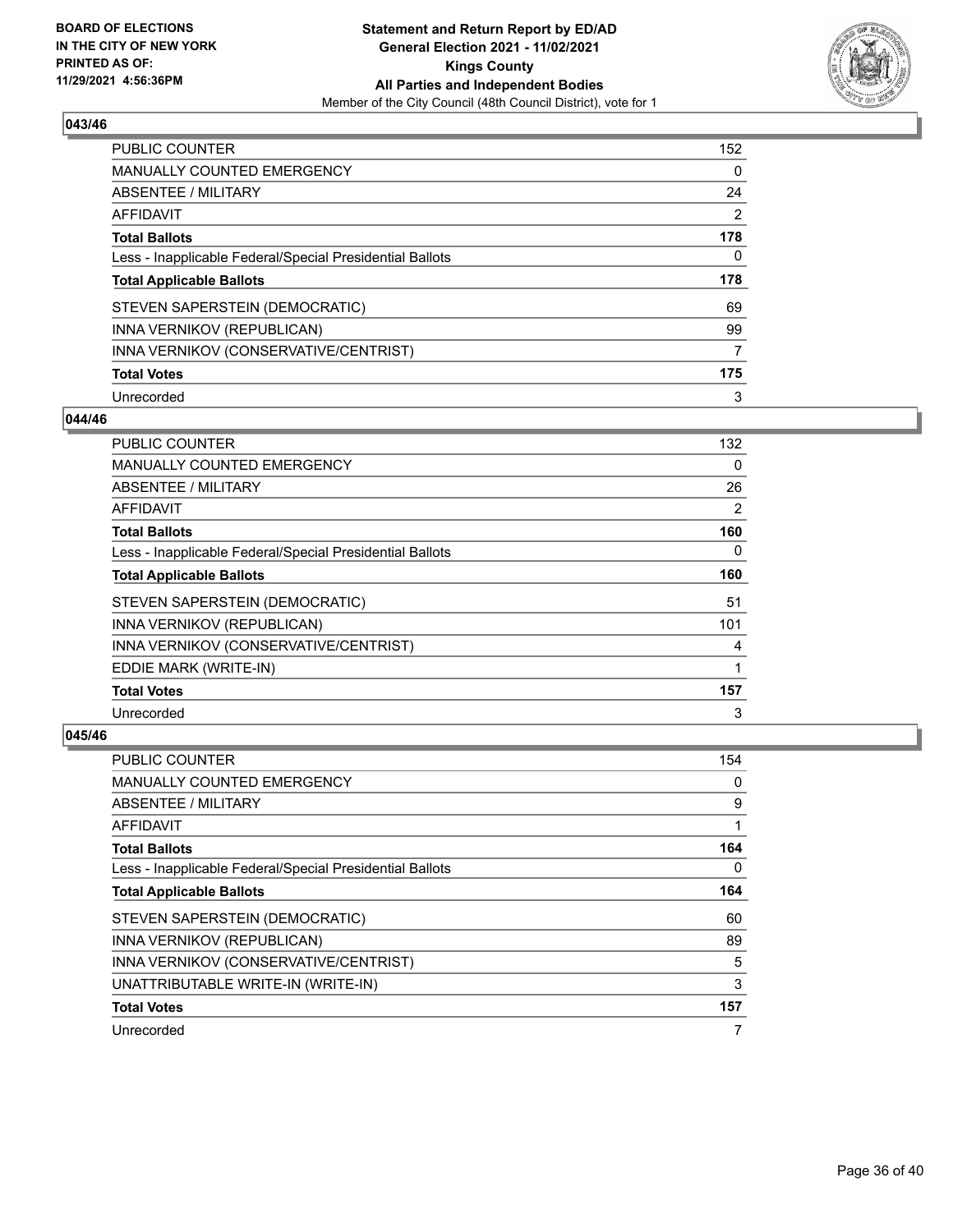

| <b>PUBLIC COUNTER</b>                                    | 152 |
|----------------------------------------------------------|-----|
| <b>MANUALLY COUNTED EMERGENCY</b>                        | 0   |
| ABSENTEE / MILITARY                                      | 24  |
| AFFIDAVIT                                                | 2   |
| <b>Total Ballots</b>                                     | 178 |
| Less - Inapplicable Federal/Special Presidential Ballots | 0   |
| <b>Total Applicable Ballots</b>                          | 178 |
|                                                          |     |
| STEVEN SAPERSTEIN (DEMOCRATIC)                           | 69  |
| INNA VERNIKOV (REPUBLICAN)                               | 99  |
| INNA VERNIKOV (CONSERVATIVE/CENTRIST)                    | 7   |
| <b>Total Votes</b>                                       | 175 |

#### **044/46**

| PUBLIC COUNTER                                           | 132      |
|----------------------------------------------------------|----------|
| MANUALLY COUNTED EMERGENCY                               | $\Omega$ |
| ABSENTEE / MILITARY                                      | 26       |
| AFFIDAVIT                                                | 2        |
| <b>Total Ballots</b>                                     | 160      |
| Less - Inapplicable Federal/Special Presidential Ballots | $\Omega$ |
| <b>Total Applicable Ballots</b>                          | 160      |
| STEVEN SAPERSTEIN (DEMOCRATIC)                           | 51       |
| INNA VERNIKOV (REPUBLICAN)                               | 101      |
| INNA VERNIKOV (CONSERVATIVE/CENTRIST)                    | 4        |
| EDDIE MARK (WRITE-IN)                                    | 1        |
| <b>Total Votes</b>                                       | 157      |
| Unrecorded                                               | 3        |

| <b>PUBLIC COUNTER</b>                                    | 154 |
|----------------------------------------------------------|-----|
| MANUALLY COUNTED EMERGENCY                               | 0   |
| ABSENTEE / MILITARY                                      | 9   |
| AFFIDAVIT                                                |     |
| <b>Total Ballots</b>                                     | 164 |
| Less - Inapplicable Federal/Special Presidential Ballots | 0   |
| <b>Total Applicable Ballots</b>                          | 164 |
| STEVEN SAPERSTEIN (DEMOCRATIC)                           | 60  |
| INNA VERNIKOV (REPUBLICAN)                               | 89  |
| INNA VERNIKOV (CONSERVATIVE/CENTRIST)                    | 5   |
| UNATTRIBUTABLE WRITE-IN (WRITE-IN)                       | 3   |
| <b>Total Votes</b>                                       | 157 |
| Unrecorded                                               | 7   |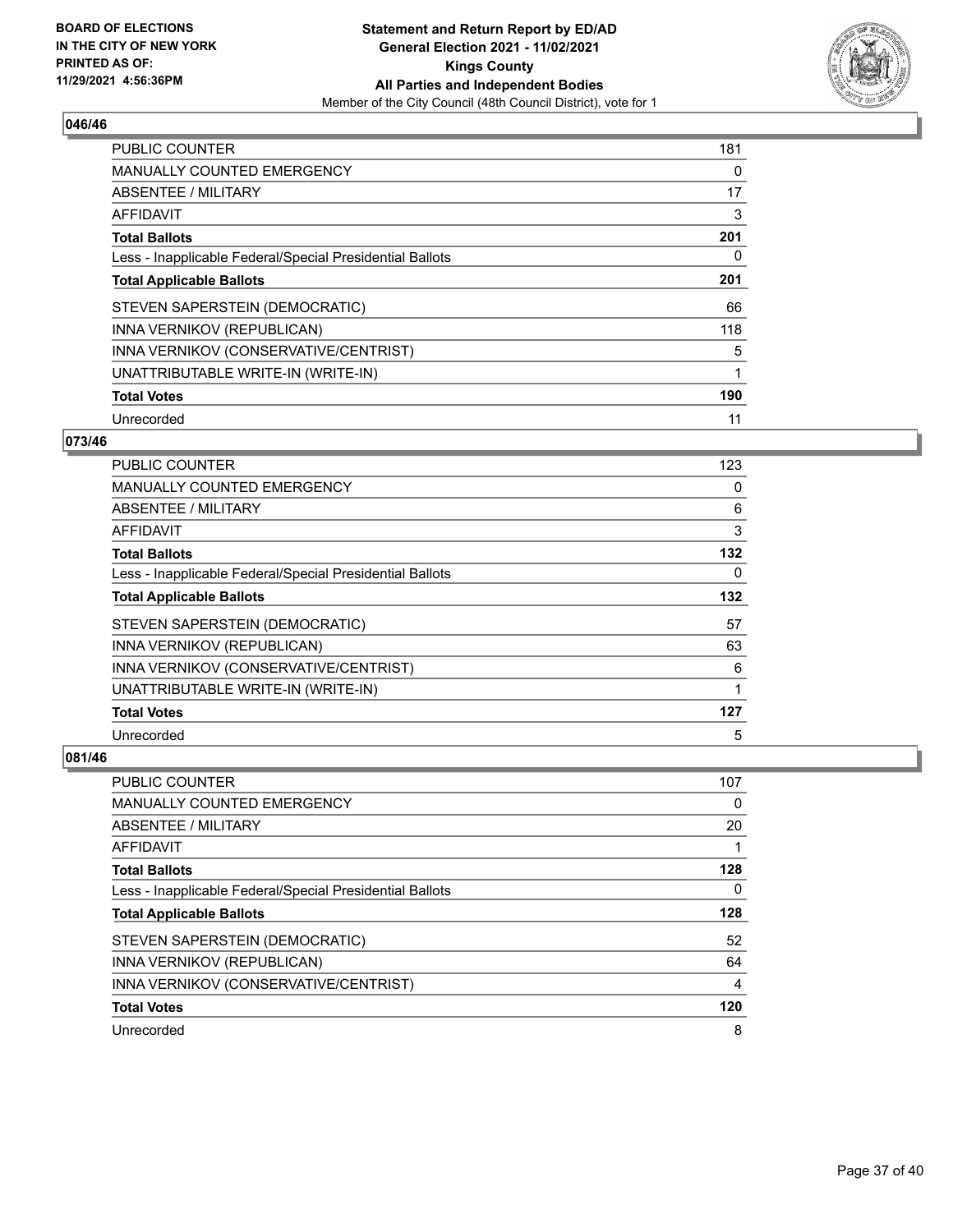

| <b>PUBLIC COUNTER</b>                                    | 181 |
|----------------------------------------------------------|-----|
| <b>MANUALLY COUNTED EMERGENCY</b>                        | 0   |
| ABSENTEE / MILITARY                                      | 17  |
| <b>AFFIDAVIT</b>                                         | 3   |
| <b>Total Ballots</b>                                     | 201 |
| Less - Inapplicable Federal/Special Presidential Ballots | 0   |
| <b>Total Applicable Ballots</b>                          | 201 |
| STEVEN SAPERSTEIN (DEMOCRATIC)                           | 66  |
| INNA VERNIKOV (REPUBLICAN)                               | 118 |
| INNA VERNIKOV (CONSERVATIVE/CENTRIST)                    | 5   |
| UNATTRIBUTABLE WRITE-IN (WRITE-IN)                       | 1   |
| <b>Total Votes</b>                                       | 190 |
| Unrecorded                                               | 11  |

## **073/46**

| <b>PUBLIC COUNTER</b>                                    | 123 |
|----------------------------------------------------------|-----|
| MANUALLY COUNTED EMERGENCY                               | 0   |
| ABSENTEE / MILITARY                                      | 6   |
| AFFIDAVIT                                                | 3   |
| <b>Total Ballots</b>                                     | 132 |
| Less - Inapplicable Federal/Special Presidential Ballots | 0   |
| <b>Total Applicable Ballots</b>                          | 132 |
| STEVEN SAPERSTEIN (DEMOCRATIC)                           | 57  |
| INNA VERNIKOV (REPUBLICAN)                               | 63  |
| INNA VERNIKOV (CONSERVATIVE/CENTRIST)                    | 6   |
| UNATTRIBUTABLE WRITE-IN (WRITE-IN)                       |     |
| <b>Total Votes</b>                                       | 127 |
| Unrecorded                                               | 5   |

| <b>PUBLIC COUNTER</b>                                    | 107 |
|----------------------------------------------------------|-----|
| <b>MANUALLY COUNTED EMERGENCY</b>                        | 0   |
| ABSENTEE / MILITARY                                      | 20  |
| AFFIDAVIT                                                |     |
| <b>Total Ballots</b>                                     | 128 |
| Less - Inapplicable Federal/Special Presidential Ballots | 0   |
| <b>Total Applicable Ballots</b>                          | 128 |
| STEVEN SAPERSTEIN (DEMOCRATIC)                           | 52  |
| INNA VERNIKOV (REPUBLICAN)                               | 64  |
| INNA VERNIKOV (CONSERVATIVE/CENTRIST)                    | 4   |
| <b>Total Votes</b>                                       | 120 |
|                                                          |     |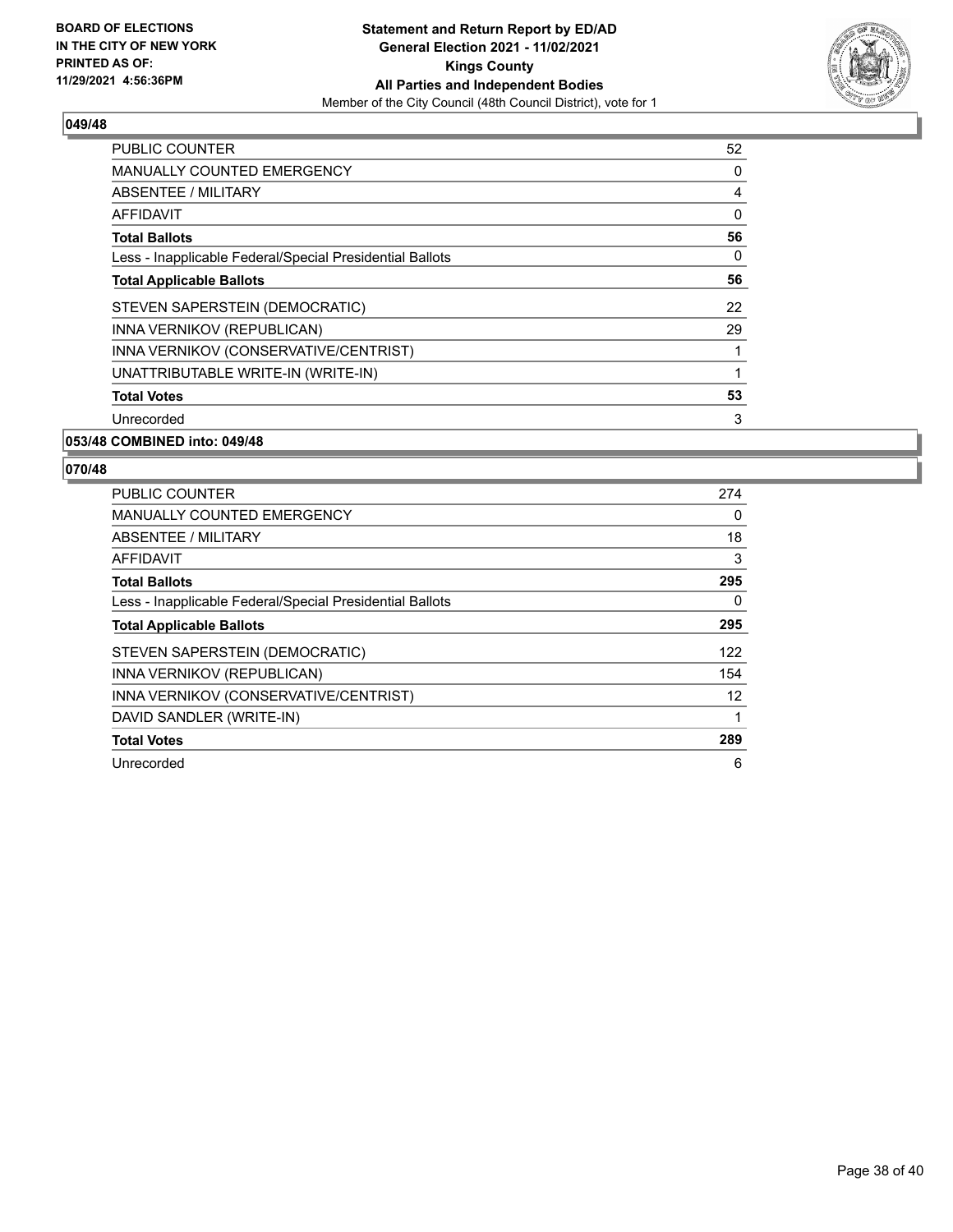

| <b>PUBLIC COUNTER</b>                                    | 52             |
|----------------------------------------------------------|----------------|
| <b>MANUALLY COUNTED EMERGENCY</b>                        | 0              |
| ABSENTEE / MILITARY                                      | $\overline{4}$ |
| <b>AFFIDAVIT</b>                                         | 0              |
| <b>Total Ballots</b>                                     | 56             |
| Less - Inapplicable Federal/Special Presidential Ballots | 0              |
| <b>Total Applicable Ballots</b>                          | 56             |
| STEVEN SAPERSTEIN (DEMOCRATIC)                           | 22             |
| INNA VERNIKOV (REPUBLICAN)                               | 29             |
| INNA VERNIKOV (CONSERVATIVE/CENTRIST)                    | 1              |
| UNATTRIBUTABLE WRITE-IN (WRITE-IN)                       | 1              |
| <b>Total Votes</b>                                       | 53             |
| Unrecorded                                               | 3              |
|                                                          |                |

## **053/48 COMBINED into: 049/48**

| <b>PUBLIC COUNTER</b>                                    | 274 |
|----------------------------------------------------------|-----|
| <b>MANUALLY COUNTED EMERGENCY</b>                        | 0   |
| ABSENTEE / MILITARY                                      | 18  |
| <b>AFFIDAVIT</b>                                         | 3   |
| <b>Total Ballots</b>                                     | 295 |
| Less - Inapplicable Federal/Special Presidential Ballots | 0   |
| <b>Total Applicable Ballots</b>                          | 295 |
| STEVEN SAPERSTEIN (DEMOCRATIC)                           | 122 |
| INNA VERNIKOV (REPUBLICAN)                               | 154 |
| INNA VERNIKOV (CONSERVATIVE/CENTRIST)                    | 12  |
| DAVID SANDLER (WRITE-IN)                                 | 1   |
| <b>Total Votes</b>                                       | 289 |
| Unrecorded                                               | 6   |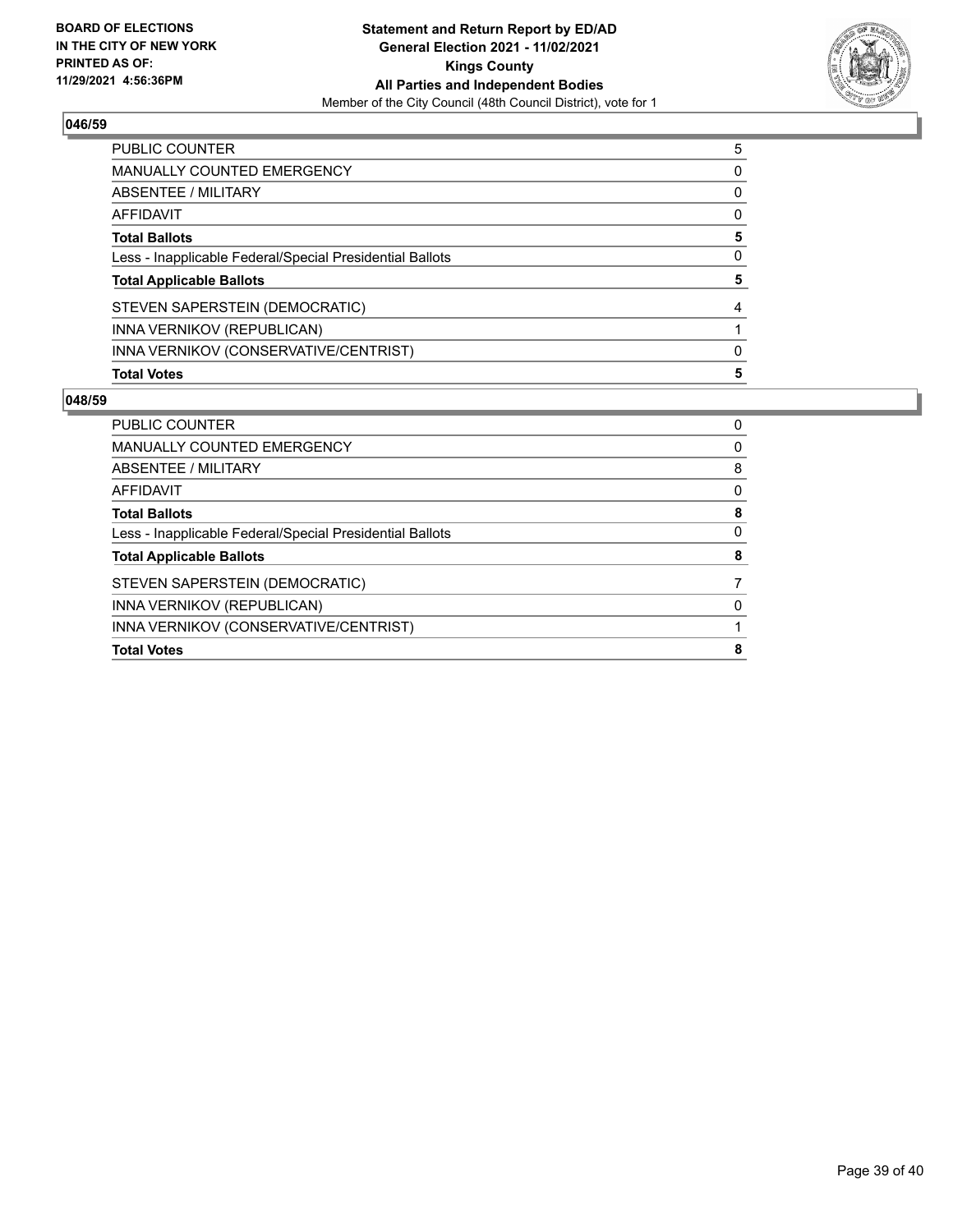

| PUBLIC COUNTER                                           | 5        |
|----------------------------------------------------------|----------|
| <b>MANUALLY COUNTED EMERGENCY</b>                        | 0        |
| ABSENTEE / MILITARY                                      | $\Omega$ |
| AFFIDAVIT                                                | $\Omega$ |
| <b>Total Ballots</b>                                     | 5        |
| Less - Inapplicable Federal/Special Presidential Ballots | 0        |
| <b>Total Applicable Ballots</b>                          | 5        |
| STEVEN SAPERSTEIN (DEMOCRATIC)                           | 4        |
| INNA VERNIKOV (REPUBLICAN)                               |          |
| INNA VERNIKOV (CONSERVATIVE/CENTRIST)                    | 0        |
| <b>Total Votes</b>                                       | 5        |

| <b>PUBLIC COUNTER</b>                                    | 0        |
|----------------------------------------------------------|----------|
| <b>MANUALLY COUNTED EMERGENCY</b>                        | $\Omega$ |
| ABSENTEE / MILITARY                                      | 8        |
| AFFIDAVIT                                                | 0        |
| <b>Total Ballots</b>                                     | 8        |
| Less - Inapplicable Federal/Special Presidential Ballots | 0        |
| <b>Total Applicable Ballots</b>                          | 8        |
| STEVEN SAPERSTEIN (DEMOCRATIC)                           |          |
| INNA VERNIKOV (REPUBLICAN)                               | 0        |
| INNA VERNIKOV (CONSERVATIVE/CENTRIST)                    |          |
| <b>Total Votes</b>                                       | 8        |
|                                                          |          |